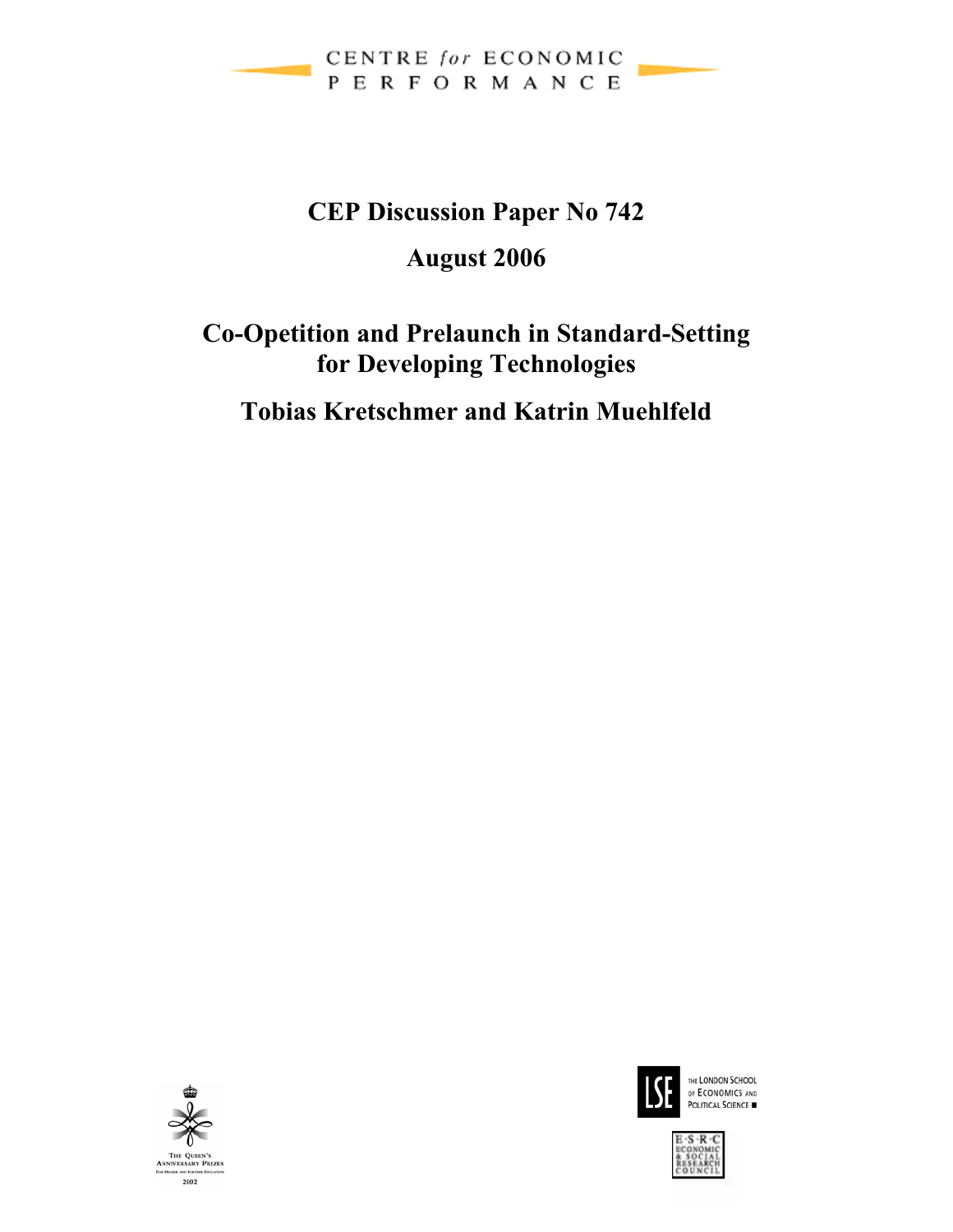

# **CEP Discussion Paper No 742**

## **August 2006**

## **Co-Opetition and Prelaunch in Standard-Setting for Developing Technologies**

**Tobias Kretschmer and Katrin Muehlfeld** 





THE LONDON SCHOOL OF ECONOMICS AND

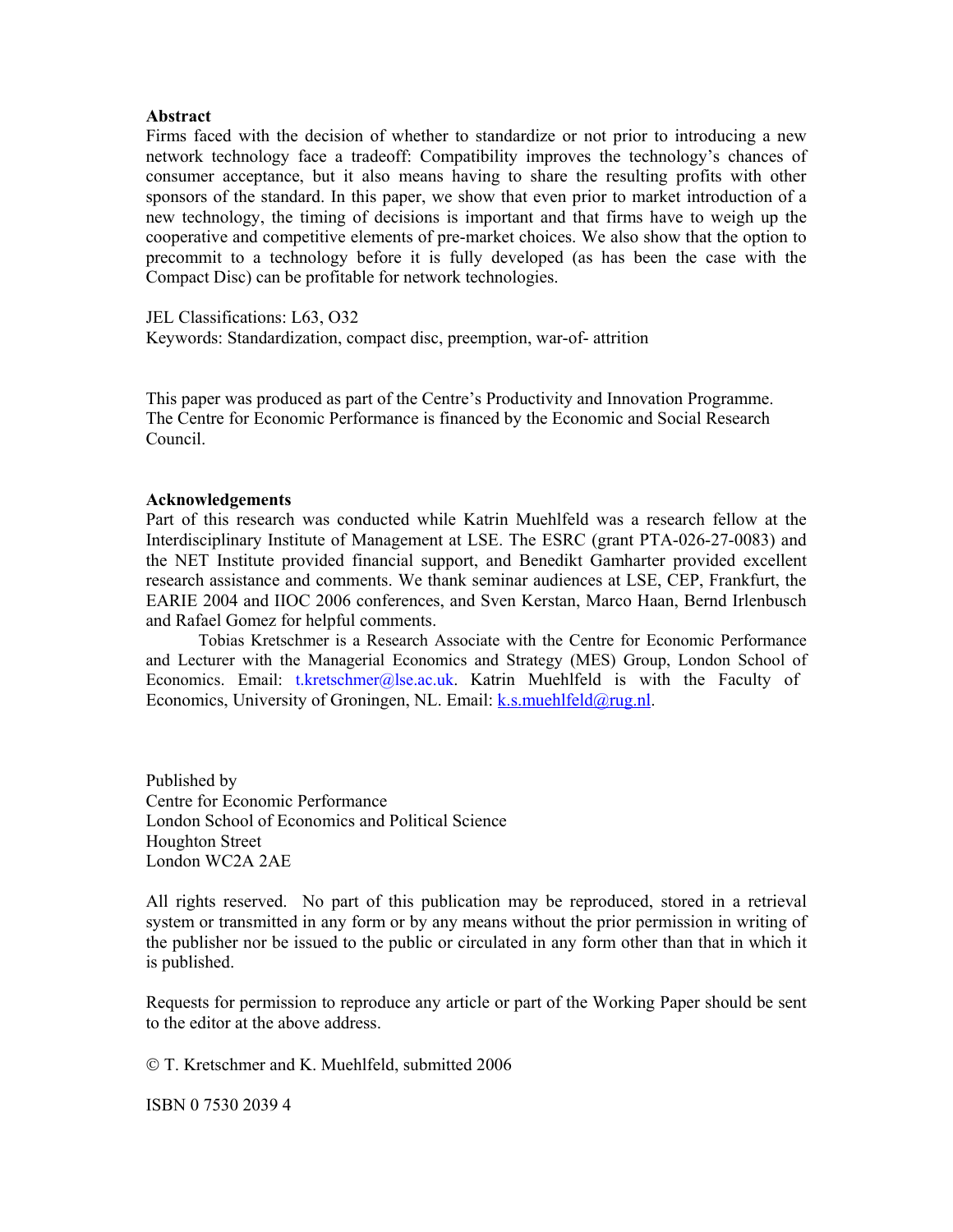#### **Abstract**

Firms faced with the decision of whether to standardize or not prior to introducing a new network technology face a tradeoff: Compatibility improves the technology's chances of consumer acceptance, but it also means having to share the resulting profits with other sponsors of the standard. In this paper, we show that even prior to market introduction of a new technology, the timing of decisions is important and that firms have to weigh up the cooperative and competitive elements of pre-market choices. We also show that the option to precommit to a technology before it is fully developed (as has been the case with the Compact Disc) can be profitable for network technologies.

JEL Classifications: L63, O32 Keywords: Standardization, compact disc, preemption, war-of- attrition

This paper was produced as part of the Centre's Productivity and Innovation Programme. The Centre for Economic Performance is financed by the Economic and Social Research Council.

#### **Acknowledgements**

Part of this research was conducted while Katrin Muehlfeld was a research fellow at the Interdisciplinary Institute of Management at LSE. The ESRC (grant PTA-026-27-0083) and the NET Institute provided financial support, and Benedikt Gamharter provided excellent research assistance and comments. We thank seminar audiences at LSE, CEP, Frankfurt, the EARIE 2004 and IIOC 2006 conferences, and Sven Kerstan, Marco Haan, Bernd Irlenbusch and Rafael Gomez for helpful comments.

Tobias Kretschmer is a Research Associate with the Centre for Economic Performance and Lecturer with the Managerial Economics and Strategy (MES) Group, London School of Economics. Email: t.kretschmer@lse.ac.uk. Katrin Muehlfeld is with the Faculty of Economics, University of Groningen, NL. Email: k.s.muehlfeld@rug.nl.

Published by Centre for Economic Performance London School of Economics and Political Science Houghton Street London WC2A 2AE

All rights reserved. No part of this publication may be reproduced, stored in a retrieval system or transmitted in any form or by any means without the prior permission in writing of the publisher nor be issued to the public or circulated in any form other than that in which it is published.

Requests for permission to reproduce any article or part of the Working Paper should be sent to the editor at the above address.

© T. Kretschmer and K. Muehlfeld, submitted 2006

ISBN 0 7530 2039 4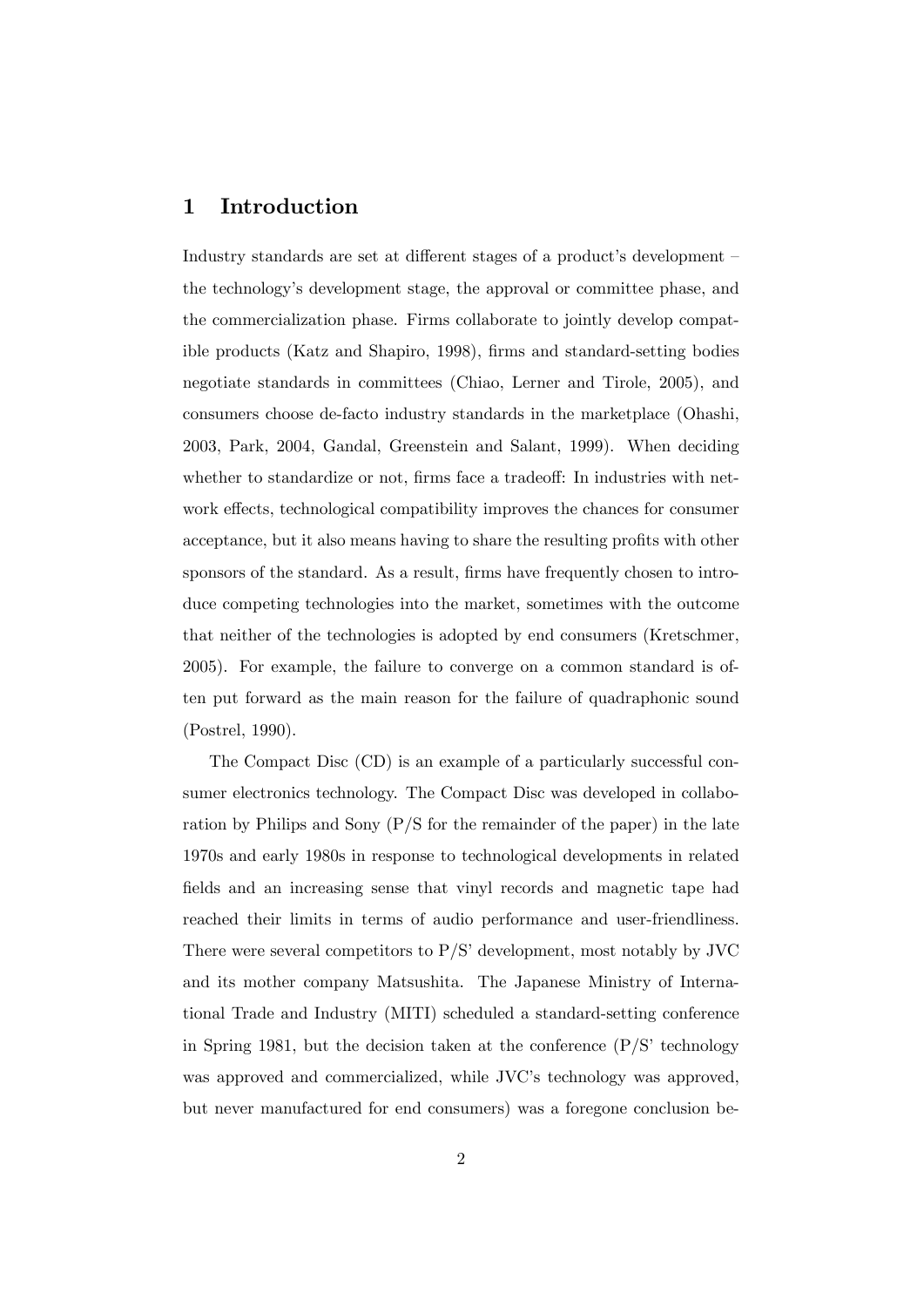## 1 Introduction

Industry standards are set at different stages of a product's development – the technologyís development stage, the approval or committee phase, and the commercialization phase. Firms collaborate to jointly develop compatible products (Katz and Shapiro, 1998), firms and standard-setting bodies negotiate standards in committees (Chiao, Lerner and Tirole, 2005), and consumers choose de-facto industry standards in the marketplace (Ohashi, 2003, Park, 2004, Gandal, Greenstein and Salant, 1999). When deciding whether to standardize or not, firms face a tradeoff: In industries with network effects, technological compatibility improves the chances for consumer acceptance, but it also means having to share the resulting profits with other sponsors of the standard. As a result, firms have frequently chosen to introduce competing technologies into the market, sometimes with the outcome that neither of the technologies is adopted by end consumers (Kretschmer, 2005). For example, the failure to converge on a common standard is often put forward as the main reason for the failure of quadraphonic sound (Postrel, 1990).

The Compact Disc (CD) is an example of a particularly successful consumer electronics technology. The Compact Disc was developed in collaboration by Philips and Sony (P/S for the remainder of the paper) in the late 1970s and early 1980s in response to technological developments in related fields and an increasing sense that vinyl records and magnetic tape had reached their limits in terms of audio performance and user-friendliness. There were several competitors to  $P/S'$  development, most notably by JVC and its mother company Matsushita. The Japanese Ministry of International Trade and Industry (MITI) scheduled a standard-setting conference in Spring 1981, but the decision taken at the conference  $(P/S)$  technology was approved and commercialized, while JVC's technology was approved, but never manufactured for end consumers) was a foregone conclusion be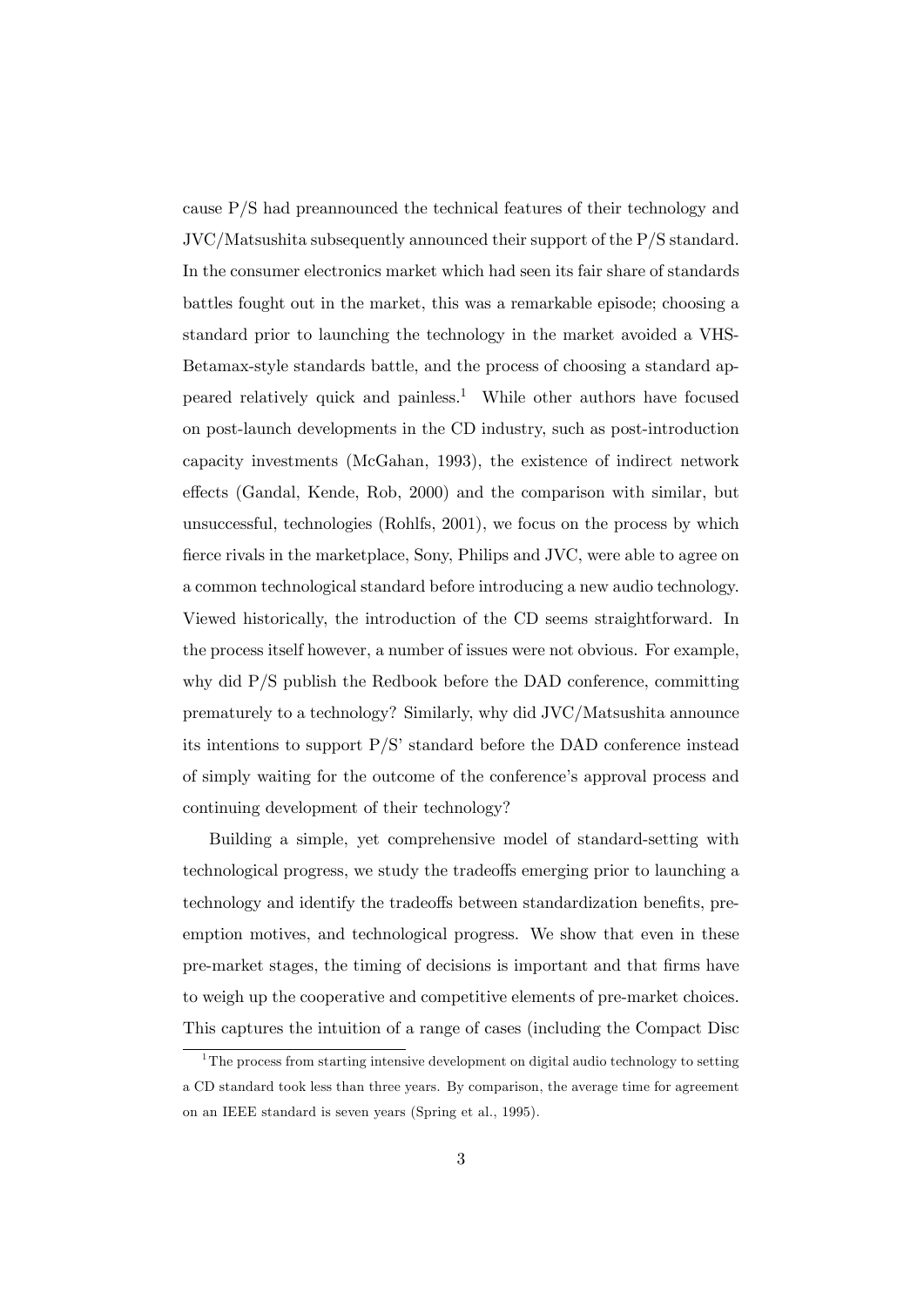cause P/S had preannounced the technical features of their technology and JVC/Matsushita subsequently announced their support of the P/S standard. In the consumer electronics market which had seen its fair share of standards battles fought out in the market, this was a remarkable episode; choosing a standard prior to launching the technology in the market avoided a VHS-Betamax-style standards battle, and the process of choosing a standard appeared relatively quick and painless.<sup>1</sup> While other authors have focused on post-launch developments in the CD industry, such as post-introduction capacity investments (McGahan, 1993), the existence of indirect network effects (Gandal, Kende, Rob, 2000) and the comparison with similar, but unsuccessful, technologies (Rohlfs, 2001), we focus on the process by which fierce rivals in the marketplace, Sony, Philips and JVC, were able to agree on a common technological standard before introducing a new audio technology. Viewed historically, the introduction of the CD seems straightforward. In the process itself however, a number of issues were not obvious. For example, why did P/S publish the Redbook before the DAD conference, committing prematurely to a technology? Similarly, why did JVC/Matsushita announce its intentions to support  $P/S'$  standard before the DAD conference instead of simply waiting for the outcome of the conference's approval process and continuing development of their technology?

Building a simple, yet comprehensive model of standard-setting with technological progress, we study the tradeo§s emerging prior to launching a technology and identify the tradeoffs between standardization benefits, preemption motives, and technological progress. We show that even in these pre-market stages, the timing of decisions is important and that Örms have to weigh up the cooperative and competitive elements of pre-market choices. This captures the intuition of a range of cases (including the Compact Disc

 $1<sup>1</sup>$ The process from starting intensive development on digital audio technology to setting a CD standard took less than three years. By comparison, the average time for agreement on an IEEE standard is seven years (Spring et al., 1995).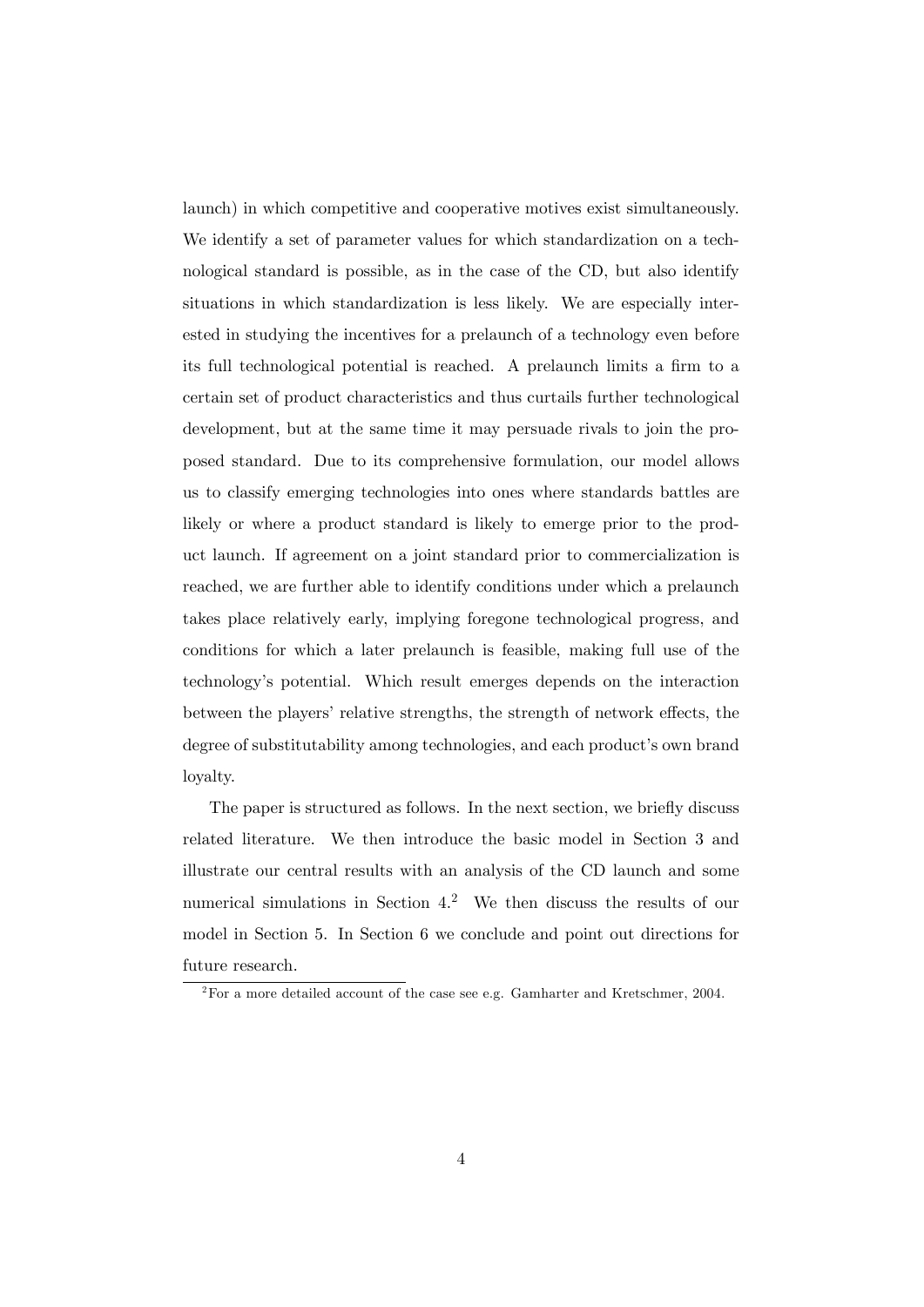launch) in which competitive and cooperative motives exist simultaneously. We identify a set of parameter values for which standardization on a technological standard is possible, as in the case of the CD, but also identify situations in which standardization is less likely. We are especially interested in studying the incentives for a prelaunch of a technology even before its full technological potential is reached. A prelaunch limits a firm to a certain set of product characteristics and thus curtails further technological development, but at the same time it may persuade rivals to join the proposed standard. Due to its comprehensive formulation, our model allows us to classify emerging technologies into ones where standards battles are likely or where a product standard is likely to emerge prior to the product launch. If agreement on a joint standard prior to commercialization is reached, we are further able to identify conditions under which a prelaunch takes place relatively early, implying foregone technological progress, and conditions for which a later prelaunch is feasible, making full use of the technologyís potential. Which result emerges depends on the interaction between the players' relative strengths, the strength of network effects, the degree of substitutability among technologies, and each product's own brand loyalty.

The paper is structured as follows. In the next section, we briefly discuss related literature. We then introduce the basic model in Section 3 and illustrate our central results with an analysis of the CD launch and some numerical simulations in Section 4.<sup>2</sup> We then discuss the results of our model in Section 5. In Section 6 we conclude and point out directions for future research.

 $^{2}$ For a more detailed account of the case see e.g. Gamharter and Kretschmer, 2004.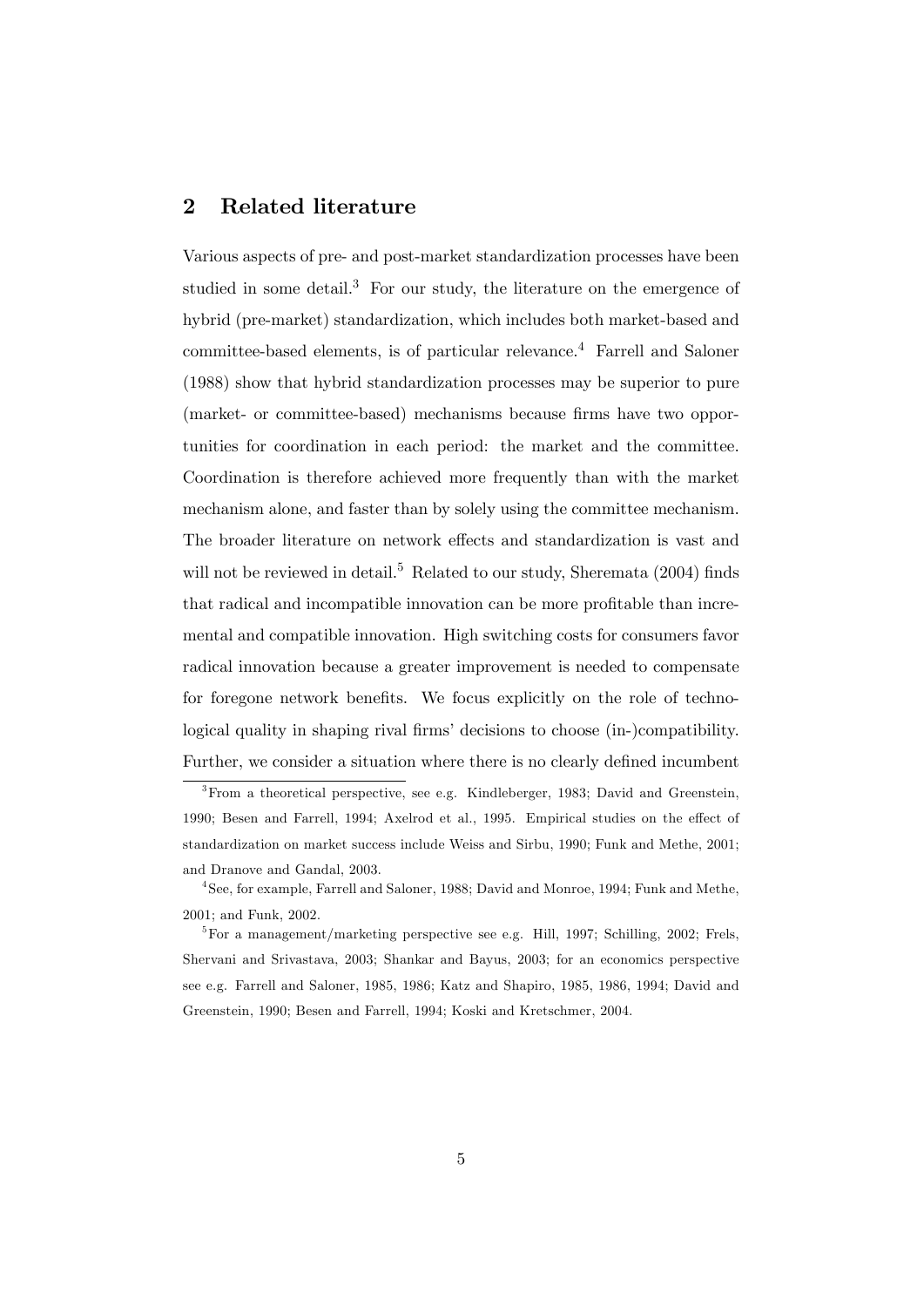## 2 Related literature

Various aspects of pre- and post-market standardization processes have been studied in some detail.<sup>3</sup> For our study, the literature on the emergence of hybrid (pre-market) standardization, which includes both market-based and committee-based elements, is of particular relevance.<sup>4</sup> Farrell and Saloner (1988) show that hybrid standardization processes may be superior to pure (market- or committee-based) mechanisms because firms have two opportunities for coordination in each period: the market and the committee. Coordination is therefore achieved more frequently than with the market mechanism alone, and faster than by solely using the committee mechanism. The broader literature on network effects and standardization is vast and will not be reviewed in detail.<sup>5</sup> Related to our study, Sheremata  $(2004)$  finds that radical and incompatible innovation can be more profitable than incremental and compatible innovation. High switching costs for consumers favor radical innovation because a greater improvement is needed to compensate for foregone network benefits. We focus explicitly on the role of technological quality in shaping rival firms' decisions to choose (in-)compatibility. Further, we consider a situation where there is no clearly defined incumbent

 $3$ From a theoretical perspective, see e.g. Kindleberger, 1983; David and Greenstein, 1990; Besen and Farrell, 1994; Axelrod et al., 1995. Empirical studies on the effect of standardization on market success include Weiss and Sirbu, 1990; Funk and Methe, 2001; and Dranove and Gandal, 2003.

<sup>4</sup> See, for example, Farrell and Saloner, 1988; David and Monroe, 1994; Funk and Methe, 2001; and Funk, 2002.

<sup>5</sup>For a management/marketing perspective see e.g. Hill, 1997; Schilling, 2002; Frels, Shervani and Srivastava, 2003; Shankar and Bayus, 2003; for an economics perspective see e.g. Farrell and Saloner, 1985, 1986; Katz and Shapiro, 1985, 1986, 1994; David and Greenstein, 1990; Besen and Farrell, 1994; Koski and Kretschmer, 2004.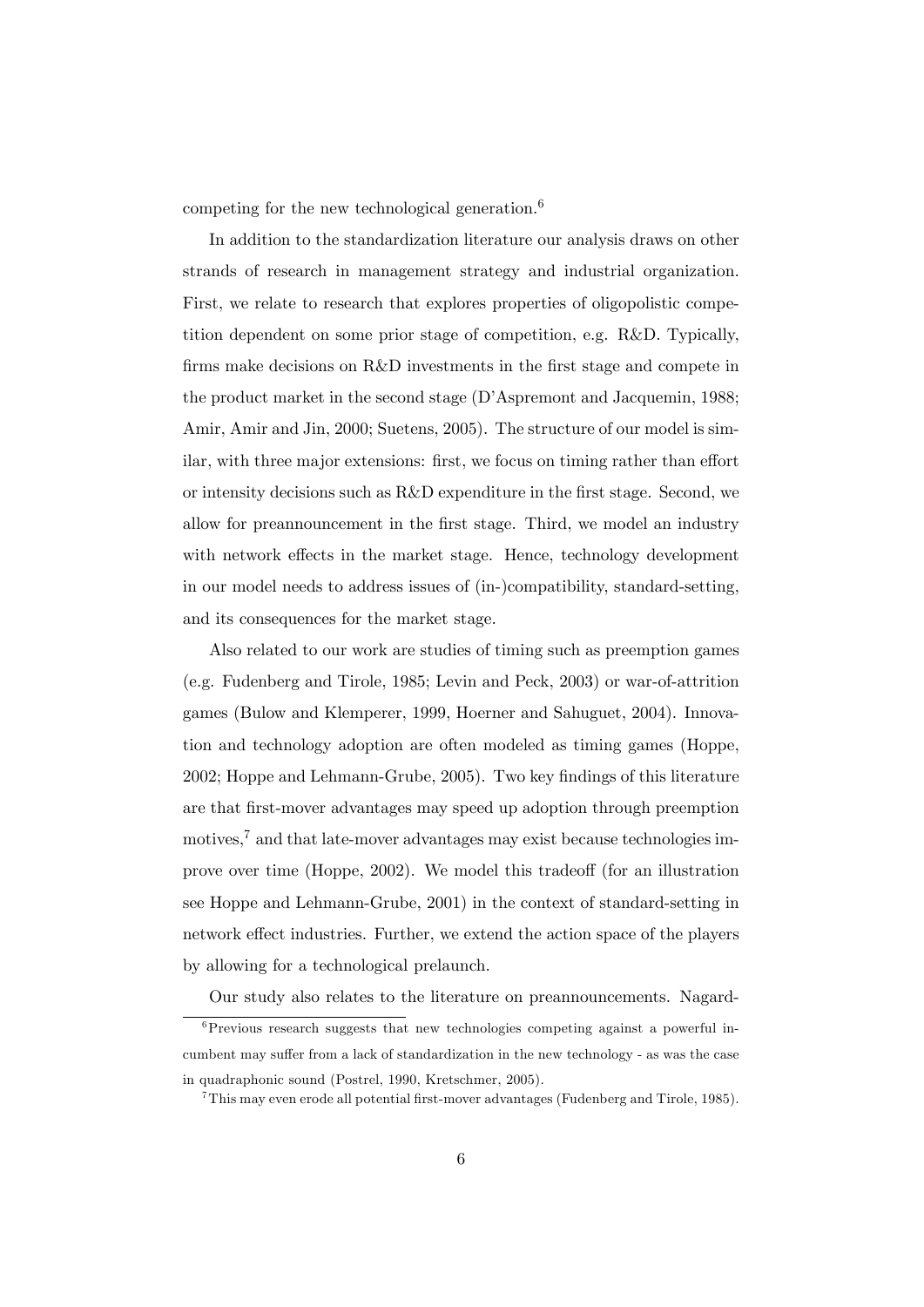competing for the new technological generation. $6$ 

In addition to the standardization literature our analysis draws on other strands of research in management strategy and industrial organization. First, we relate to research that explores properties of oligopolistic competition dependent on some prior stage of competition, e.g. R&D. Typically, firms make decisions on R&D investments in the first stage and compete in the product market in the second stage (D'Aspremont and Jacquemin, 1988; Amir, Amir and Jin, 2000; Suetens, 2005). The structure of our model is similar, with three major extensions: first, we focus on timing rather than effort or intensity decisions such as  $R\&D$  expenditure in the first stage. Second, we allow for preannouncement in the first stage. Third, we model an industry with network effects in the market stage. Hence, technology development in our model needs to address issues of (in-)compatibility, standard-setting, and its consequences for the market stage.

Also related to our work are studies of timing such as preemption games (e.g. Fudenberg and Tirole, 1985; Levin and Peck, 2003) or war-of-attrition games (Bulow and Klemperer, 1999, Hoerner and Sahuguet, 2004). Innovation and technology adoption are often modeled as timing games (Hoppe, 2002; Hoppe and Lehmann-Grube, 2005). Two key findings of this literature are that Örst-mover advantages may speed up adoption through preemption motives,<sup>7</sup> and that late-mover advantages may exist because technologies improve over time (Hoppe, 2002). We model this tradeoff (for an illustration see Hoppe and Lehmann-Grube, 2001) in the context of standard-setting in network effect industries. Further, we extend the action space of the players by allowing for a technological prelaunch.

Our study also relates to the literature on preannouncements. Nagard-

 ${}^{6}$ Previous research suggests that new technologies competing against a powerful incumbent may suffer from a lack of standardization in the new technology - as was the case in quadraphonic sound (Postrel, 1990, Kretschmer, 2005).

 $7$ This may even erode all potential first-mover advantages (Fudenberg and Tirole, 1985).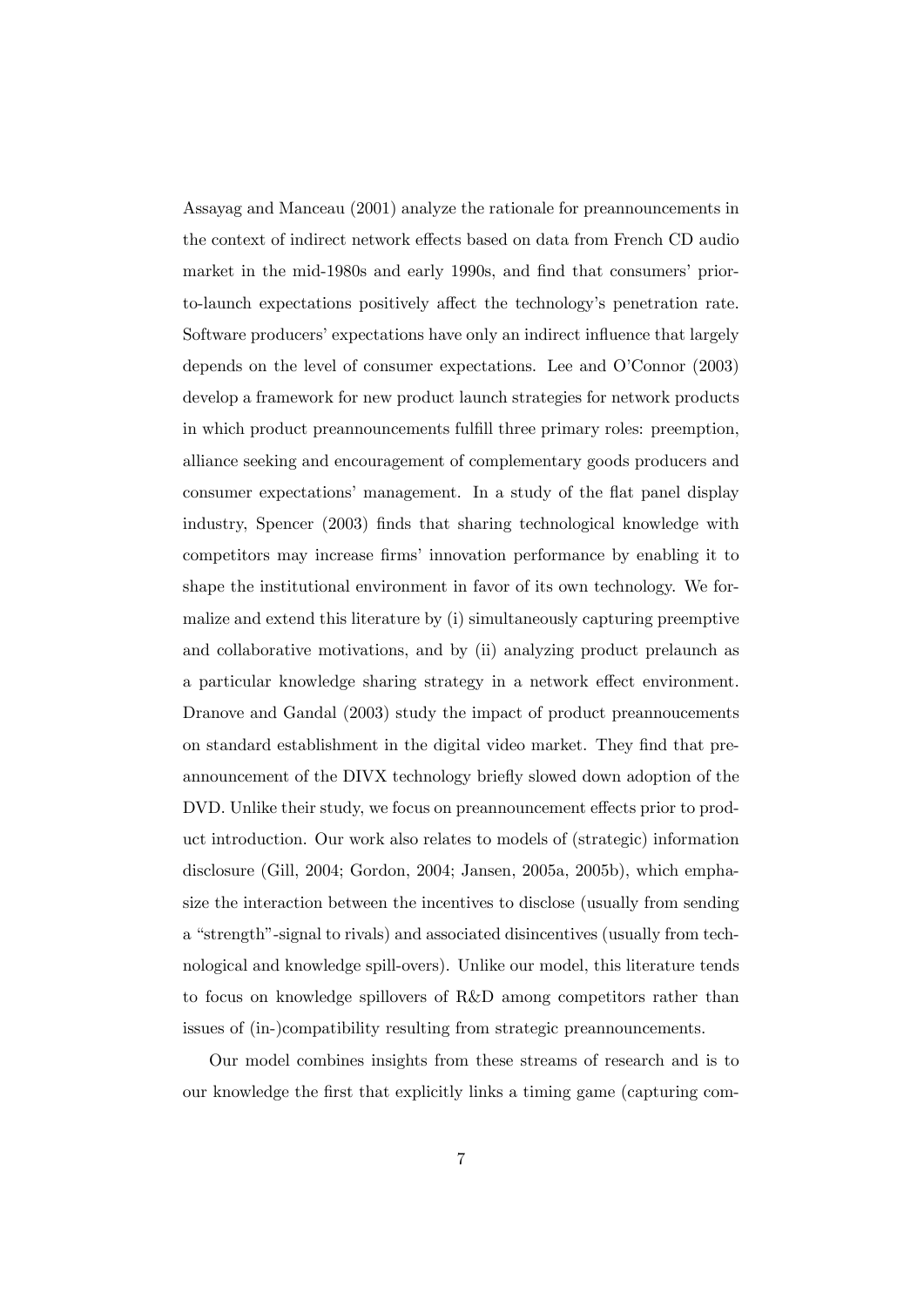Assayag and Manceau (2001) analyze the rationale for preannouncements in the context of indirect network effects based on data from French CD audio market in the mid-1980s and early 1990s, and find that consumers' priorto-launch expectations positively affect the technology's penetration rate. Software producers' expectations have only an indirect influence that largely depends on the level of consumer expectations. Lee and O'Connor (2003) develop a framework for new product launch strategies for network products in which product preannouncements fulfill three primary roles: preemption, alliance seeking and encouragement of complementary goods producers and consumer expectations' management. In a study of the flat panel display industry, Spencer (2003) finds that sharing technological knowledge with competitors may increase firms' innovation performance by enabling it to shape the institutional environment in favor of its own technology. We formalize and extend this literature by (i) simultaneously capturing preemptive and collaborative motivations, and by (ii) analyzing product prelaunch as a particular knowledge sharing strategy in a network effect environment. Dranove and Gandal (2003) study the impact of product preannoucements on standard establishment in the digital video market. They find that preannouncement of the DIVX technology briefly slowed down adoption of the DVD. Unlike their study, we focus on preannouncement effects prior to product introduction. Our work also relates to models of (strategic) information disclosure (Gill, 2004; Gordon, 2004; Jansen, 2005a, 2005b), which emphasize the interaction between the incentives to disclose (usually from sending a "strength"-signal to rivals) and associated disincentives (usually from technological and knowledge spill-overs). Unlike our model, this literature tends to focus on knowledge spillovers of R&D among competitors rather than issues of (in-)compatibility resulting from strategic preannouncements.

Our model combines insights from these streams of research and is to our knowledge the Örst that explicitly links a timing game (capturing com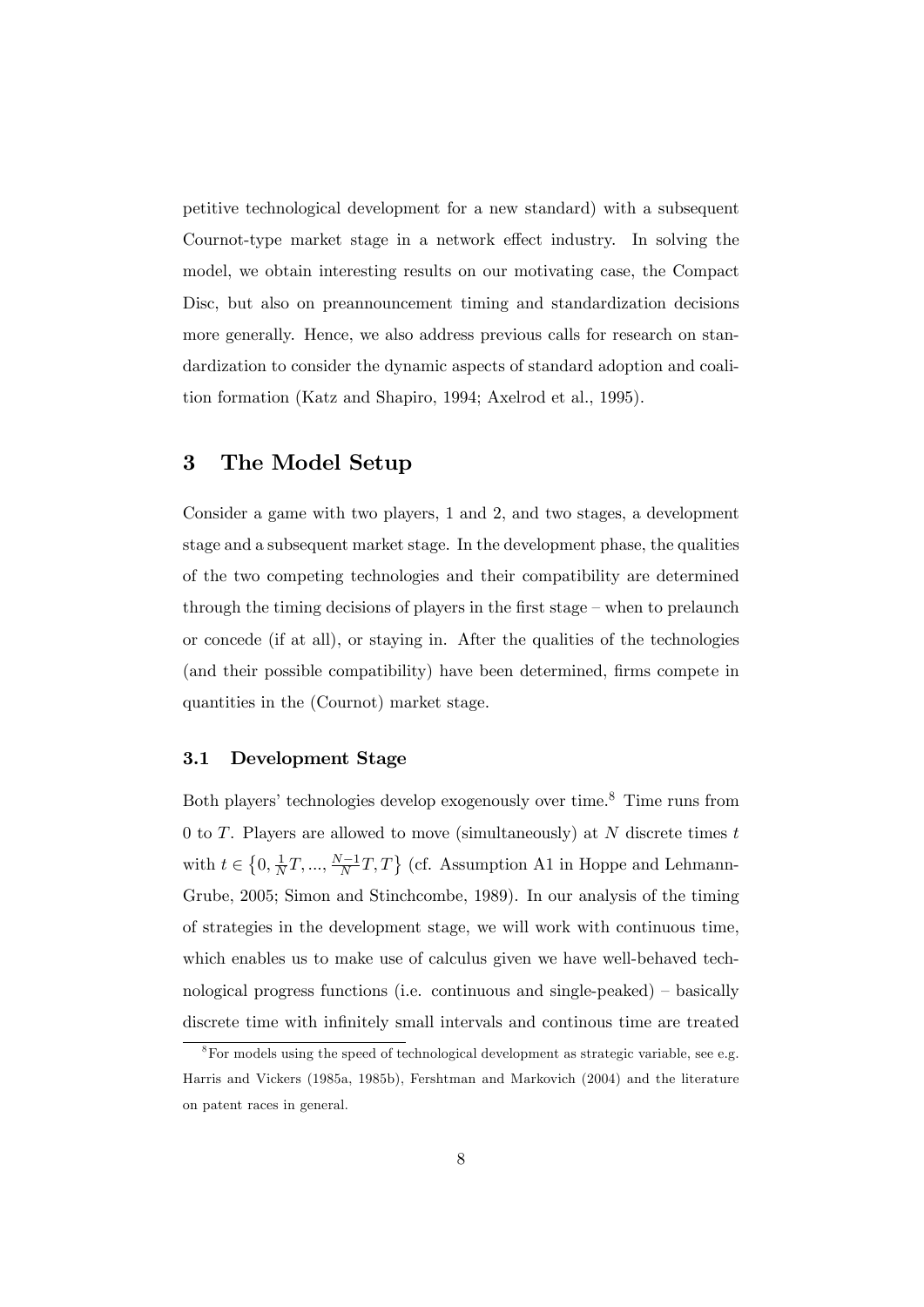petitive technological development for a new standard) with a subsequent Cournot-type market stage in a network effect industry. In solving the model, we obtain interesting results on our motivating case, the Compact Disc, but also on preannouncement timing and standardization decisions more generally. Hence, we also address previous calls for research on standardization to consider the dynamic aspects of standard adoption and coalition formation (Katz and Shapiro, 1994; Axelrod et al., 1995).

## 3 The Model Setup

Consider a game with two players, 1 and 2, and two stages, a development stage and a subsequent market stage. In the development phase, the qualities of the two competing technologies and their compatibility are determined through the timing decisions of players in the first stage  $-\omega$  when to prelaunch or concede (if at all), or staying in. After the qualities of the technologies (and their possible compatibility) have been determined, firms compete in quantities in the (Cournot) market stage.

#### 3.1 Development Stage

Both players' technologies develop exogenously over time.<sup>8</sup> Time runs from 0 to  $T$ . Players are allowed to move (simultaneously) at  $N$  discrete times  $t$ with  $t \in \left\{0, \frac{1}{N}\right\}$  $\frac{1}{N}T, ..., \frac{N-1}{N}T, T$  (cf. Assumption A1 in Hoppe and Lehmann-Grube, 2005; Simon and Stinchcombe, 1989). In our analysis of the timing of strategies in the development stage, we will work with continuous time, which enables us to make use of calculus given we have well-behaved technological progress functions (i.e. continuous and single-peaked)  $-$  basically discrete time with infinitely small intervals and continous time are treated

 $8\text{For models using the speed of technological development as strategic variable, see e.g.}$ Harris and Vickers (1985a, 1985b), Fershtman and Markovich (2004) and the literature on patent races in general.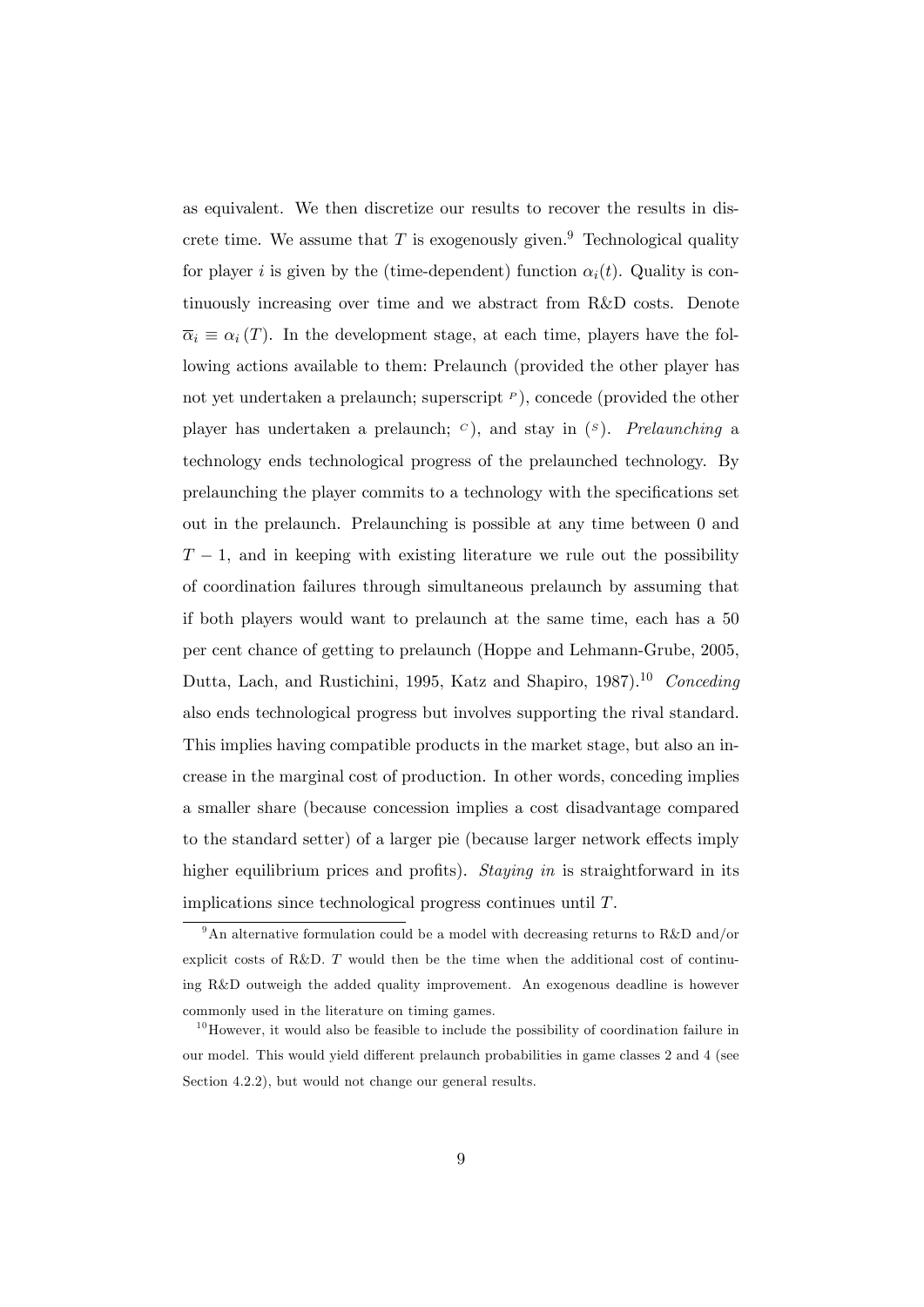as equivalent. We then discretize our results to recover the results in discrete time. We assume that T is exogenously given.<sup>9</sup> Technological quality for player i is given by the (time-dependent) function  $\alpha_i(t)$ . Quality is continuously increasing over time and we abstract from R&D costs. Denote  $\overline{\alpha}_i \equiv \alpha_i(T)$ . In the development stage, at each time, players have the following actions available to them: Prelaunch (provided the other player has not yet undertaken a prelaunch; superscript  $P$ ), concede (provided the other player has undertaken a prelaunch;  $\epsilon$ ), and stay in  $(\epsilon)$ . Prelaunching a technology ends technological progress of the prelaunched technology. By prelaunching the player commits to a technology with the specifications set out in the prelaunch. Prelaunching is possible at any time between 0 and  $T-1$ , and in keeping with existing literature we rule out the possibility of coordination failures through simultaneous prelaunch by assuming that if both players would want to prelaunch at the same time, each has a 50 per cent chance of getting to prelaunch (Hoppe and Lehmann-Grube, 2005, Dutta, Lach, and Rustichini, 1995, Katz and Shapiro, 1987).<sup>10</sup> Conceding also ends technological progress but involves supporting the rival standard. This implies having compatible products in the market stage, but also an increase in the marginal cost of production. In other words, conceding implies a smaller share (because concession implies a cost disadvantage compared to the standard setter) of a larger pie (because larger network effects imply higher equilibrium prices and profits). Staying in is straightforward in its implications since technological progress continues until T.

<sup>&</sup>lt;sup>9</sup>An alternative formulation could be a model with decreasing returns to R&D and/or explicit costs of R&D. T would then be the time when the additional cost of continuing R&D outweigh the added quality improvement. An exogenous deadline is however commonly used in the literature on timing games.

 $10$ However, it would also be feasible to include the possibility of coordination failure in our model. This would yield different prelaunch probabilities in game classes 2 and 4 (see Section 4.2.2), but would not change our general results.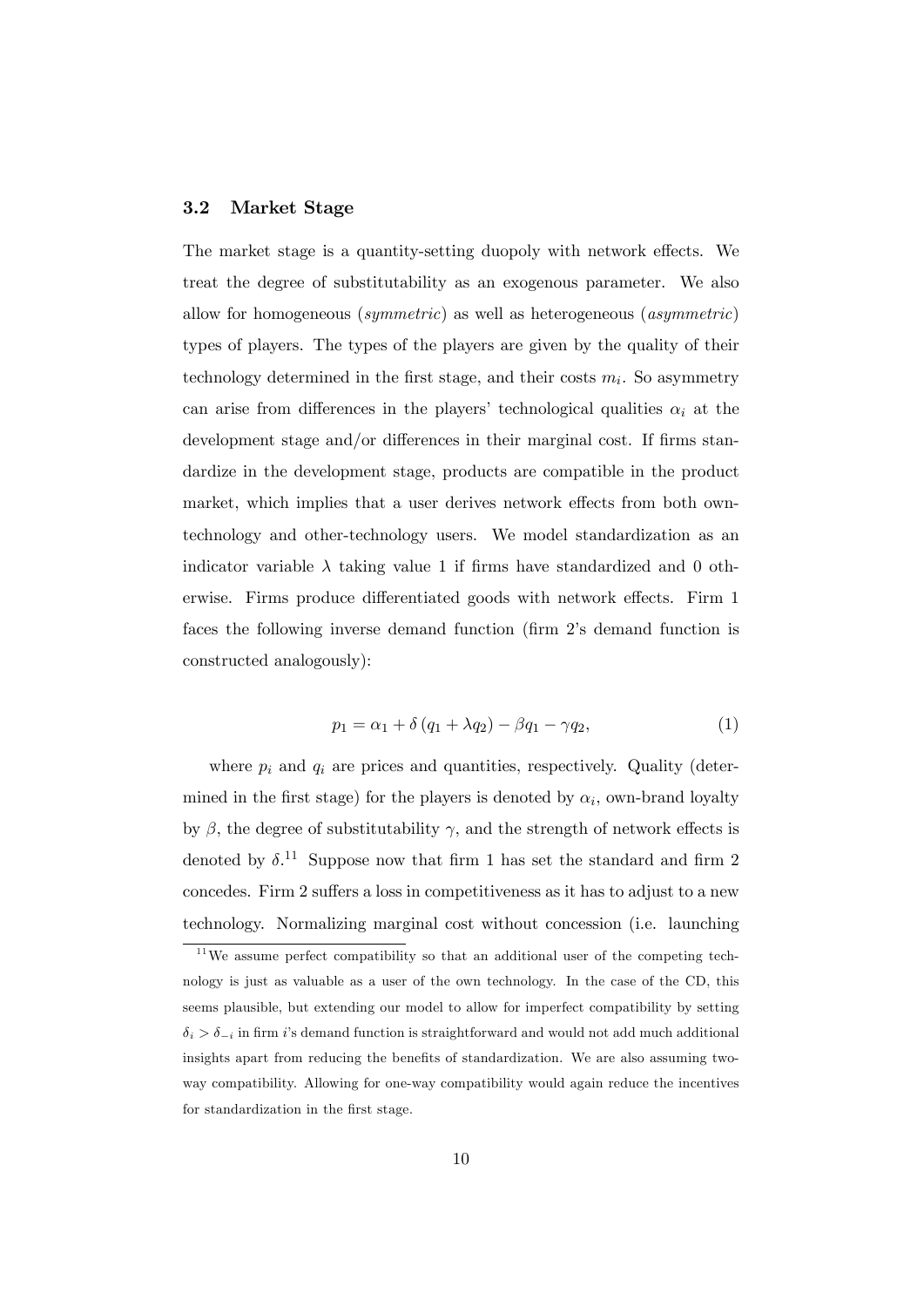#### 3.2 Market Stage

The market stage is a quantity-setting duopoly with network effects. We treat the degree of substitutability as an exogenous parameter. We also allow for homogeneous (symmetric) as well as heterogeneous (asymmetric) types of players. The types of the players are given by the quality of their technology determined in the first stage, and their costs  $m_i$ . So asymmetry can arise from differences in the players' technological qualities  $\alpha_i$  at the development stage and/or differences in their marginal cost. If firms standardize in the development stage, products are compatible in the product market, which implies that a user derives network effects from both owntechnology and other-technology users. We model standardization as an indicator variable  $\lambda$  taking value 1 if firms have standardized and 0 otherwise. Firms produce differentiated goods with network effects. Firm 1 faces the following inverse demand function (firm 2's demand function is constructed analogously):

$$
p_1 = \alpha_1 + \delta (q_1 + \lambda q_2) - \beta q_1 - \gamma q_2, \tag{1}
$$

where  $p_i$  and  $q_i$  are prices and quantities, respectively. Quality (determined in the first stage) for the players is denoted by  $\alpha_i$ , own-brand loyalty by  $\beta$ , the degree of substitutability  $\gamma$ , and the strength of network effects is denoted by  $\delta$ .<sup>11</sup> Suppose now that firm 1 has set the standard and firm 2 concedes. Firm 2 suffers a loss in competitiveness as it has to adjust to a new technology. Normalizing marginal cost without concession (i.e. launching

 $11$ We assume perfect compatibility so that an additional user of the competing technology is just as valuable as a user of the own technology. In the case of the CD, this seems plausible, but extending our model to allow for imperfect compatibility by setting  $\delta_i > \delta_{-i}$  in firm is demand function is straightforward and would not add much additional insights apart from reducing the benefits of standardization. We are also assuming twoway compatibility. Allowing for one-way compatibility would again reduce the incentives for standardization in the first stage.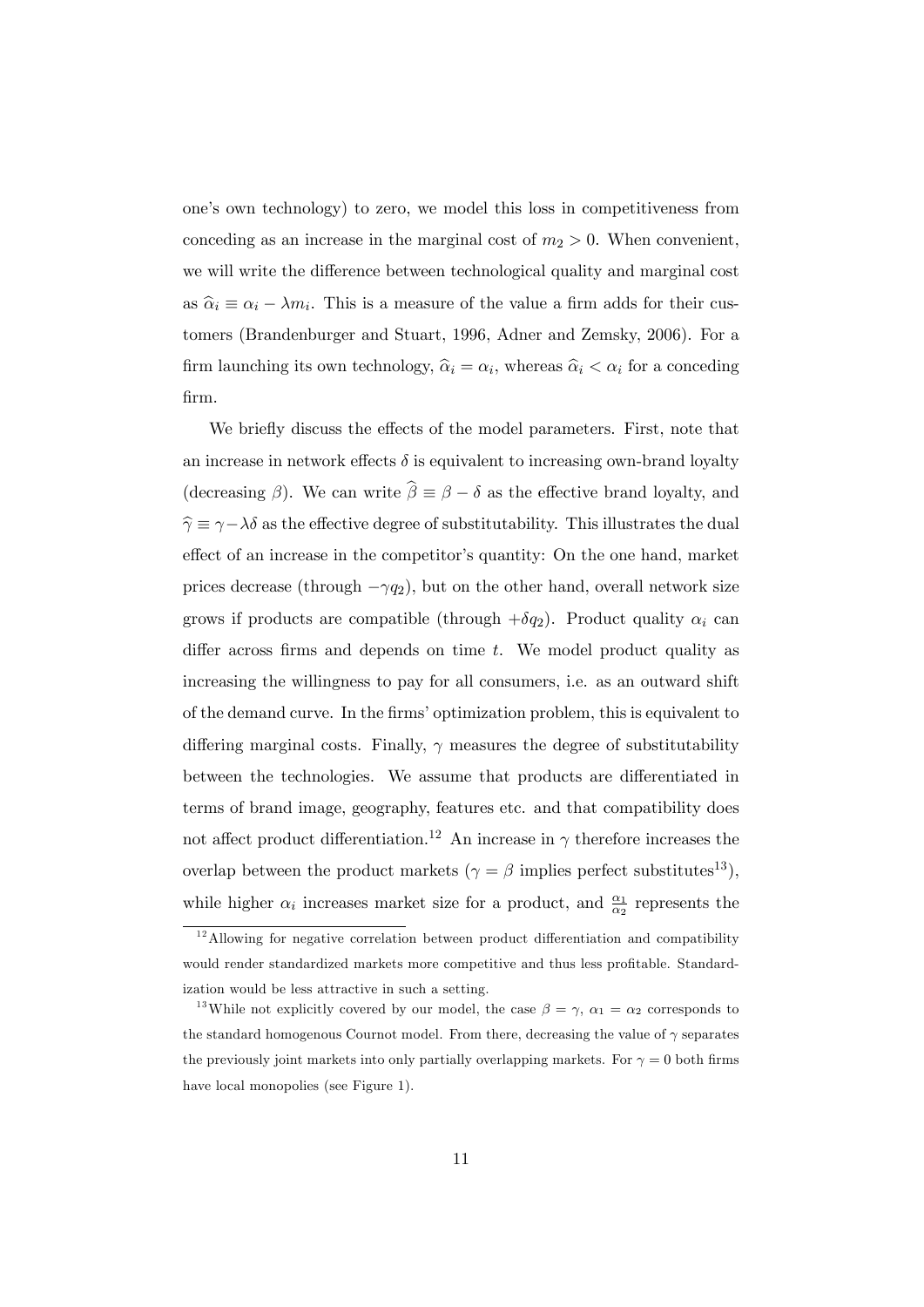oneís own technology) to zero, we model this loss in competitiveness from conceding as an increase in the marginal cost of  $m_2 > 0$ . When convenient, we will write the difference between technological quality and marginal cost as  $\hat{\alpha}_i \equiv \alpha_i - \lambda m_i$ . This is a measure of the value a firm adds for their customers (Brandenburger and Stuart, 1996, Adner and Zemsky, 2006). For a firm launching its own technology,  $\hat{\alpha}_i = \alpha_i$ , whereas  $\hat{\alpha}_i < \alpha_i$  for a conceding Örm.

We briefly discuss the effects of the model parameters. First, note that an increase in network effects  $\delta$  is equivalent to increasing own-brand loyalty (decreasing  $\beta$ ). We can write  $\widehat{\beta} \equiv \beta - \delta$  as the effective brand loyalty, and  $\hat{\gamma} \equiv \gamma - \lambda \delta$  as the effective degree of substitutability. This illustrates the dual effect of an increase in the competitor's quantity: On the one hand, market prices decrease (through  $-\gamma q_2$ ), but on the other hand, overall network size grows if products are compatible (through  $+\delta q_2$ ). Product quality  $\alpha_i$  can differ across firms and depends on time  $t$ . We model product quality as increasing the willingness to pay for all consumers, i.e. as an outward shift of the demand curve. In the Örmsíoptimization problem, this is equivalent to differing marginal costs. Finally,  $\gamma$  measures the degree of substitutability between the technologies. We assume that products are differentiated in terms of brand image, geography, features etc. and that compatibility does not affect product differentiation.<sup>12</sup> An increase in  $\gamma$  therefore increases the overlap between the product markets ( $\gamma = \beta$  implies perfect substitutes<sup>13</sup>), while higher  $\alpha_i$  increases market size for a product, and  $\frac{\alpha_1}{\alpha_2}$  represents the

 $12$ Allowing for negative correlation between product differentiation and compatibility would render standardized markets more competitive and thus less profitable. Standardization would be less attractive in such a setting.

<sup>&</sup>lt;sup>13</sup>While not explicitly covered by our model, the case  $\beta = \gamma$ ,  $\alpha_1 = \alpha_2$  corresponds to the standard homogenous Cournot model. From there, decreasing the value of  $\gamma$  separates the previously joint markets into only partially overlapping markets. For  $\gamma = 0$  both firms have local monopolies (see Figure 1).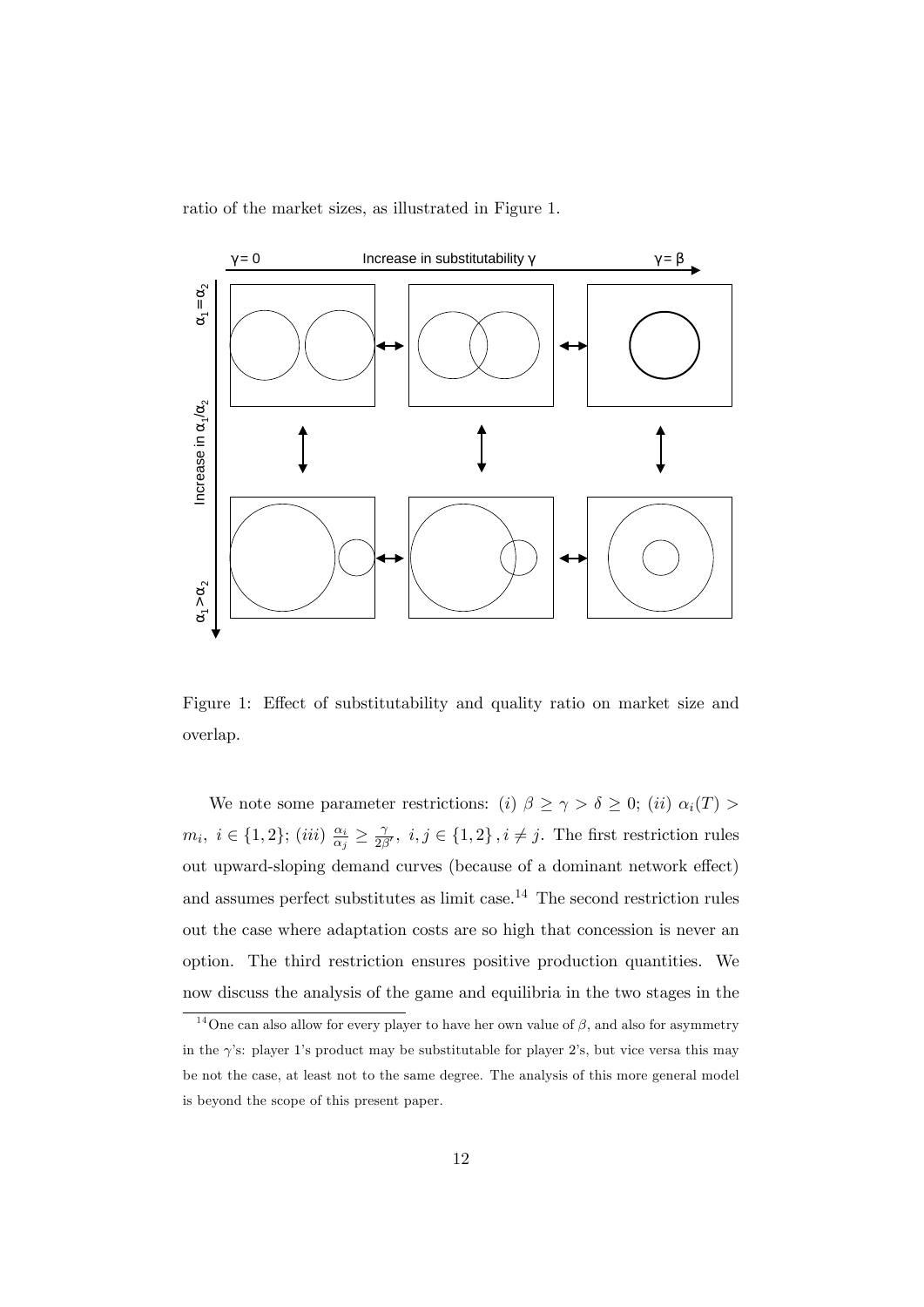ratio of the market sizes, as illustrated in Figure 1.



Figure 1: Effect of substitutability and quality ratio on market size and overlap.

We note some parameter restrictions: (i)  $\beta \ge \gamma > \delta \ge 0$ ; (ii)  $\alpha_i(T)$  $m_i, i \in \{1, 2\}; (iii) \frac{\alpha_i}{\alpha_j}$  $\frac{\alpha_i}{\alpha_j} \geq \frac{\gamma}{2\beta}$  $\frac{\gamma}{2\beta'}, i, j \in \{1,2\}, i \neq j$ . The first restriction rules out upward-sloping demand curves (because of a dominant network effect) and assumes perfect substitutes as limit case.<sup>14</sup> The second restriction rules out the case where adaptation costs are so high that concession is never an option. The third restriction ensures positive production quantities. We now discuss the analysis of the game and equilibria in the two stages in the

<sup>&</sup>lt;sup>14</sup>One can also allow for every player to have her own value of  $\beta$ , and also for asymmetry in the  $\gamma$ 's: player 1's product may be substitutable for player 2's, but vice versa this may be not the case, at least not to the same degree. The analysis of this more general model is beyond the scope of this present paper.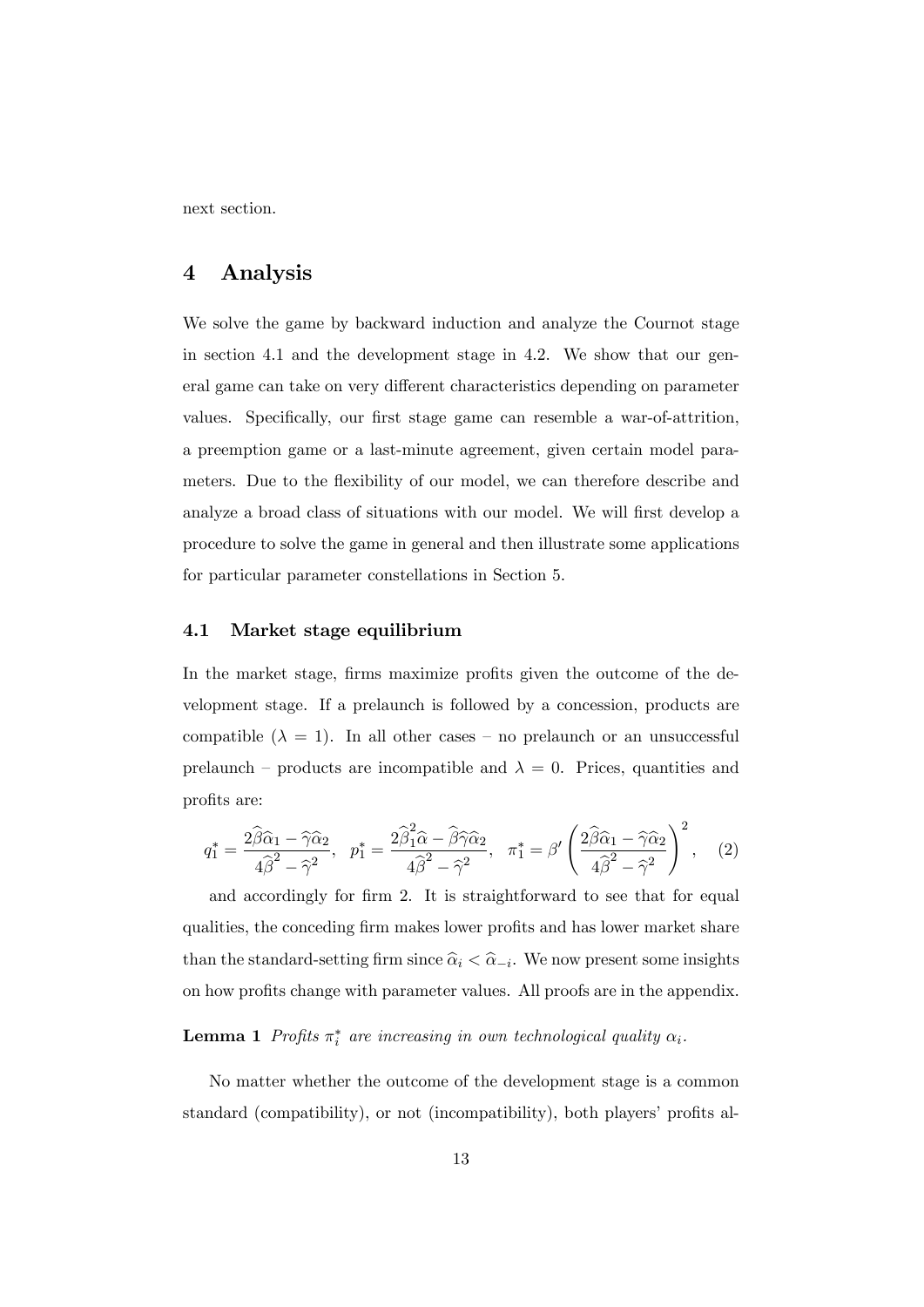next section.

## 4 Analysis

We solve the game by backward induction and analyze the Cournot stage in section 4.1 and the development stage in 4.2. We show that our general game can take on very different characteristics depending on parameter values. Specifically, our first stage game can resemble a war-of-attrition, a preemption game or a last-minute agreement, given certain model parameters. Due to the flexibility of our model, we can therefore describe and analyze a broad class of situations with our model. We will first develop a procedure to solve the game in general and then illustrate some applications for particular parameter constellations in Section 5.

#### 4.1 Market stage equilibrium

In the market stage, firms maximize profits given the outcome of the development stage. If a prelaunch is followed by a concession, products are compatible  $(\lambda = 1)$ . In all other cases – no prelaunch or an unsuccessful prelaunch – products are incompatible and  $\lambda = 0$ . Prices, quantities and profits are:

$$
q_1^* = \frac{2\widehat{\beta}\widehat{\alpha}_1 - \widehat{\gamma}\widehat{\alpha}_2}{4\widehat{\beta}^2 - \widehat{\gamma}^2}, \quad p_1^* = \frac{2\widehat{\beta}_1^2\widehat{\alpha} - \widehat{\beta}\widehat{\gamma}\widehat{\alpha}_2}{4\widehat{\beta}^2 - \widehat{\gamma}^2}, \quad \pi_1^* = \beta' \left(\frac{2\widehat{\beta}\widehat{\alpha}_1 - \widehat{\gamma}\widehat{\alpha}_2}{4\widehat{\beta}^2 - \widehat{\gamma}^2}\right)^2, \quad (2)
$$

and accordingly for firm 2. It is straightforward to see that for equal qualities, the conceding firm makes lower profits and has lower market share than the standard-setting firm since  $\hat{\alpha}_i < \hat{\alpha}_{-i}$ . We now present some insights on how profits change with parameter values. All proofs are in the appendix.

### **Lemma 1** Profits  $\pi_i^*$  are increasing in own technological quality  $\alpha_i$ .

No matter whether the outcome of the development stage is a common standard (compatibility), or not (incompatibility), both players' profits al-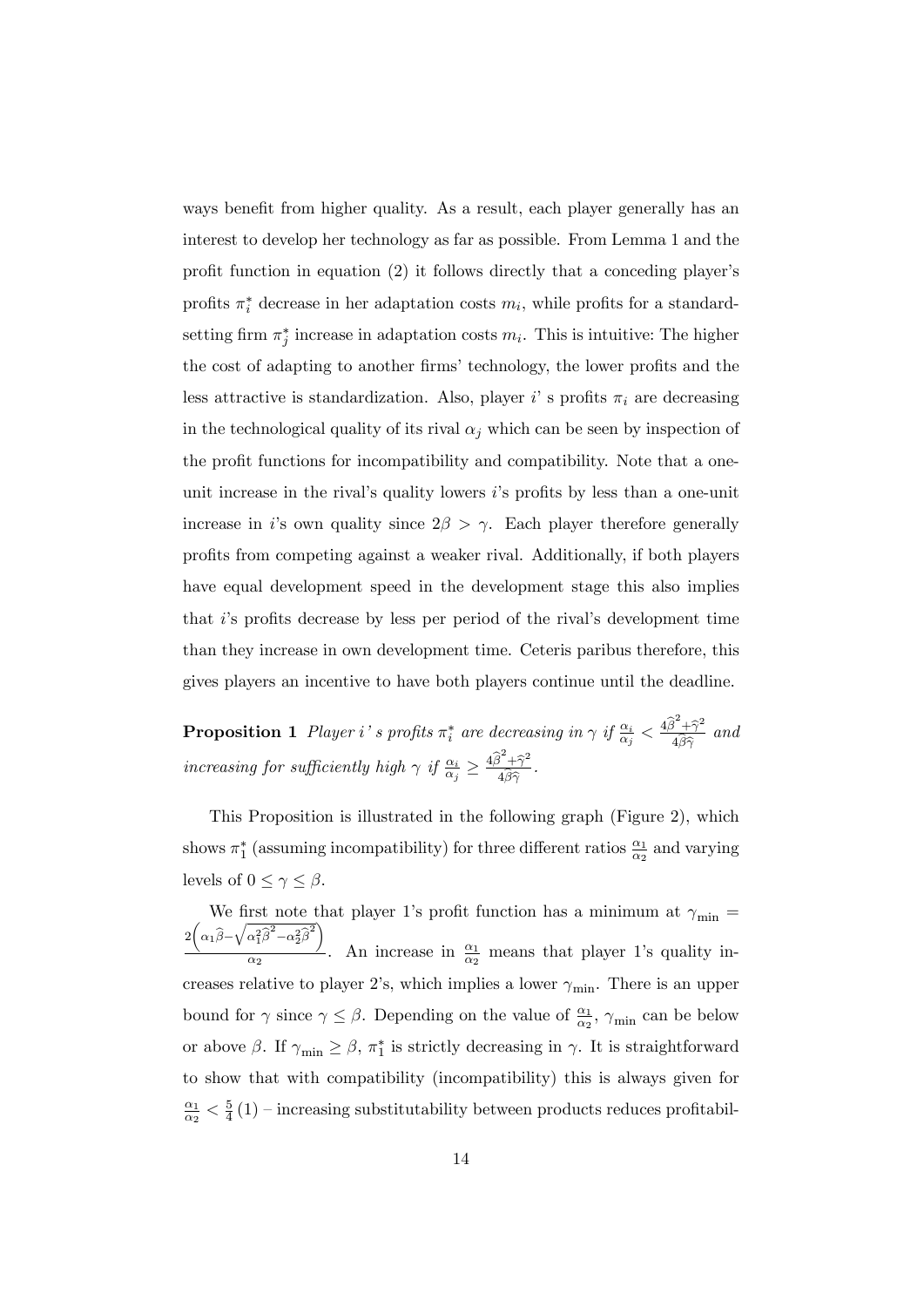ways benefit from higher quality. As a result, each player generally has an interest to develop her technology as far as possible. From Lemma 1 and the profit function in equation  $(2)$  it follows directly that a conceding player's profits  $\pi_i^*$  decrease in her adaptation costs  $m_i$ , while profits for a standardsetting firm  $\pi_j^*$  increase in adaptation costs  $m_i$ . This is intuitive: The higher the cost of adapting to another firms' technology, the lower profits and the less attractive is standardization. Also, player i's profits  $\pi_i$  are decreasing in the technological quality of its rival  $\alpha_j$  which can be seen by inspection of the profit functions for incompatibility and compatibility. Note that a oneunit increase in the rival's quality lowers  $i$ 's profits by less than a one-unit increase in *i*'s own quality since  $2\beta > \gamma$ . Each player therefore generally proÖts from competing against a weaker rival. Additionally, if both players have equal development speed in the development stage this also implies that  $i$ 's profits decrease by less per period of the rival's development time than they increase in own development time. Ceteris paribus therefore, this gives players an incentive to have both players continue until the deadline.

**Proposition 1** Player i's profits  $\pi_i^*$  are decreasing in  $\gamma$  if  $\frac{\alpha_i}{\alpha_j} < \frac{4\hat{\beta}^2 + \hat{\gamma}^2}{4\hat{\beta}\hat{\gamma}}$  $4\beta\widehat{\gamma}$ and increasing for sufficiently high  $\gamma$  if  $\frac{\alpha_i}{\alpha_j} \geq \frac{4\hat{\beta}^2 + \hat{\gamma}^2}{4\hat{\beta}\hat{\gamma}}$  $4\beta\widehat{\gamma}$ .

This Proposition is illustrated in the following graph (Figure 2), which shows  $\pi_1^*$  (assuming incompatibility) for three different ratios  $\frac{\alpha_1}{\alpha_2}$  and varying levels of  $0 \leq \gamma \leq \beta$ .

We first note that player 1's profit function has a minimum at  $\gamma_{\min} =$  $2\left(\alpha_1\widehat{\beta}-\sqrt{\alpha_1^2\widehat{\beta}^2-\alpha_2^2\widehat{\beta}^2}\right)$  $\frac{\alpha_1}{\alpha_2}$ . An increase in  $\frac{\alpha_1}{\alpha_2}$  means that player 1's quality increases relative to player 2's, which implies a lower  $\gamma_{\min}$ . There is an upper bound for  $\gamma$  since  $\gamma \leq \beta$ . Depending on the value of  $\frac{\alpha_1}{\alpha_2}$ ,  $\gamma_{\min}$  can be below or above  $\beta$ . If  $\gamma_{\min} \geq \beta$ ,  $\pi_1^*$  is strictly decreasing in  $\gamma$ . It is straightforward to show that with compatibility (incompatibility) this is always given for  $\alpha_1$  $\frac{\alpha_1}{\alpha_2} < \frac{5}{4}$  $\frac{5}{4}(1)$  – increasing substitutability between products reduces profitabil-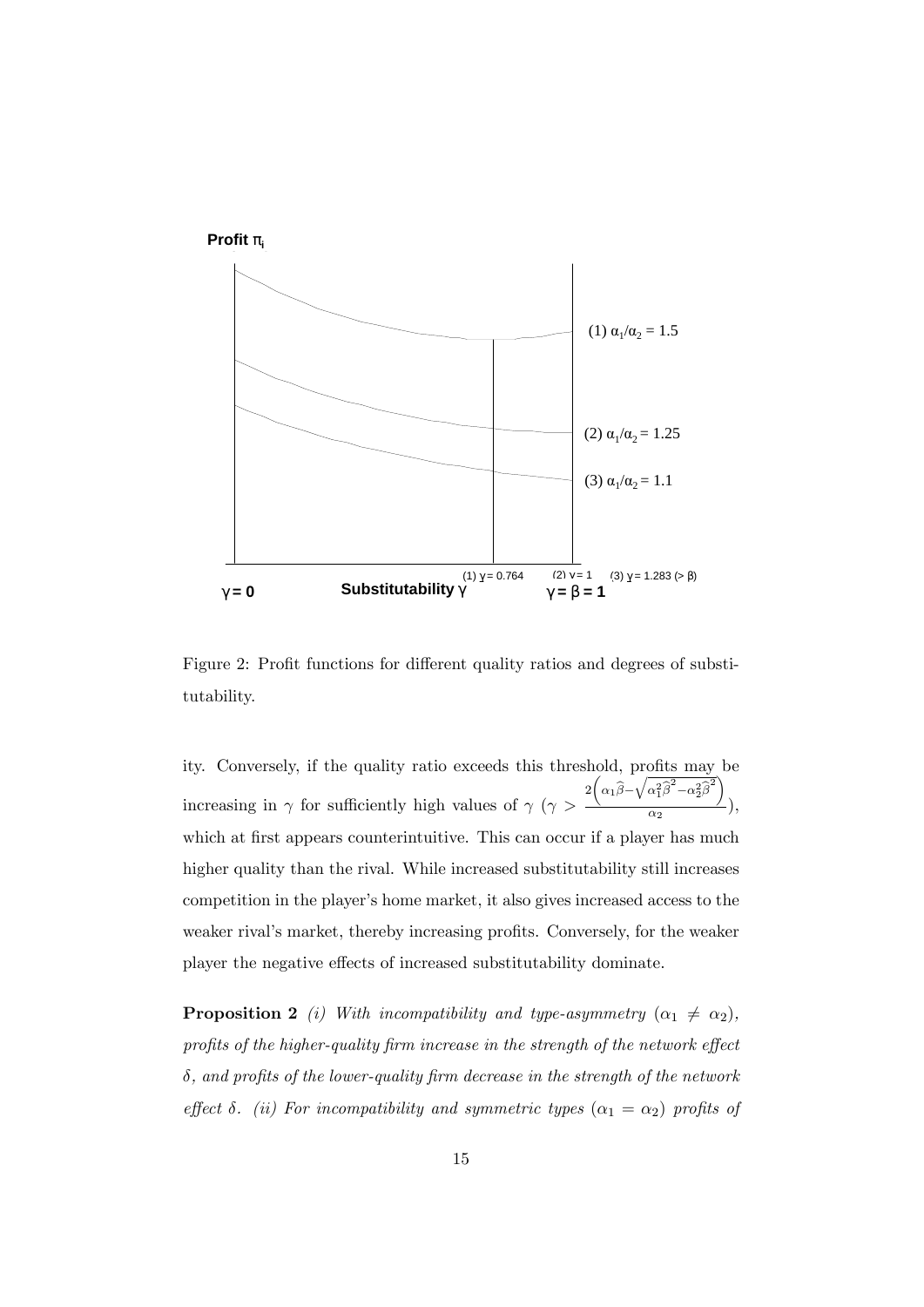

Figure 2: Profit functions for different quality ratios and degrees of substitutability.

ity. Conversely, if the quality ratio exceeds this threshold, profits may be increasing in  $\gamma$  for sufficiently high values of  $\gamma$  ( $\gamma$ )  $2\left(\alpha_1\widehat{\beta}\!-\!\sqrt{\alpha_1^2\widehat{\beta}^2\!-\!\alpha_2^2\widehat{\beta}^2}\right)$  $\frac{1}{\alpha_2}$ ), which at first appears counterintuitive. This can occur if a player has much higher quality than the rival. While increased substitutability still increases competition in the playerís home market, it also gives increased access to the weaker rival's market, thereby increasing profits. Conversely, for the weaker player the negative effects of increased substitutability dominate.

**Proposition 2** (i) With incompatibility and type-asymmetry  $(\alpha_1 \neq \alpha_2)$ , profits of the higher-quality firm increase in the strength of the network effect  $\delta$ , and profits of the lower-quality firm decrease in the strength of the network effect  $\delta$ . (ii) For incompatibility and symmetric types  $(\alpha_1 = \alpha_2)$  profits of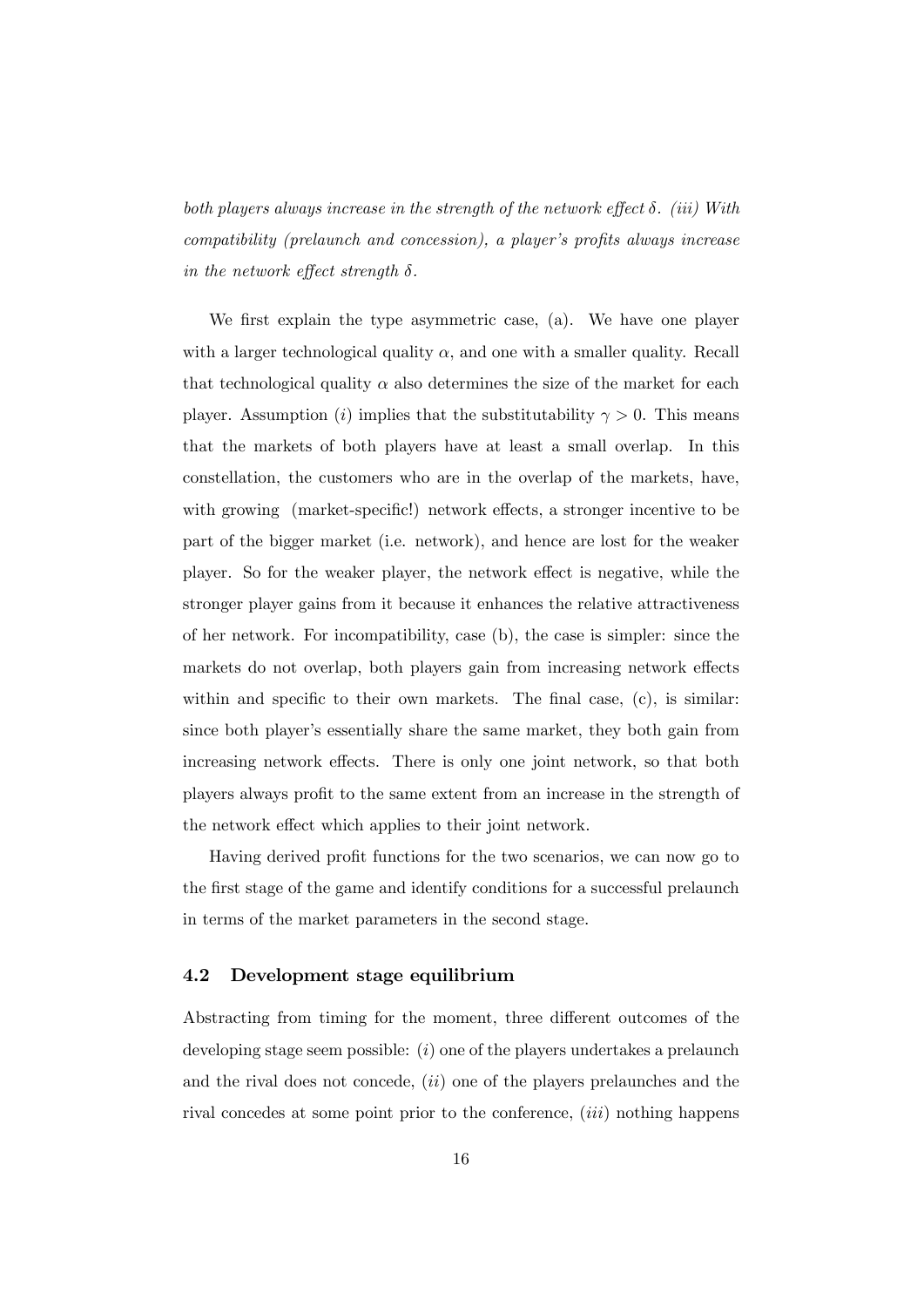both players always increase in the strength of the network effect  $\delta$ . (iii) With  $comptibility$  (prelaunch and concession), a player's profits always increase in the network effect strength  $\delta$ .

We first explain the type asymmetric case, (a). We have one player with a larger technological quality  $\alpha$ , and one with a smaller quality. Recall that technological quality  $\alpha$  also determines the size of the market for each player. Assumption (i) implies that the substitutability  $\gamma > 0$ . This means that the markets of both players have at least a small overlap. In this constellation, the customers who are in the overlap of the markets, have, with growing (market-specific!) network effects, a stronger incentive to be part of the bigger market (i.e. network), and hence are lost for the weaker player. So for the weaker player, the network effect is negative, while the stronger player gains from it because it enhances the relative attractiveness of her network. For incompatibility, case (b), the case is simpler: since the markets do not overlap, both players gain from increasing network effects within and specific to their own markets. The final case,  $(c)$ , is similar: since both player's essentially share the same market, they both gain from increasing network effects. There is only one joint network, so that both players always profit to the same extent from an increase in the strength of the network effect which applies to their joint network.

Having derived profit functions for the two scenarios, we can now go to the first stage of the game and identify conditions for a successful prelaunch in terms of the market parameters in the second stage.

#### 4.2 Development stage equilibrium

Abstracting from timing for the moment, three different outcomes of the developing stage seem possible:  $(i)$  one of the players undertakes a prelaunch and the rival does not concede,  $(ii)$  one of the players prelaunches and the rival concedes at some point prior to the conference, *(iii)* nothing happens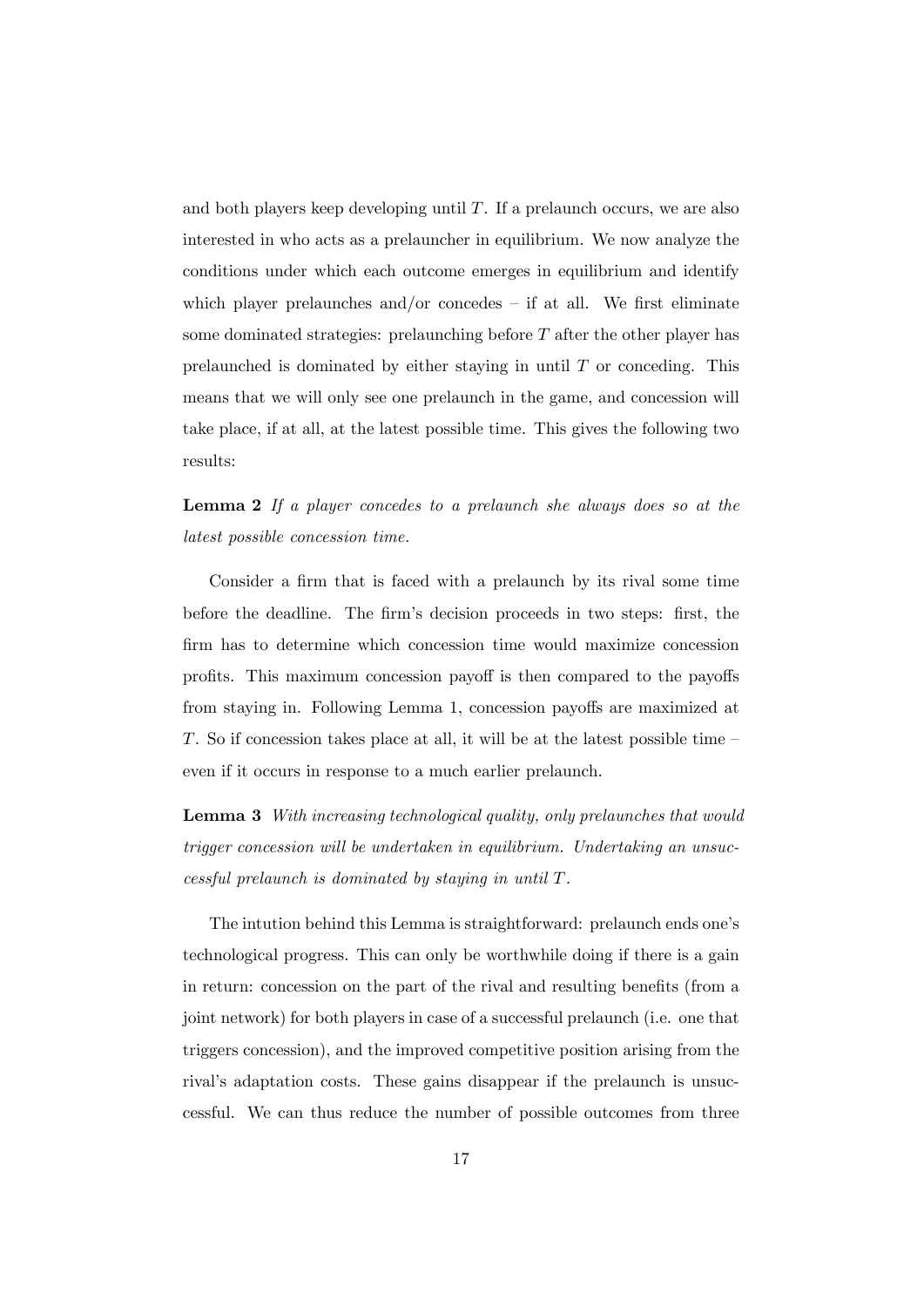and both players keep developing until  $T$ . If a prelaunch occurs, we are also interested in who acts as a prelauncher in equilibrium. We now analyze the conditions under which each outcome emerges in equilibrium and identify which player prelaunches and/or concedes  $-$  if at all. We first eliminate some dominated strategies: prelaunching before  $T$  after the other player has prelaunched is dominated by either staying in until  $T$  or conceding. This means that we will only see one prelaunch in the game, and concession will take place, if at all, at the latest possible time. This gives the following two results:

Lemma 2 If a player concedes to a prelaunch she always does so at the latest possible concession time.

Consider a firm that is faced with a prelaunch by its rival some time before the deadline. The firm's decision proceeds in two steps: first, the firm has to determine which concession time would maximize concession profits. This maximum concession payoff is then compared to the payoffs from staying in. Following Lemma 1, concession payoffs are maximized at T. So if concession takes place at all, it will be at the latest possible time  $\overline{\phantom{a}}$ even if it occurs in response to a much earlier prelaunch.

Lemma 3 With increasing technological quality, only prelaunches that would trigger concession will be undertaken in equilibrium. Undertaking an unsuccessful prelaunch is dominated by staying in until T.

The intution behind this Lemma is straightforward: prelaunch ends one's technological progress. This can only be worthwhile doing if there is a gain in return: concession on the part of the rival and resulting benefits (from a joint network) for both players in case of a successful prelaunch (i.e. one that triggers concession), and the improved competitive position arising from the rival's adaptation costs. These gains disappear if the prelaunch is unsuccessful. We can thus reduce the number of possible outcomes from three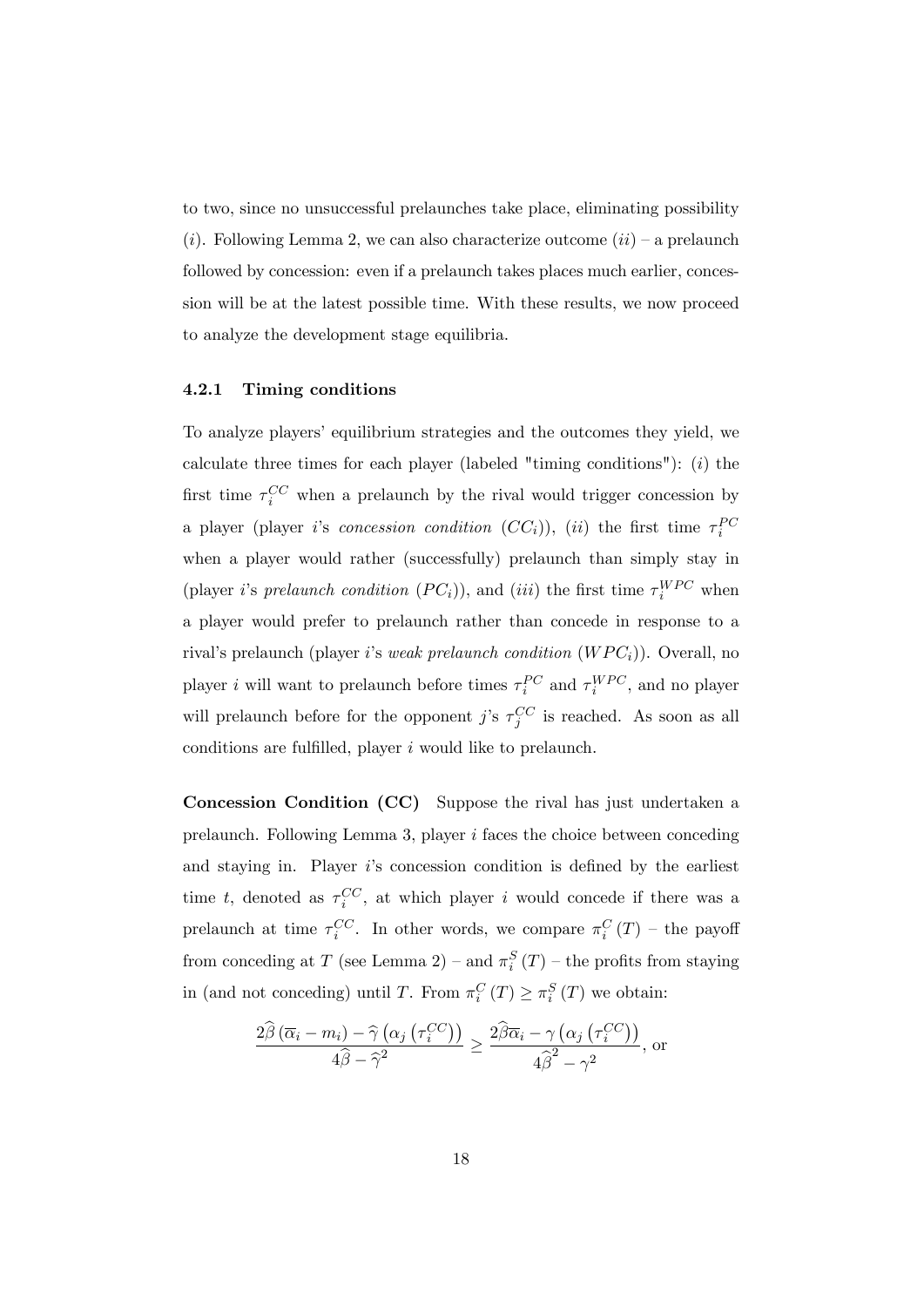to two, since no unsuccessful prelaunches take place, eliminating possibility (*i*). Following Lemma 2, we can also characterize outcome  $(ii)$  – a prelaunch followed by concession: even if a prelaunch takes places much earlier, concession will be at the latest possible time. With these results, we now proceed to analyze the development stage equilibria.

#### 4.2.1 Timing conditions

To analyze players' equilibrium strategies and the outcomes they yield, we calculate three times for each player (labeled "timing conditions"):  $(i)$  the first time  $\tau_i^{CC}$  when a prelaunch by the rival would trigger concession by a player (player *i*'s *concession condition*  $(CC_i)$ ), (*ii*) the first time  $\tau_i^{PC}$ when a player would rather (successfully) prelaunch than simply stay in (player *i*'s *prelaunch condition*  $(PC_i)$ ), and (*iii*) the first time  $\tau_i^{WPC}$  when a player would prefer to prelaunch rather than concede in response to a rival's prelaunch (player i's weak prelaunch condition  $(WPC_i)$ ). Overall, no player *i* will want to prelaunch before times  $\tau_i^{PC}$  and  $\tau_i^{WPC}$ , and no player will prelaunch before for the opponent j's  $\tau_j^{CC}$  is reached. As soon as all conditions are fulfilled, player  $i$  would like to prelaunch.

Concession Condition (CC) Suppose the rival has just undertaken a prelaunch. Following Lemma 3, player  $i$  faces the choice between conceding and staying in. Player  $i$ 's concession condition is defined by the earliest time t, denoted as  $\tau_i^{CC}$ , at which player i would concede if there was a prelaunch at time  $\tau_i^{CC}$ . In other words, we compare  $\pi_i^C(T)$  – the payoff from conceding at T (see Lemma 2) – and  $\pi_i^S(T)$  – the profits from staying in (and not conceding) until T. From  $\pi_i^C(T) \geq \pi_i^S(T)$  we obtain:

$$
\frac{2\widehat{\beta}\left(\overline{\alpha}_{i}-m_{i}\right)-\widehat{\gamma}\left(\alpha_{j}\left(\tau_{i}^{CC}\right)\right)}{4\widehat{\beta}-\widehat{\gamma}^{2}} \geq \frac{2\widehat{\beta}\overline{\alpha}_{i}-\gamma\left(\alpha_{j}\left(\tau_{i}^{CC}\right)\right)}{4\widehat{\beta}^{2}-\gamma^{2}}, \text{ or}
$$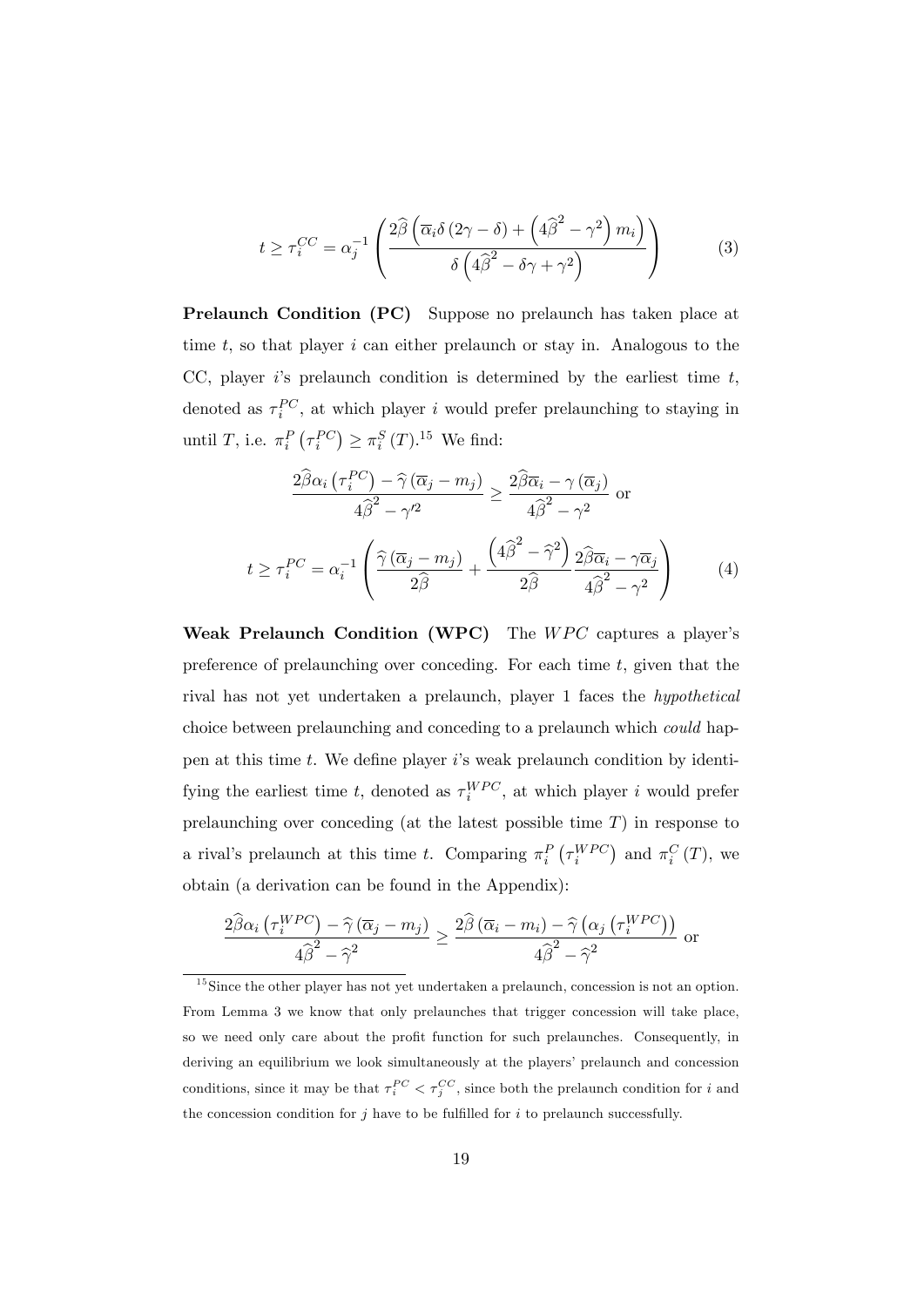$$
t \ge \tau_i^{CC} = \alpha_j^{-1} \left( \frac{2\widehat{\beta} \left( \overline{\alpha}_i \delta \left( 2\gamma - \delta \right) + \left( 4\widehat{\beta}^2 - \gamma^2 \right) m_i \right)}{\delta \left( 4\widehat{\beta}^2 - \delta \gamma + \gamma^2 \right)} \right)
$$
(3)

Prelaunch Condition (PC) Suppose no prelaunch has taken place at time  $t$ , so that player  $i$  can either prelaunch or stay in. Analogous to the CC, player is prelaunch condition is determined by the earliest time  $t$ , denoted as  $\tau_i^{PC}$ , at which player i would prefer prelaunching to staying in until T, i.e.  $\pi_i^P(\tau_i^{PC}) \geq \pi_i^S(T)^{15}$  We find:

$$
\frac{2\hat{\beta}\alpha_{i}\left(\tau_{i}^{PC}\right)-\hat{\gamma}\left(\overline{\alpha}_{j}-m_{j}\right)}{4\hat{\beta}^{2}-\gamma^{2}} \geq \frac{2\hat{\beta}\overline{\alpha}_{i}-\gamma\left(\overline{\alpha}_{j}\right)}{4\hat{\beta}^{2}-\gamma^{2}} \text{ or}
$$
\n
$$
t \geq \tau_{i}^{PC} = \alpha_{i}^{-1} \left(\frac{\hat{\gamma}\left(\overline{\alpha}_{j}-m_{j}\right)}{2\hat{\beta}} + \frac{\left(4\hat{\beta}^{2}-\hat{\gamma}^{2}\right)}{2\hat{\beta}} \frac{2\hat{\beta}\overline{\alpha}_{i}-\gamma\overline{\alpha}_{j}}{4\hat{\beta}^{2}-\gamma^{2}}\right) \tag{4}
$$

Weak Prelaunch Condition (WPC) The  $WPC$  captures a player's preference of prelaunching over conceding. For each time  $t$ , given that the rival has not yet undertaken a prelaunch, player 1 faces the hypothetical choice between prelaunching and conceding to a prelaunch which could happen at this time  $t$ . We define player is weak prelaunch condition by identifying the earliest time t, denoted as  $\tau_i^{WPC}$ , at which player i would prefer prelaunching over conceding (at the latest possible time  $T$ ) in response to a rival's prelaunch at this time t. Comparing  $\pi_i^P(\tau_i^{WPC})$  and  $\pi_i^C(T)$ , we obtain (a derivation can be found in the Appendix):

$$
\frac{2\widehat{\beta}\alpha_i \left(\tau_i^{WPC}\right) - \widehat{\gamma}\left(\overline{\alpha}_j - m_j\right)}{4\widehat{\beta}^2 - \widehat{\gamma}^2} \ge \frac{2\widehat{\beta}\left(\overline{\alpha}_i - m_i\right) - \widehat{\gamma}\left(\alpha_j \left(\tau_i^{WPC}\right)\right)}{4\widehat{\beta}^2 - \widehat{\gamma}^2} \text{ or }
$$

 $15$ Since the other player has not yet undertaken a prelaunch, concession is not an option. From Lemma 3 we know that only prelaunches that trigger concession will take place, so we need only care about the profit function for such prelaunches. Consequently, in deriving an equilibrium we look simultaneously at the players' prelaunch and concession conditions, since it may be that  $\tau_i^{PC} < \tau_j^{CC}$ , since both the prelaunch condition for i and the concession condition for j have to be fulfilled for  $i$  to prelaunch successfully.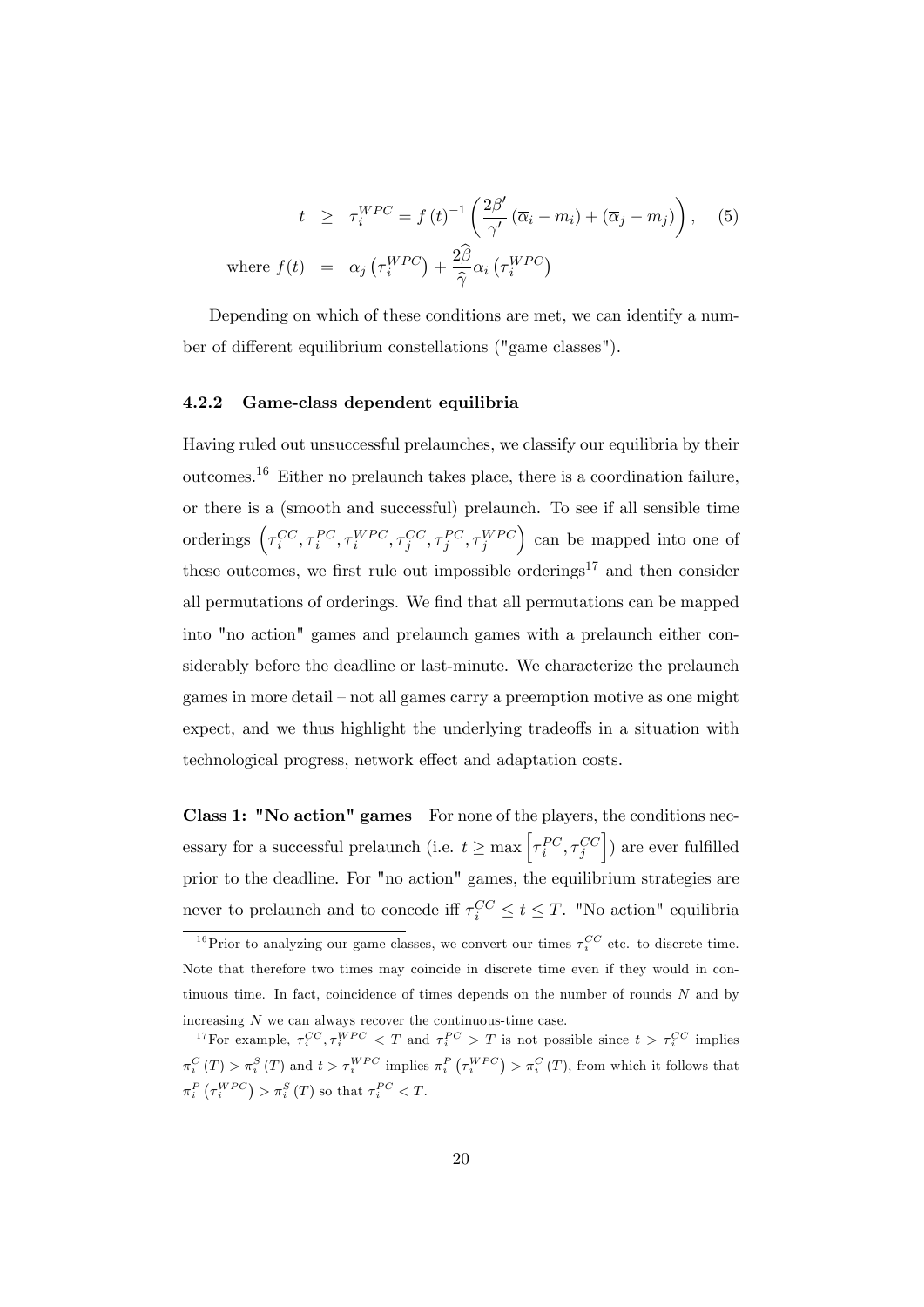$$
t \geq \tau_i^{WPC} = f(t)^{-1} \left( \frac{2\beta'}{\gamma'} (\overline{\alpha}_i - m_i) + (\overline{\alpha}_j - m_j) \right), \quad (5)
$$
  
where  $f(t) = \alpha_j \left( \tau_i^{WPC} \right) + \frac{2\widehat{\beta}}{\widehat{\gamma}} \alpha_i \left( \tau_i^{WPC} \right)$ 

Depending on which of these conditions are met, we can identify a number of different equilibrium constellations ("game classes").

#### 4.2.2 Game-class dependent equilibria

Having ruled out unsuccessful prelaunches, we classify our equilibria by their outcomes.<sup>16</sup> Either no prelaunch takes place, there is a coordination failure, or there is a (smooth and successful) prelaunch. To see if all sensible time orderings  $\left(\tau_i^{CC}, \tau_i^{PC}, \tau_i^{WPC}, \tau_j^{CC}, \tau_j^{PC}, \tau_j^{WPC}\right)$  can be mapped into one of these outcomes, we first rule out impossible orderings<sup>17</sup> and then consider all permutations of orderings. We find that all permutations can be mapped into "no action" games and prelaunch games with a prelaunch either considerably before the deadline or last-minute. We characterize the prelaunch games in more detail – not all games carry a preemption motive as one might expect, and we thus highlight the underlying tradeoffs in a situation with technological progress, network effect and adaptation costs.

Class 1: "No action" games For none of the players, the conditions necessary for a successful prelaunch (i.e.  $t \ge \max \left[ \tau_i^{PC}, \tau_j^{CC} \right]$  $\big]$  are ever fulfilled prior to the deadline. For "no action" games, the equilibrium strategies are never to prelaunch and to concede iff  $\tau_i^{CC} \le t \le T$ . "No action" equilibria

<sup>&</sup>lt;sup>16</sup>Prior to analyzing our game classes, we convert our times  $\tau_i^{CC}$  etc. to discrete time. Note that therefore two times may coincide in discrete time even if they would in continuous time. In fact, coincidence of times depends on the number of rounds  $N$  and by increasing  $N$  we can always recover the continuous-time case.

<sup>&</sup>lt;sup>17</sup>For example,  $\tau_i^{CC}, \tau_i^{WPC} < T$  and  $\tau_i^{PC} > T$  is not possible since  $t > \tau_i^{CC}$  implies  $\pi_i^C(T) > \pi_i^S(T)$  and  $t > \tau_i^{WPC}$  implies  $\pi_i^P(\tau_i^{WPC}) > \pi_i^C(T)$ , from which it follows that  $\pi_i^P\left(\tau_i^{WPC}\right) > \pi_i^S\left(T\right)$  so that  $\tau_i^{PC} < T$ .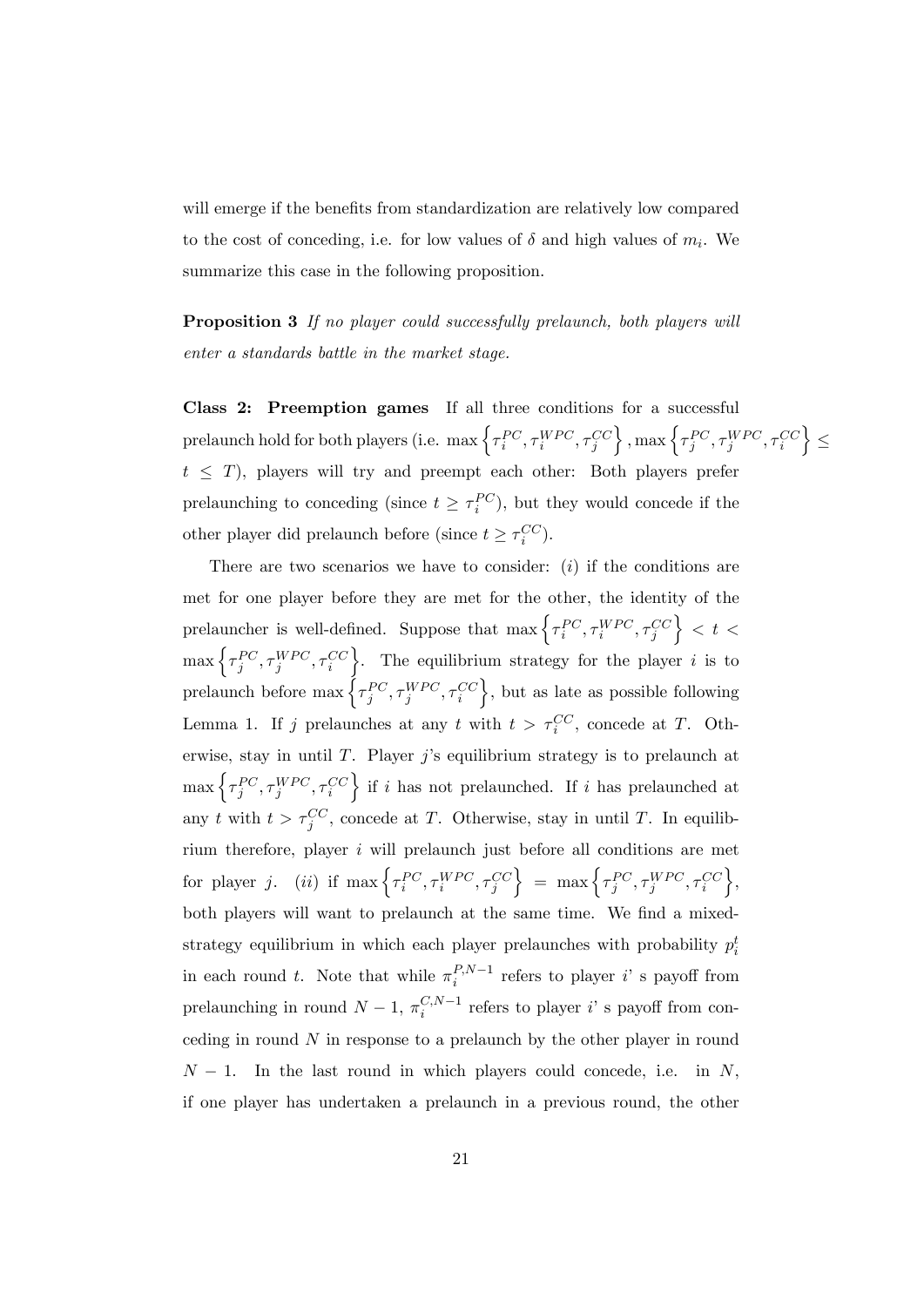will emerge if the benefits from standardization are relatively low compared to the cost of conceding, i.e. for low values of  $\delta$  and high values of  $m_i$ . We summarize this case in the following proposition.

Proposition 3 If no player could successfully prelaunch, both players will enter a standards battle in the market stage.

Class 2: Preemption games If all three conditions for a successful prelaunch hold for both players (i.e. max  $\left\{ \tau_{i}^{PC},\tau_{i}^{WPC},\tau_{j}^{CC} \right\}$  $\Big\}$ , max  $\Big\{ \tau_j^{PC}, \tau_j^{WPC}, \tau_i^{CC}$ o  $\geq$  $t \leq T$ ), players will try and preempt each other: Both players prefer prelaunching to conceding (since  $t \geq \tau_i^{PC}$ ), but they would concede if the other player did prelaunch before (since  $t \geq \tau_i^{CC}$ ).

There are two scenarios we have to consider:  $(i)$  if the conditions are met for one player before they are met for the other, the identity of the prelauncher is well-defined. Suppose that  $\max \left\{ \tau_i^{PC}, \tau_i^{WPC}, \tau_j^{CC} \right\}$  $\Big\} < t <$  $\max\left\{\tau_j^{PC}, \tau_j^{WPC}, \tau_i^{CC}\right\}$  $\}$ . The equilibrium strategy for the player *i* is to prelaunch before  $\max \Big\{ {\tau_j^{PC}, \tau_j^{WPC}, \tau_i^{CC}}$  $\}$ , but as late as possible following Lemma 1. If j prelaunches at any t with  $t > \tau_i^{CC}$ , concede at T. Otherwise, stay in until  $T$ . Player j's equilibrium strategy is to prelaunch at  $\max\left\{\tau_j^{PC}, \tau_j^{WPC}, \tau_i^{CC}\right\}$  $\}$  if i has not prelaunched. If i has prelaunched at any t with  $t > \tau_j^{CC}$ , concede at T. Otherwise, stay in until T. In equilibrium therefore, player i will prelaunch just before all conditions are met for player j. (ii) if  $\max\left\{\tau_i^{PC}, \tau_i^{WPC}, \tau_j^{CC}\right\}$  $\Big\} = \max \Big\{ \tau_j^{PC}, \tau_j^{WPC}, \tau_i^{CC}$  $\}$ both players will want to prelaunch at the same time. We find a mixedstrategy equilibrium in which each player prelaunches with probability  $p_i^t$ in each round t. Note that while  $\pi_i^{P,N-1}$  refers to player i's payoff from prelaunching in round  $N-1$ ,  $\pi_i^{C,N-1}$  refers to player i's payoff from conceding in round  $N$  in response to a prelaunch by the other player in round  $N-1$ . In the last round in which players could concede, i.e. in N, if one player has undertaken a prelaunch in a previous round, the other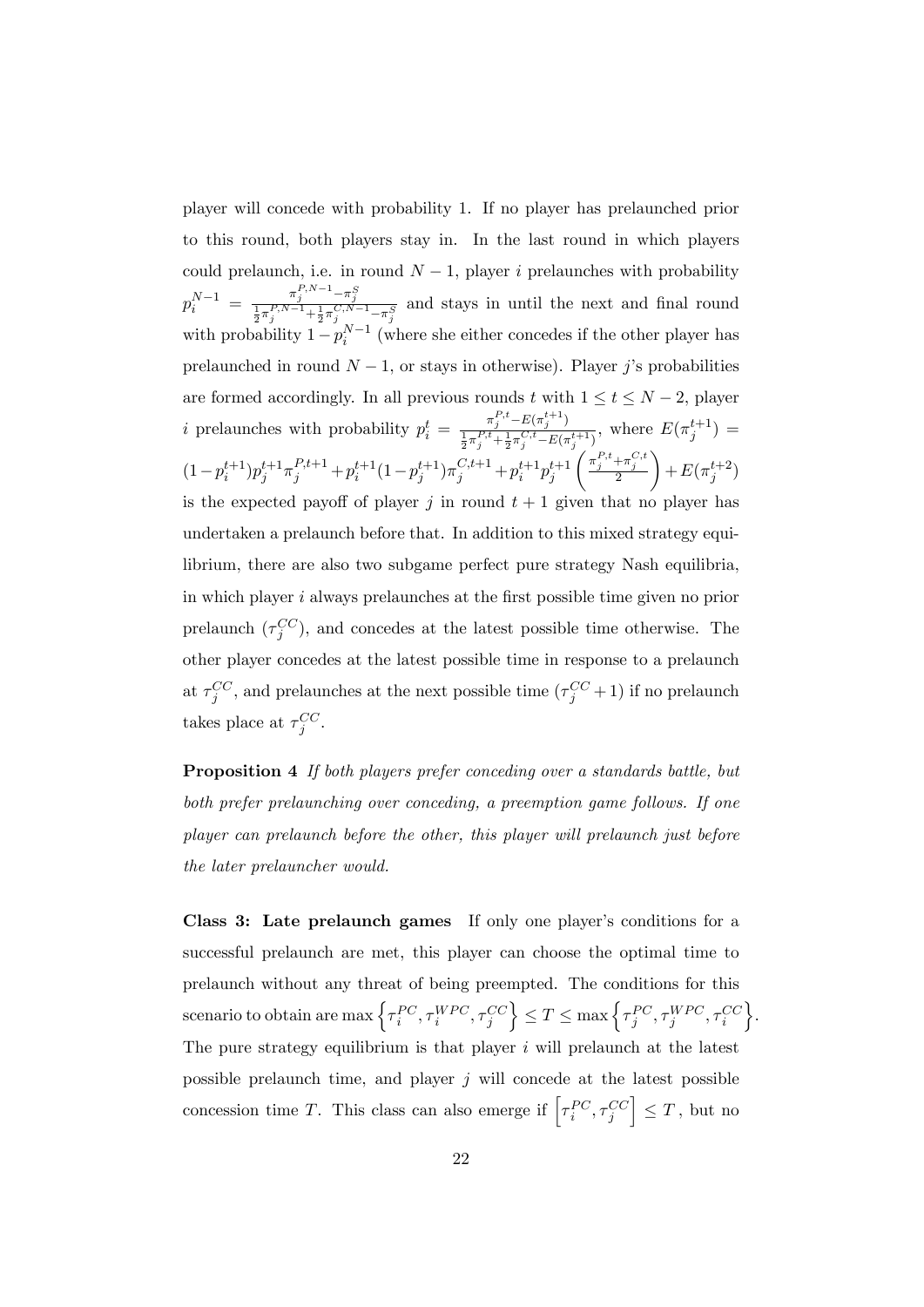player will concede with probability 1. If no player has prelaunched prior to this round, both players stay in. In the last round in which players could prelaunch, i.e. in round  $N-1$ , player i prelaunches with probability  $p_i^{N-1} = \frac{\pi_j^{P,N-1} - \pi_j^S}{\frac{1}{2}\pi_j^{P,N-1} + \frac{1}{2}\pi_j^{C,N-1} - \pi_j^S}$  and stays in until the next and final round with probability  $1 - p_i^{N-1}$  (where she either concedes if the other player has prelaunched in round  $N-1$ , or stays in otherwise). Player j's probabilities are formed accordingly. In all previous rounds t with  $1 \le t \le N - 2$ , player *i* prelaunches with probability  $p_i^t = \frac{\pi_j^{P,t} - E(\pi_j^{t+1})}{\frac{1}{\pi_j^{P,t} + \frac{1}{\pi_j^{C,t} - E(\pi_j^{t+1})}}$  $\frac{\pi_j - E(\pi_j)}{\frac{1}{2}\pi_j^{P,t} + \frac{1}{2}\pi_j^{C,t} - E(\pi_j^{t+1})}, \text{ where } E(\pi_j^{t+1}) =$  $(1-p_i^{t+1})p_j^{t+1}\pi_j^{P,t+1}+p_i^{t+1}(1-p_j^{t+1})\pi_j^{C,t+1}+p_i^{t+1}p_j^{t+1}$  $\left(\frac{\pi_j^{P,t}+\pi_j^{C,t}}{2}\right)$  $\setminus$  $+E(\pi_j^{t+2})$ is the expected payoff of player j in round  $t + 1$  given that no player has undertaken a prelaunch before that. In addition to this mixed strategy equilibrium, there are also two subgame perfect pure strategy Nash equilibria, in which player  $i$  always prelaunches at the first possible time given no prior prelaunch  $(\tau_j^{CC})$ , and concedes at the latest possible time otherwise. The other player concedes at the latest possible time in response to a prelaunch at  $\tau_j^{CC}$ , and prelaunches at the next possible time  $(\tau_j^{CC} + 1)$  if no prelaunch takes place at  $\tau_j^{CC}$ .

Proposition 4 If both players prefer conceding over a standards battle, but both prefer prelaunching over conceding, a preemption game follows. If one player can prelaunch before the other, this player will prelaunch just before the later prelauncher would.

Class 3: Late prelaunch games If only one player's conditions for a successful prelaunch are met, this player can choose the optimal time to prelaunch without any threat of being preempted. The conditions for this scenario to obtain are max  $\left\{\tau_i^{PC}, \tau_i^{WPC}, \tau_j^{CC}\right\}$  $\Big\} \leq T \leq \max \Big\{ \tau^{PC}_j, \tau^{WPC}_j, \tau^{CC}_i$ o . The pure strategy equilibrium is that player  $i$  will prelaunch at the latest possible prelaunch time, and player  $j$  will concede at the latest possible concession time T. This class can also emerge if  $\left[\tau_i^{PC}, \tau_j^{CC}\right]$  $\Big] \leq T$ , but no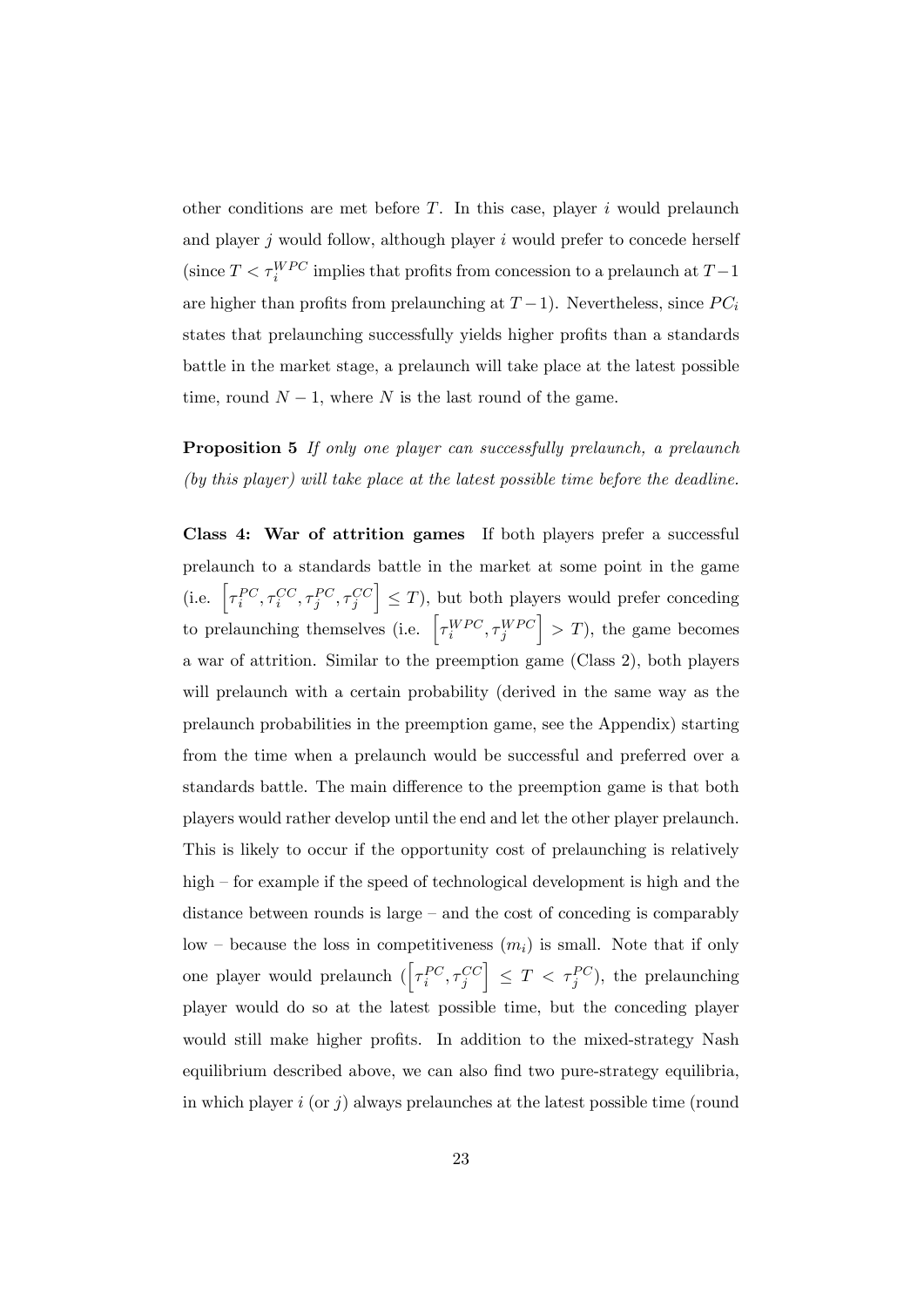other conditions are met before  $T$ . In this case, player i would prelaunch and player  $j$  would follow, although player  $i$  would prefer to concede herself (since  $T < \tau_i^{WPC}$  implies that profits from concession to a prelaunch at  $T-1$ are higher than profits from prelaunching at  $T-1$ ). Nevertheless, since  $PC_i$ states that prelaunching successfully yields higher profits than a standards battle in the market stage, a prelaunch will take place at the latest possible time, round  $N-1$ , where N is the last round of the game.

## Proposition 5 If only one player can successfully prelaunch, a prelaunch (by this player) will take place at the latest possible time before the deadline.

Class 4: War of attrition games If both players prefer a successful prelaunch to a standards battle in the market at some point in the game (i.e.  $\left[\tau_i^{PC}, \tau_i^{CC}, \tau_j^{PC}, \tau_j^{CC}\right]$  $\vert \leq T$ ), but both players would prefer conceding to prelaunching themselves (i.e.  $\left[\tau_i^{WPC}, \tau_j^{WPC}\right]$  $\vert$  > T), the game becomes a war of attrition. Similar to the preemption game (Class 2), both players will prelaunch with a certain probability (derived in the same way as the prelaunch probabilities in the preemption game, see the Appendix) starting from the time when a prelaunch would be successful and preferred over a standards battle. The main difference to the preemption game is that both players would rather develop until the end and let the other player prelaunch. This is likely to occur if the opportunity cost of prelaunching is relatively high  $\overline{\phantom{a}}$  for example if the speed of technological development is high and the distance between rounds is large  $-\text{ and the cost of proceeding is comparably}$ low – because the loss in competitiveness  $(m_i)$  is small. Note that if only one player would prelaunch  $(\left[\tau_i^{PC},\tau_j^{CC}\right]$  $\Big] \leq T < \tau_j^{PC}$ ), the prelaunching player would do so at the latest possible time, but the conceding player would still make higher profits. In addition to the mixed-strategy Nash equilibrium described above, we can also find two pure-strategy equilibria, in which player i (or j) always prelaunches at the latest possible time (round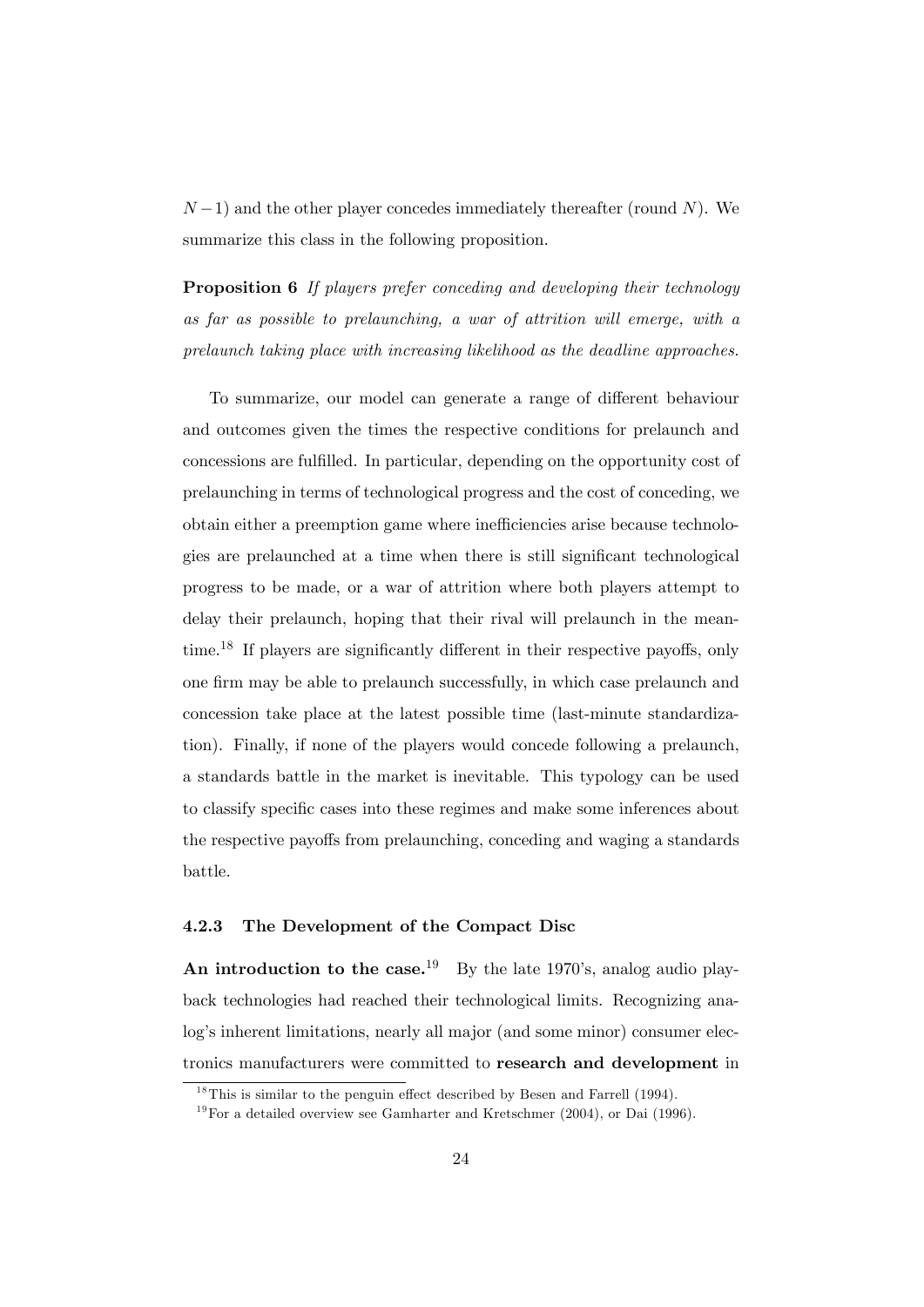$(N-1)$  and the other player concedes immediately thereafter (round N). We summarize this class in the following proposition.

Proposition 6 If players prefer conceding and developing their technology as far as possible to prelaunching, a war of attrition will emerge, with a prelaunch taking place with increasing likelihood as the deadline approaches.

To summarize, our model can generate a range of different behaviour and outcomes given the times the respective conditions for prelaunch and concessions are fulfilled. In particular, depending on the opportunity cost of prelaunching in terms of technological progress and the cost of conceding, we obtain either a preemption game where inefficiencies arise because technologies are prelaunched at a time when there is still significant technological progress to be made, or a war of attrition where both players attempt to delay their prelaunch, hoping that their rival will prelaunch in the meantime.<sup>18</sup> If players are significantly different in their respective payoffs, only one firm may be able to prelaunch successfully, in which case prelaunch and concession take place at the latest possible time (last-minute standardization). Finally, if none of the players would concede following a prelaunch, a standards battle in the market is inevitable. This typology can be used to classify specific cases into these regimes and make some inferences about the respective payoffs from prelaunching, conceding and waging a standards battle.

#### 4.2.3 The Development of the Compact Disc

An introduction to the case.<sup>19</sup> By the late 1970's, analog audio playback technologies had reached their technological limits. Recognizing analog's inherent limitations, nearly all major (and some minor) consumer electronics manufacturers were committed to research and development in

 $18$ This is similar to the penguin effect described by Besen and Farrell (1994).

 $19$  For a detailed overview see Gamharter and Kretschmer (2004), or Dai (1996).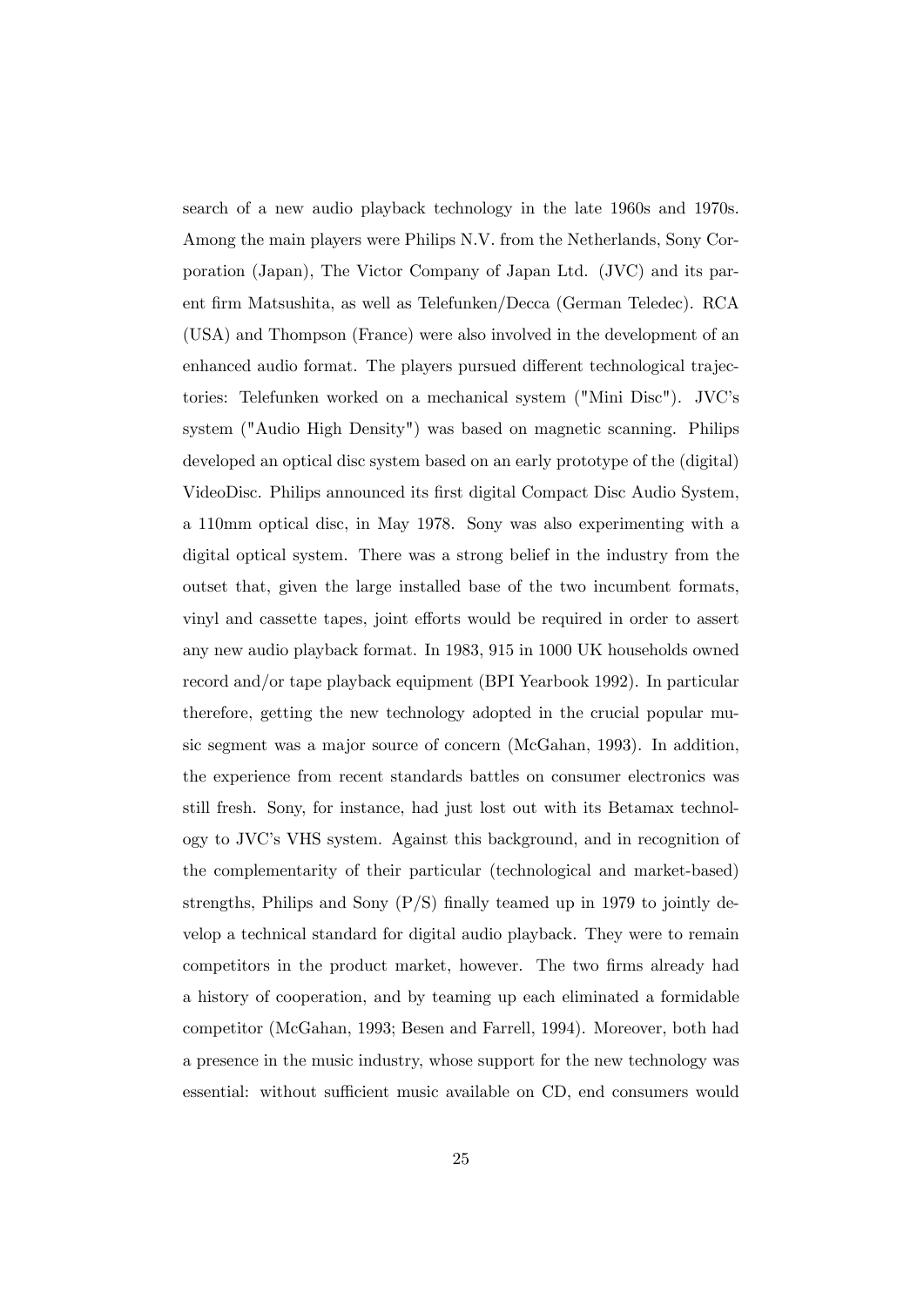search of a new audio playback technology in the late 1960s and 1970s. Among the main players were Philips N.V. from the Netherlands, Sony Corporation (Japan), The Victor Company of Japan Ltd. (JVC) and its parent Örm Matsushita, as well as Telefunken/Decca (German Teledec). RCA (USA) and Thompson (France) were also involved in the development of an enhanced audio format. The players pursued different technological trajectories: Telefunken worked on a mechanical system ("Mini Disc"). JVC's system ("Audio High Density") was based on magnetic scanning. Philips developed an optical disc system based on an early prototype of the (digital) VideoDisc. Philips announced its first digital Compact Disc Audio System, a 110mm optical disc, in May 1978. Sony was also experimenting with a digital optical system. There was a strong belief in the industry from the outset that, given the large installed base of the two incumbent formats, vinyl and cassette tapes, joint efforts would be required in order to assert any new audio playback format. In 1983, 915 in 1000 UK households owned record and/or tape playback equipment (BPI Yearbook 1992). In particular therefore, getting the new technology adopted in the crucial popular music segment was a major source of concern (McGahan, 1993). In addition, the experience from recent standards battles on consumer electronics was still fresh. Sony, for instance, had just lost out with its Betamax technology to JVCís VHS system. Against this background, and in recognition of the complementarity of their particular (technological and market-based) strengths, Philips and Sony  $(P/S)$  finally teamed up in 1979 to jointly develop a technical standard for digital audio playback. They were to remain competitors in the product market, however. The two firms already had a history of cooperation, and by teaming up each eliminated a formidable competitor (McGahan, 1993; Besen and Farrell, 1994). Moreover, both had a presence in the music industry, whose support for the new technology was essential: without sufficient music available on CD, end consumers would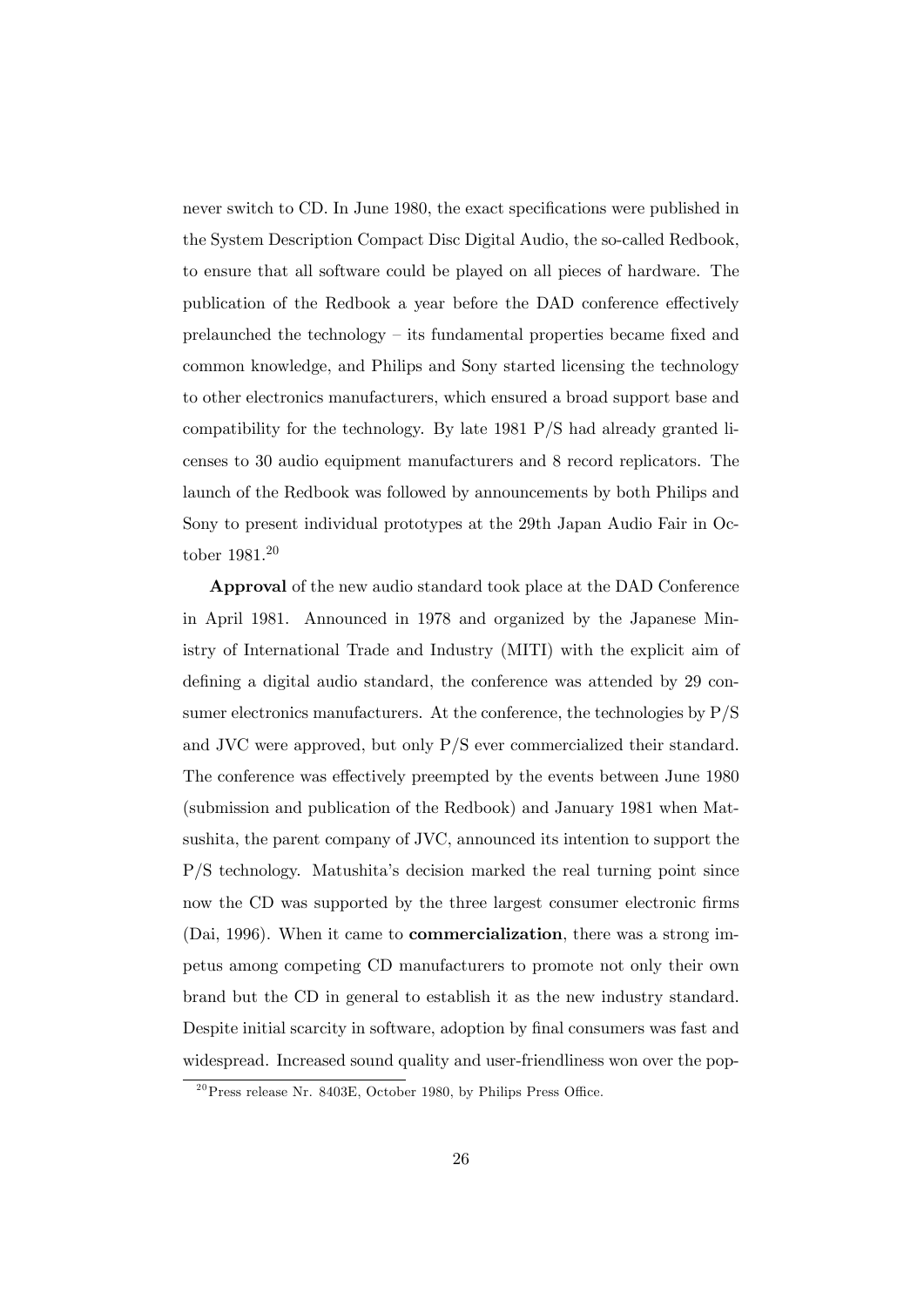never switch to CD. In June 1980, the exact specifications were published in the System Description Compact Disc Digital Audio, the so-called Redbook, to ensure that all software could be played on all pieces of hardware. The publication of the Redbook a year before the DAD conference effectively prelaunched the technology  $-$  its fundamental properties became fixed and common knowledge, and Philips and Sony started licensing the technology to other electronics manufacturers, which ensured a broad support base and compatibility for the technology. By late 1981 P/S had already granted licenses to 30 audio equipment manufacturers and 8 record replicators. The launch of the Redbook was followed by announcements by both Philips and Sony to present individual prototypes at the 29th Japan Audio Fair in October 1981.<sup>20</sup>

Approval of the new audio standard took place at the DAD Conference in April 1981. Announced in 1978 and organized by the Japanese Ministry of International Trade and Industry (MITI) with the explicit aim of defining a digital audio standard, the conference was attended by 29 consumer electronics manufacturers. At the conference, the technologies by P/S and JVC were approved, but only P/S ever commercialized their standard. The conference was effectively preempted by the events between June 1980 (submission and publication of the Redbook) and January 1981 when Matsushita, the parent company of JVC, announced its intention to support the P/S technology. Matushitaís decision marked the real turning point since now the CD was supported by the three largest consumer electronic firms (Dai, 1996). When it came to commercialization, there was a strong impetus among competing CD manufacturers to promote not only their own brand but the CD in general to establish it as the new industry standard. Despite initial scarcity in software, adoption by final consumers was fast and widespread. Increased sound quality and user-friendliness won over the pop-

 $^{20}$ Press release Nr. 8403E, October 1980, by Philips Press Office.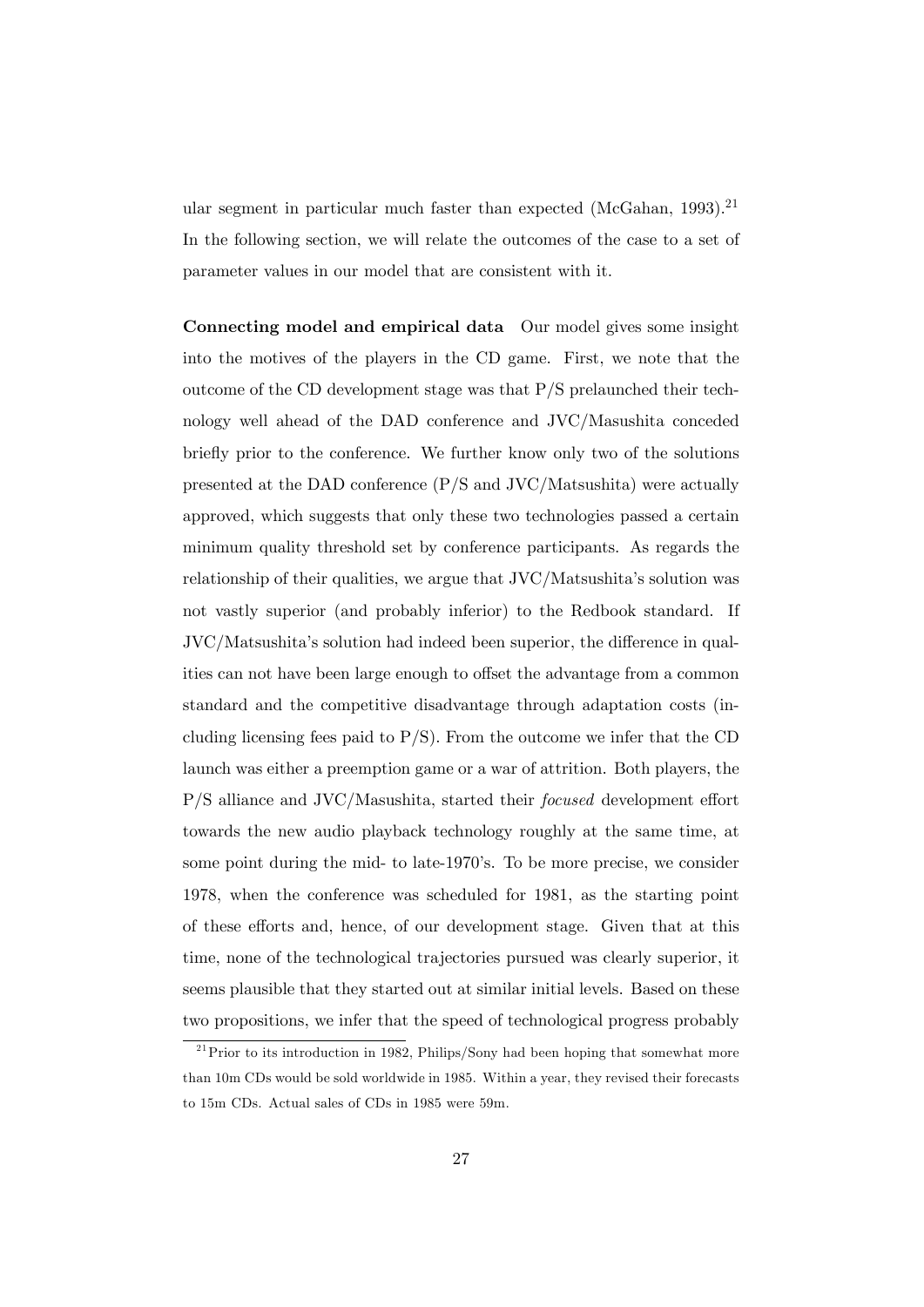ular segment in particular much faster than expected (McGahan,  $1993$ ).<sup>21</sup> In the following section, we will relate the outcomes of the case to a set of parameter values in our model that are consistent with it.

Connecting model and empirical data Our model gives some insight into the motives of the players in the CD game. First, we note that the outcome of the CD development stage was that P/S prelaunched their technology well ahead of the DAD conference and JVC/Masushita conceded briefly prior to the conference. We further know only two of the solutions presented at the DAD conference (P/S and JVC/Matsushita) were actually approved, which suggests that only these two technologies passed a certain minimum quality threshold set by conference participants. As regards the relationship of their qualities, we argue that JVC/Matsushita's solution was not vastly superior (and probably inferior) to the Redbook standard. If JVC/Matsushita's solution had indeed been superior, the difference in qualities can not have been large enough to offset the advantage from a common standard and the competitive disadvantage through adaptation costs (including licensing fees paid to  $P/S$ ). From the outcome we infer that the CD launch was either a preemption game or a war of attrition. Both players, the  $P/S$  alliance and JVC/Masushita, started their *focused* development effort towards the new audio playback technology roughly at the same time, at some point during the mid- to late-1970's. To be more precise, we consider 1978, when the conference was scheduled for 1981, as the starting point of these efforts and, hence, of our development stage. Given that at this time, none of the technological trajectories pursued was clearly superior, it seems plausible that they started out at similar initial levels. Based on these two propositions, we infer that the speed of technological progress probably

 $^{21}$ Prior to its introduction in 1982, Philips/Sony had been hoping that somewhat more than 10m CDs would be sold worldwide in 1985. Within a year, they revised their forecasts to 15m CDs. Actual sales of CDs in 1985 were 59m.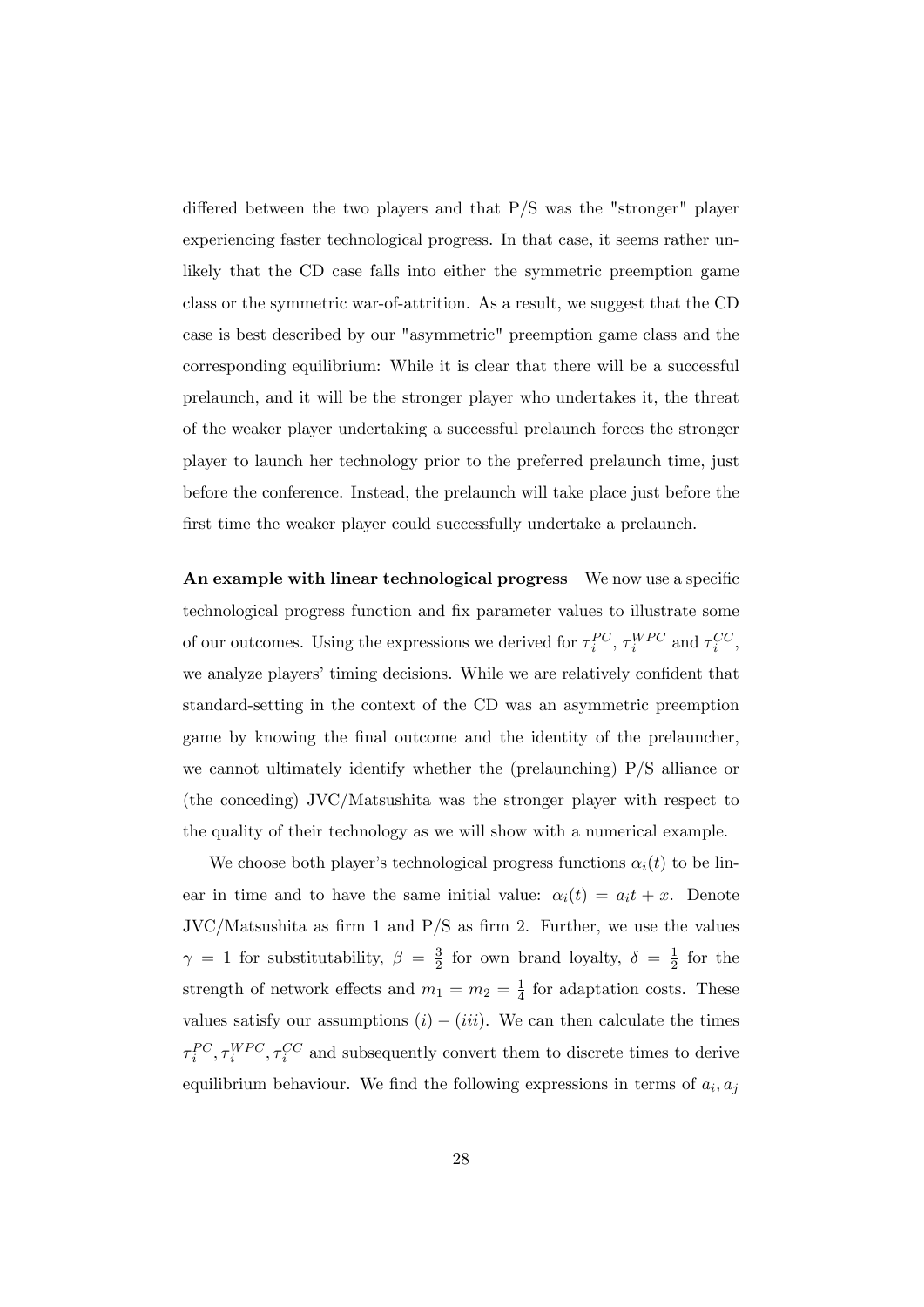differed between the two players and that  $P/S$  was the "stronger" player experiencing faster technological progress. In that case, it seems rather unlikely that the CD case falls into either the symmetric preemption game class or the symmetric war-of-attrition. As a result, we suggest that the CD case is best described by our "asymmetric" preemption game class and the corresponding equilibrium: While it is clear that there will be a successful prelaunch, and it will be the stronger player who undertakes it, the threat of the weaker player undertaking a successful prelaunch forces the stronger player to launch her technology prior to the preferred prelaunch time, just before the conference. Instead, the prelaunch will take place just before the first time the weaker player could successfully undertake a prelaunch.

An example with linear technological progress We now use a specific technological progress function and fix parameter values to illustrate some of our outcomes. Using the expressions we derived for  $\tau_i^{PC}$ ,  $\tau_i^{WPC}$  and  $\tau_i^{CC}$ , we analyze players' timing decisions. While we are relatively confident that standard-setting in the context of the CD was an asymmetric preemption game by knowing the final outcome and the identity of the prelauncher, we cannot ultimately identify whether the (prelaunching) P/S alliance or (the conceding) JVC/Matsushita was the stronger player with respect to the quality of their technology as we will show with a numerical example.

We choose both player's technological progress functions  $\alpha_i(t)$  to be linear in time and to have the same initial value:  $\alpha_i(t) = a_i t + x$ . Denote  $JVC/Matsushita$  as firm 1 and  $P/S$  as firm 2. Further, we use the values  $\gamma = 1$  for substitutability,  $\beta = \frac{3}{2}$  $\frac{3}{2}$  for own brand loyalty,  $\delta = \frac{1}{2}$  $rac{1}{2}$  for the strength of network effects and  $m_1 = m_2 = \frac{1}{4}$  $\frac{1}{4}$  for adaptation costs. These values satisfy our assumptions  $(i) - (iii)$ . We can then calculate the times  $\tau_i^{PC}, \tau_i^{WPC}, \tau_i^{CC}$  and subsequently convert them to discrete times to derive equilibrium behaviour. We find the following expressions in terms of  $a_i, a_j$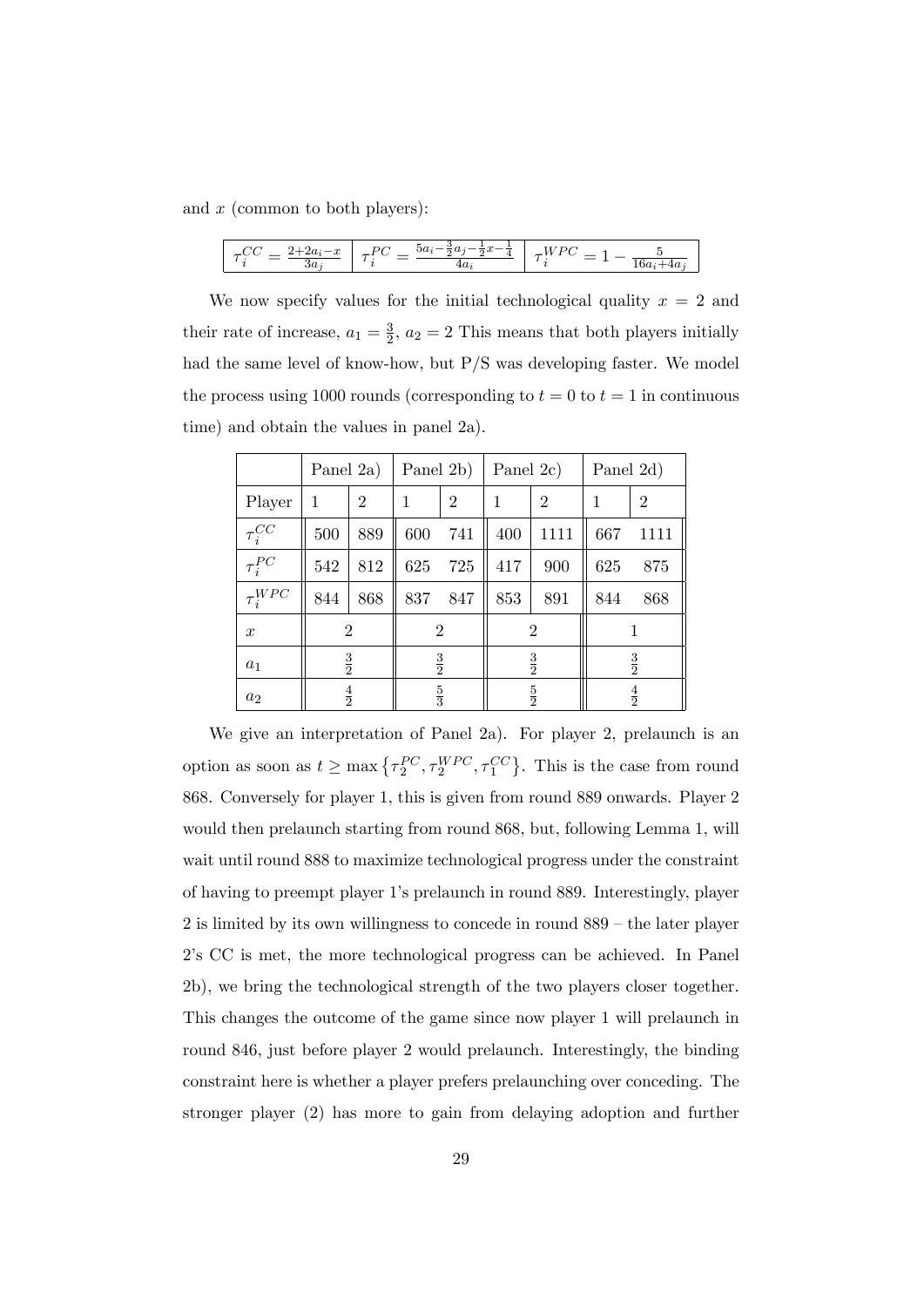and  $x$  (common to both players):

|--|

We now specify values for the initial technological quality  $x = 2$  and their rate of increase,  $a_1 = \frac{3}{2}$  $\frac{3}{2}$ ,  $a_2 = 2$  This means that both players initially had the same level of know-how, but P/S was developing faster. We model the process using 1000 rounds (corresponding to  $t = 0$  to  $t = 1$  in continuous time) and obtain the values in panel 2a).

|                  | Panel 2a)      |                | Panel 2b)      |                | Panel 2c)     |                | Panel 2d)     |                |
|------------------|----------------|----------------|----------------|----------------|---------------|----------------|---------------|----------------|
| Player           | 1              | $\overline{2}$ | $\mathbf 1$    | $\overline{2}$ | 1             | $\overline{2}$ | 1             | $\overline{2}$ |
| $\tau_i^{CC}$    | 500            | 889            | 600            | 741            | 400           | 1111           | 667           | 1111           |
| $\tau_i^{PC}$    | 542            | 812            | 625            | 725            | 417           | 900            | 625           | 875            |
| $\tau_i^{WPC}$   | 844            | 868            | 837            | 847            | 853           | 891            | 844           | 868            |
| $\boldsymbol{x}$ | $\overline{2}$ |                | $\overline{2}$ |                | 2             |                |               |                |
| $a_1$            | $\frac{3}{2}$  |                | $\frac{3}{2}$  |                | $\frac{3}{2}$ |                | $\frac{3}{2}$ |                |
| $a_2$            | $\frac{4}{2}$  |                | $\frac{5}{3}$  |                | $\frac{5}{2}$ |                | $\frac{4}{2}$ |                |

We give an interpretation of Panel 2a). For player 2, prelaunch is an option as soon as  $t \ge \max\left\{\tau_2^{PC}, \tau_2^{WPC}, \tau_1^{CC}\right\}$ . This is the case from round 868. Conversely for player 1, this is given from round 889 onwards. Player 2 would then prelaunch starting from round 868, but, following Lemma 1, will wait until round 888 to maximize technological progress under the constraint of having to preempt player 1ís prelaunch in round 889. Interestingly, player  $2$  is limited by its own willingness to concede in round  $889 -$  the later player 2ís CC is met, the more technological progress can be achieved. In Panel 2b), we bring the technological strength of the two players closer together. This changes the outcome of the game since now player 1 will prelaunch in round 846, just before player 2 would prelaunch. Interestingly, the binding constraint here is whether a player prefers prelaunching over conceding. The stronger player (2) has more to gain from delaying adoption and further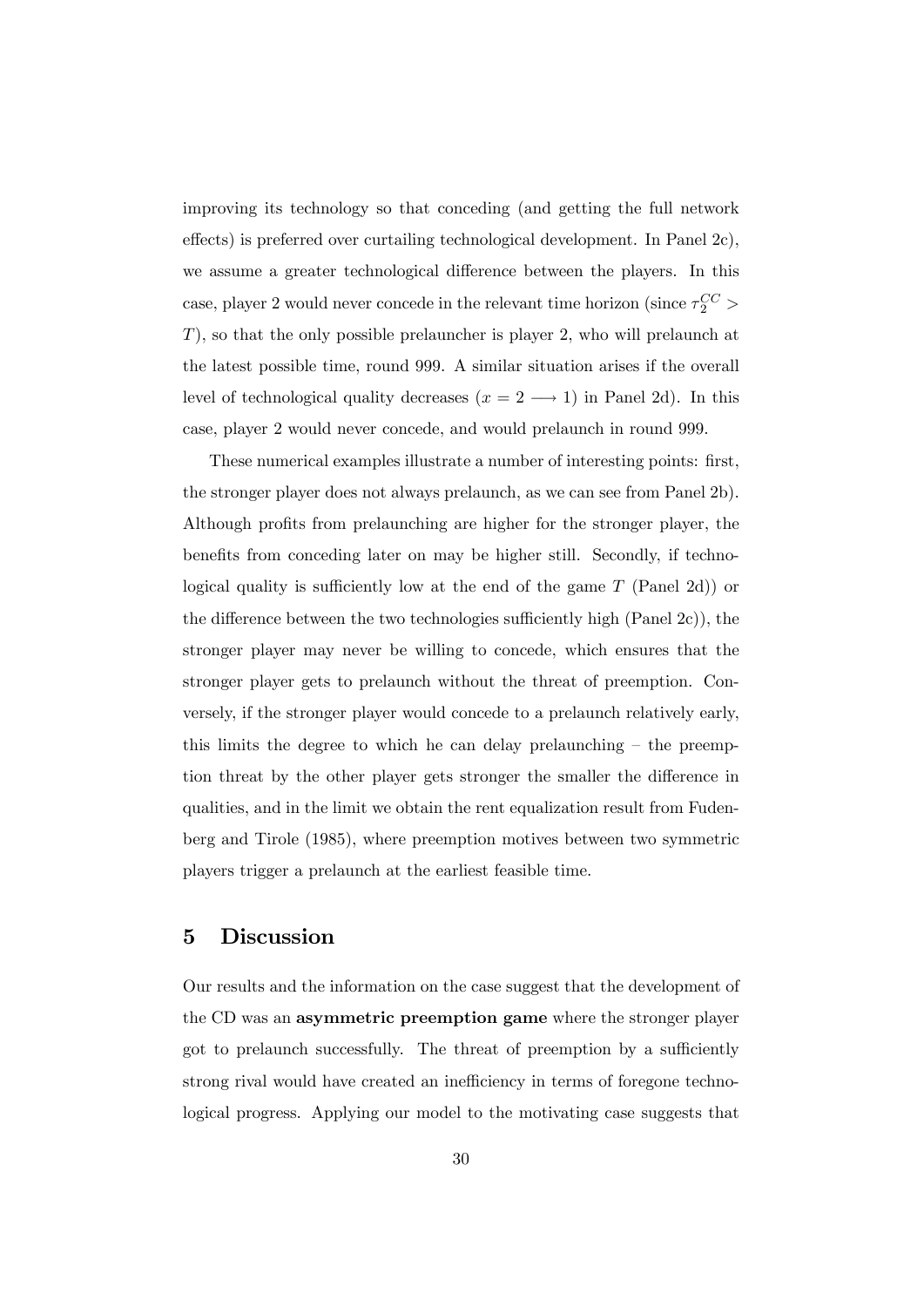improving its technology so that conceding (and getting the full network effects) is preferred over curtailing technological development. In Panel  $2c$ , we assume a greater technological difference between the players. In this case, player 2 would never concede in the relevant time horizon (since  $\tau_2^{CC}$  > T), so that the only possible prelauncher is player 2, who will prelaunch at the latest possible time, round 999. A similar situation arises if the overall level of technological quality decreases  $(x = 2 \rightarrow 1)$  in Panel 2d). In this case, player 2 would never concede, and would prelaunch in round 999.

These numerical examples illustrate a number of interesting points: first, the stronger player does not always prelaunch, as we can see from Panel 2b). Although profits from prelaunching are higher for the stronger player, the benefits from conceding later on may be higher still. Secondly, if technological quality is sufficiently low at the end of the game  $T$  (Panel 2d)) or the difference between the two technologies sufficiently high (Panel  $2c$ )), the stronger player may never be willing to concede, which ensures that the stronger player gets to prelaunch without the threat of preemption. Conversely, if the stronger player would concede to a prelaunch relatively early, this limits the degree to which he can delay prelaunching  $-$  the preemption threat by the other player gets stronger the smaller the difference in qualities, and in the limit we obtain the rent equalization result from Fudenberg and Tirole (1985), where preemption motives between two symmetric players trigger a prelaunch at the earliest feasible time.

## 5 Discussion

Our results and the information on the case suggest that the development of the CD was an asymmetric preemption game where the stronger player got to prelaunch successfully. The threat of preemption by a sufficiently strong rival would have created an inefficiency in terms of foregone technological progress. Applying our model to the motivating case suggests that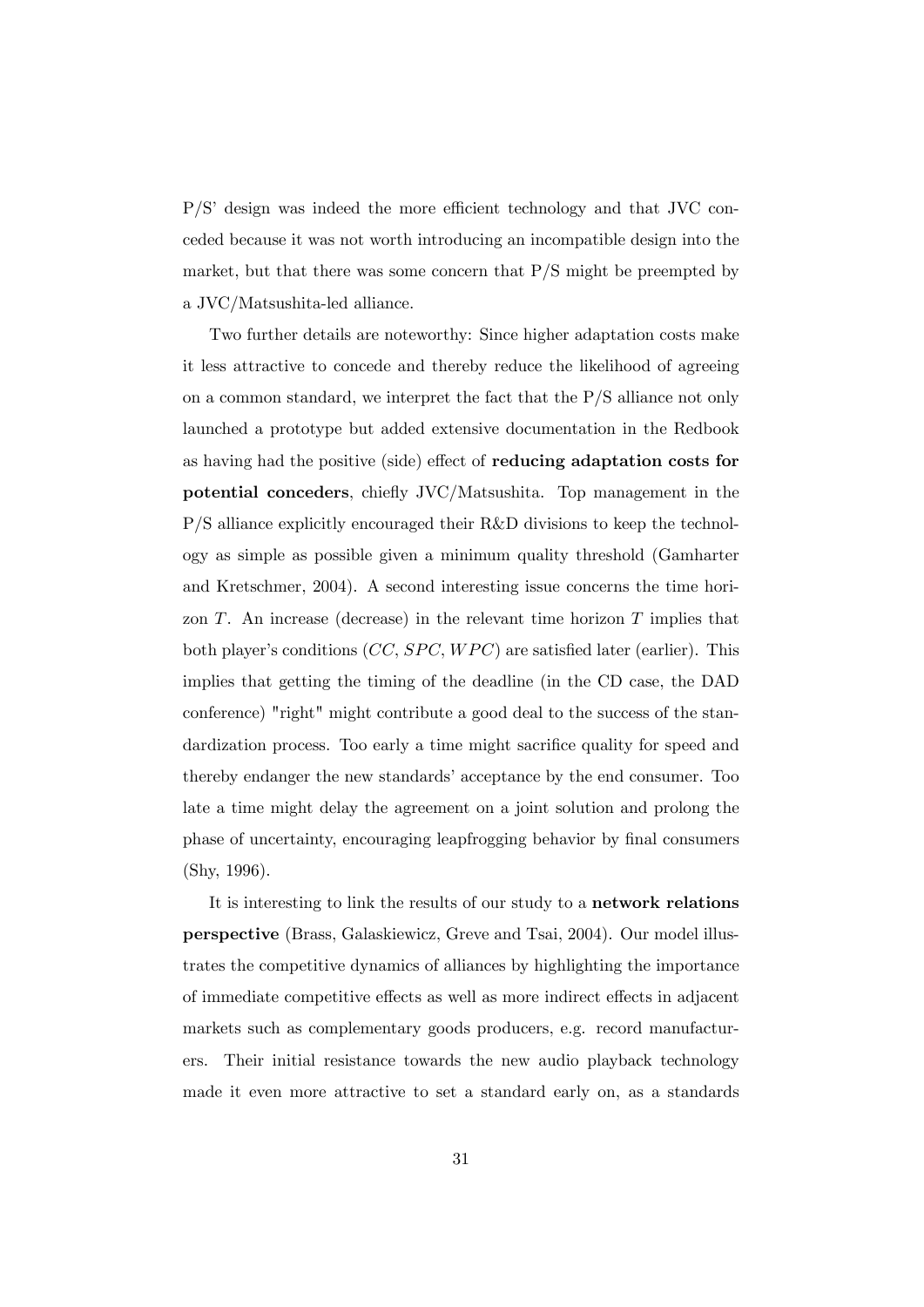$P/S'$  design was indeed the more efficient technology and that JVC conceded because it was not worth introducing an incompatible design into the market, but that there was some concern that  $P/S$  might be preempted by a JVC/Matsushita-led alliance.

Two further details are noteworthy: Since higher adaptation costs make it less attractive to concede and thereby reduce the likelihood of agreeing on a common standard, we interpret the fact that the P/S alliance not only launched a prototype but added extensive documentation in the Redbook as having had the positive (side) effect of **reducing adaptation costs for** potential conceders, chiefly JVC/Matsushita. Top management in the P/S alliance explicitly encouraged their R&D divisions to keep the technology as simple as possible given a minimum quality threshold (Gamharter and Kretschmer, 2004). A second interesting issue concerns the time horizon  $T$ . An increase (decrease) in the relevant time horizon  $T$  implies that both player's conditions  $(CC, SPEC, WPC)$  are satisfied later (earlier). This implies that getting the timing of the deadline (in the CD case, the DAD conference) "right" might contribute a good deal to the success of the standardization process. Too early a time might sacrifice quality for speed and thereby endanger the new standards' acceptance by the end consumer. Too late a time might delay the agreement on a joint solution and prolong the phase of uncertainty, encouraging leapfrogging behavior by Önal consumers (Shy, 1996).

It is interesting to link the results of our study to a network relations perspective (Brass, Galaskiewicz, Greve and Tsai, 2004). Our model illustrates the competitive dynamics of alliances by highlighting the importance of immediate competitive effects as well as more indirect effects in adjacent markets such as complementary goods producers, e.g. record manufacturers. Their initial resistance towards the new audio playback technology made it even more attractive to set a standard early on, as a standards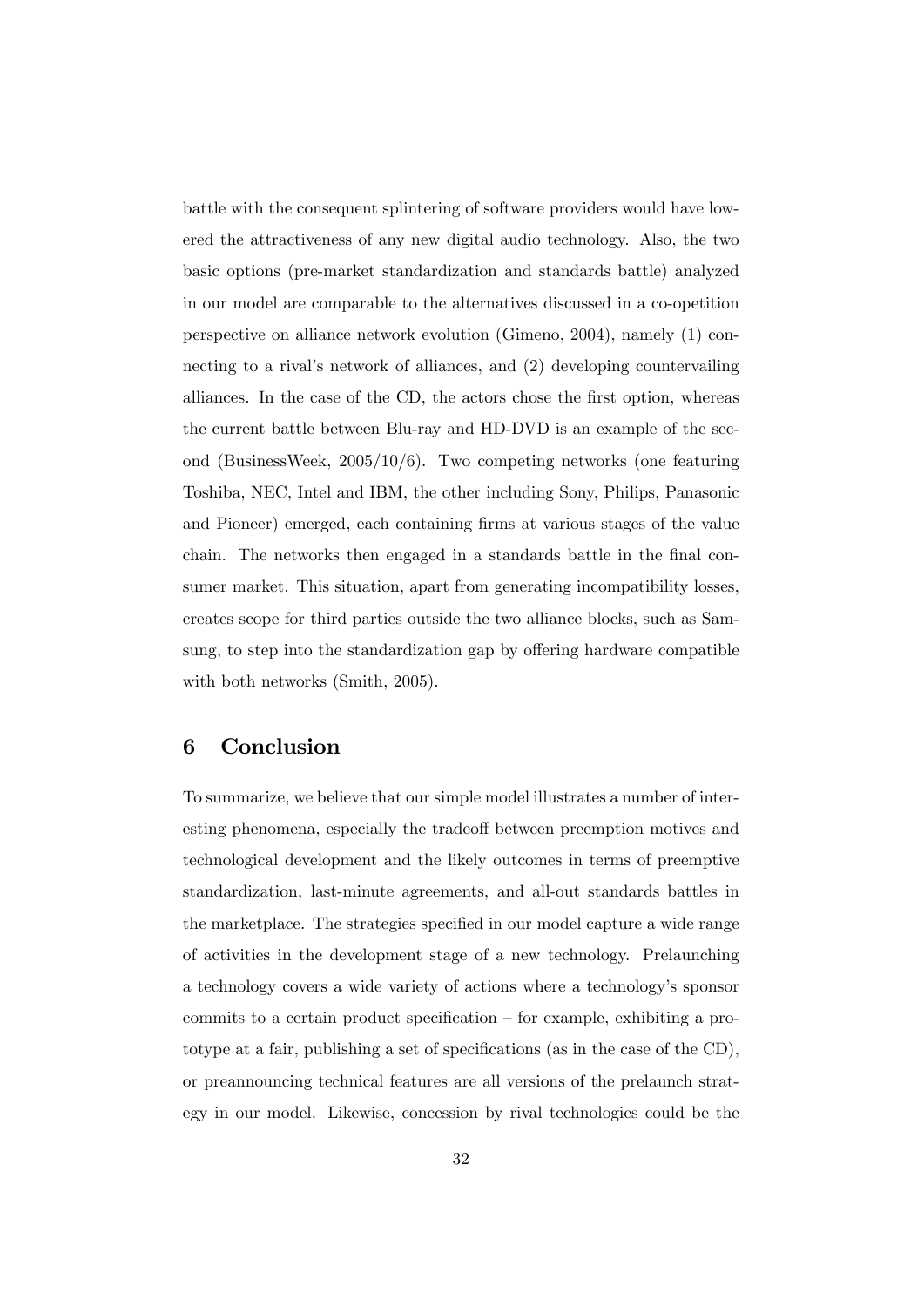battle with the consequent splintering of software providers would have lowered the attractiveness of any new digital audio technology. Also, the two basic options (pre-market standardization and standards battle) analyzed in our model are comparable to the alternatives discussed in a co-opetition perspective on alliance network evolution (Gimeno, 2004), namely (1) connecting to a rival's network of alliances, and (2) developing countervailing alliances. In the case of the CD, the actors chose the first option, whereas the current battle between Blu-ray and HD-DVD is an example of the second (BusinessWeek, 2005/10/6). Two competing networks (one featuring Toshiba, NEC, Intel and IBM, the other including Sony, Philips, Panasonic and Pioneer) emerged, each containing firms at various stages of the value chain. The networks then engaged in a standards battle in the final consumer market. This situation, apart from generating incompatibility losses, creates scope for third parties outside the two alliance blocks, such as Samsung, to step into the standardization gap by offering hardware compatible with both networks (Smith, 2005).

## 6 Conclusion

To summarize, we believe that our simple model illustrates a number of interesting phenomena, especially the tradeoff between preemption motives and technological development and the likely outcomes in terms of preemptive standardization, last-minute agreements, and all-out standards battles in the marketplace. The strategies specified in our model capture a wide range of activities in the development stage of a new technology. Prelaunching a technology covers a wide variety of actions where a technologyís sponsor commits to a certain product specification  $-$  for example, exhibiting a proto type at a fair, publishing a set of specifications (as in the case of the  $CD$ ), or preannouncing technical features are all versions of the prelaunch strategy in our model. Likewise, concession by rival technologies could be the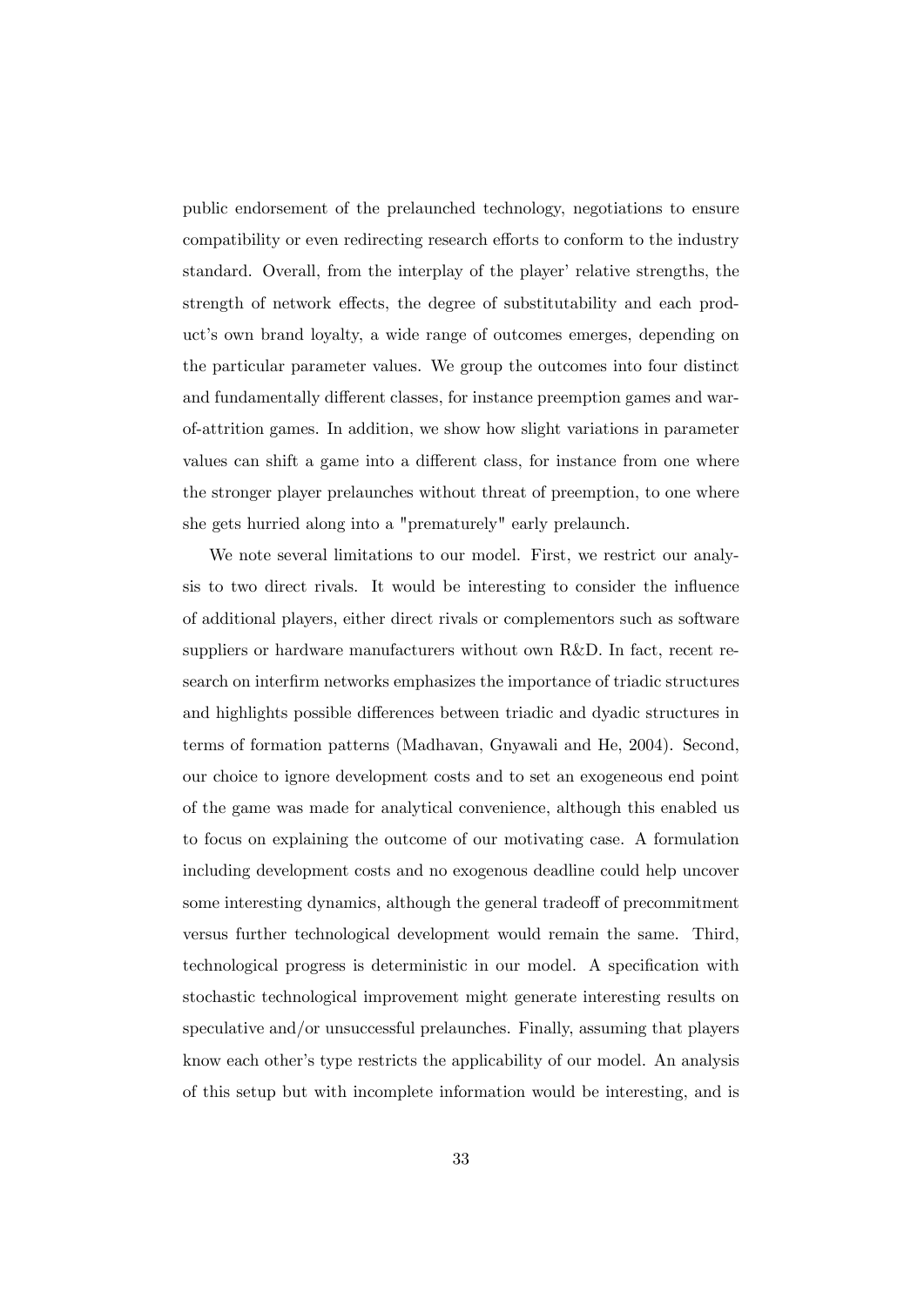public endorsement of the prelaunched technology, negotiations to ensure compatibility or even redirecting research efforts to conform to the industry standard. Overall, from the interplay of the player' relative strengths, the strength of network effects, the degree of substitutability and each product's own brand loyalty, a wide range of outcomes emerges, depending on the particular parameter values. We group the outcomes into four distinct and fundamentally different classes, for instance preemption games and warof-attrition games. In addition, we show how slight variations in parameter values can shift a game into a different class, for instance from one where the stronger player prelaunches without threat of preemption, to one where she gets hurried along into a "prematurely" early prelaunch.

We note several limitations to our model. First, we restrict our analysis to two direct rivals. It would be interesting to consider the influence of additional players, either direct rivals or complementors such as software suppliers or hardware manufacturers without own R&D. In fact, recent research on interfirm networks emphasizes the importance of triadic structures and highlights possible differences between triadic and dyadic structures in terms of formation patterns (Madhavan, Gnyawali and He, 2004). Second, our choice to ignore development costs and to set an exogeneous end point of the game was made for analytical convenience, although this enabled us to focus on explaining the outcome of our motivating case. A formulation including development costs and no exogenous deadline could help uncover some interesting dynamics, although the general tradeoff of precommitment versus further technological development would remain the same. Third, technological progress is deterministic in our model. A specification with stochastic technological improvement might generate interesting results on speculative and/or unsuccessful prelaunches. Finally, assuming that players know each other's type restricts the applicability of our model. An analysis of this setup but with incomplete information would be interesting, and is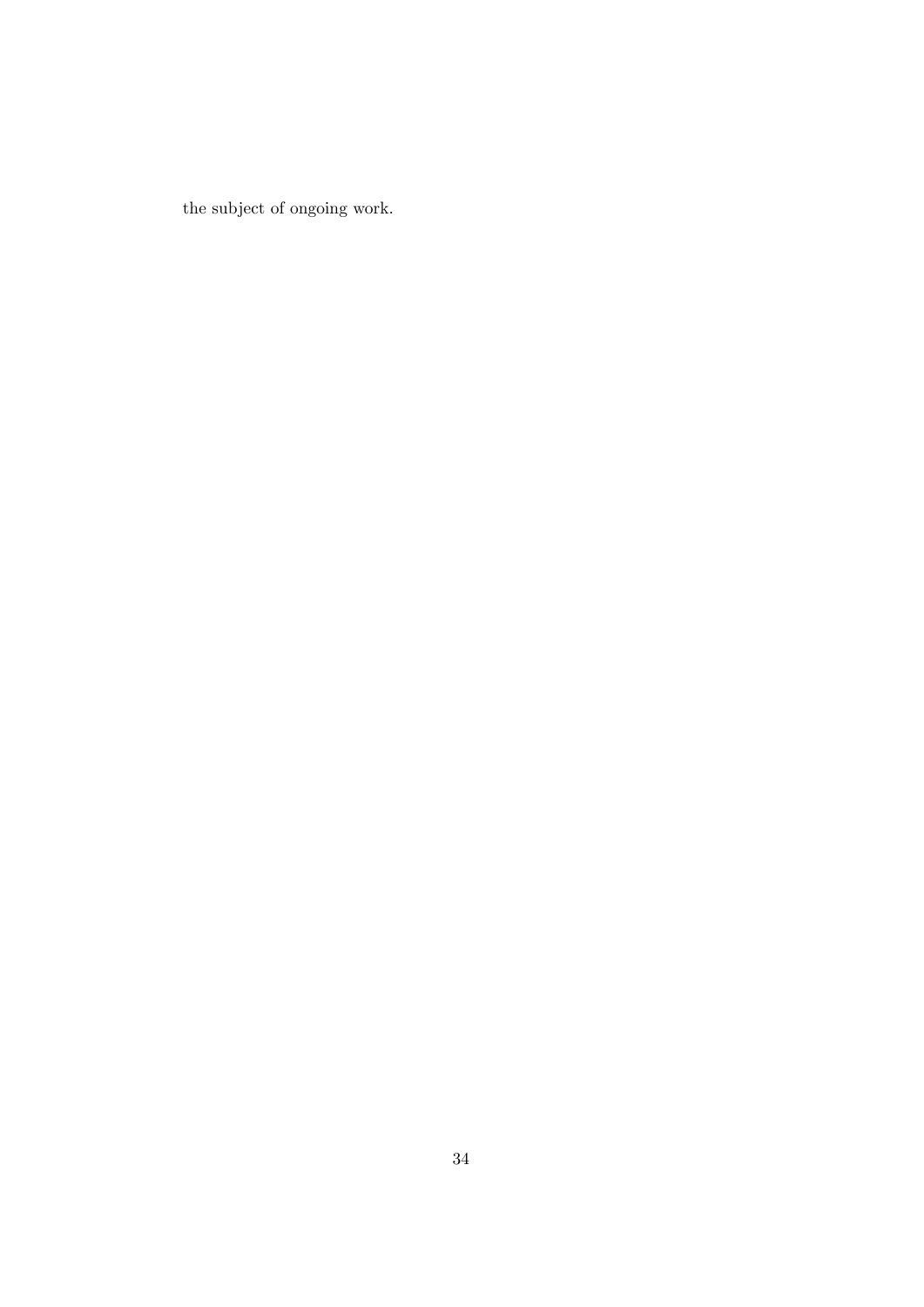the subject of ongoing work.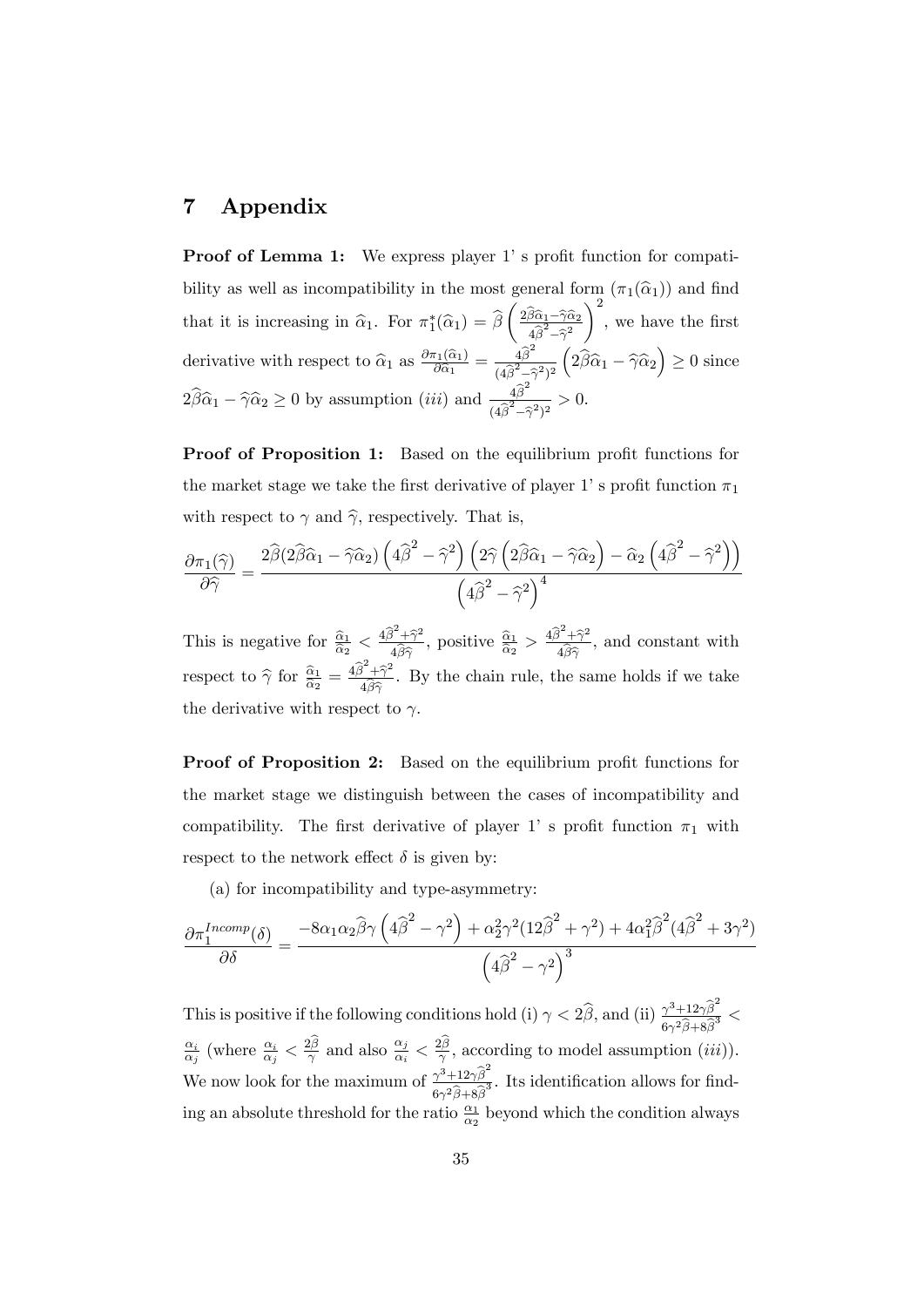## 7 Appendix

**Proof of Lemma 1:** We express player 1's profit function for compatibility as well as incompatibility in the most general form  $(\pi_1(\hat{\alpha}_1))$  and find that it is increasing in  $\hat{\alpha}_1$ . For  $\pi_1^*(\hat{\alpha}_1) = \beta$  $\left(\frac{2\widehat{\beta}\widehat{\alpha}_{1}-\widehat{\gamma}\widehat{\alpha}_{2}}{\widehat{\gamma}_{2}-\widehat{\gamma}_{2}}\right)$  $4\widehat{\beta}^2-\widehat{\gamma}^2$  $\setminus^2$ , we have the first derivative with respect to  $\hat{\alpha}_1$  as  $\frac{\partial \pi_1(\hat{\alpha}_1)}{\partial \hat{\alpha}_1}$  $\frac{\pi_1(\widehat{\alpha}_1)}{\partial \widehat{\alpha}_1} = \frac{4\widehat{\beta}^2}{(4\widehat{\beta}^2-\widehat{\gamma})^2}$  $\sqrt{(4\widehat{\beta}^2-\widehat{\gamma}^2)^2}$  $(2\widehat{\beta}\widehat{\alpha}_1 - \widehat{\gamma}\widehat{\alpha}_2) \ge 0$  since  $2\widehat{\beta}\widehat{\alpha}_1 - \widehat{\gamma}\widehat{\alpha}_2 \ge 0$  by assumption  $(iii)$  and  $\frac{4\widehat{\beta}^2}{(4\widehat{\beta}^2 - 1)}$  $\frac{4p}{(4\widehat{\beta}^2-\widehat{\gamma}^2)^2}>0.$ 

Proof of Proposition 1: Based on the equilibrium profit functions for the market stage we take the first derivative of player 1's profit function  $\pi_1$ with respect to  $\gamma$  and  $\hat{\gamma}$ , respectively. That is,

$$
\frac{\partial \pi_1(\widehat{\gamma})}{\partial \widehat{\gamma}} = \frac{2\widehat{\beta}(2\widehat{\beta}\widehat{\alpha}_1 - \widehat{\gamma}\widehat{\alpha}_2)\left(4\widehat{\beta}^2 - \widehat{\gamma}^2\right)\left(2\widehat{\gamma}\left(2\widehat{\beta}\widehat{\alpha}_1 - \widehat{\gamma}\widehat{\alpha}_2\right) - \widehat{\alpha}_2\left(4\widehat{\beta}^2 - \widehat{\gamma}^2\right)\right)}{\left(4\widehat{\beta}^2 - \widehat{\gamma}^2\right)^4}
$$

This is negative for  $\frac{\hat{\alpha}_1}{\hat{\alpha}_2} < \frac{4\hat{\beta}^2 + \hat{\gamma}^2}{4\hat{\beta}\hat{\gamma}}$  $4\beta\widehat{\gamma}$ , positive  $\frac{\widehat{\alpha}_1}{\widehat{\alpha}_2} > \frac{4\widehat{\beta}^2+\widehat{\gamma}^2}{4\widehat{\beta}\widehat{\gamma}}$  $4\beta\hat{\gamma}$ , and constant with respect to  $\hat{\gamma}$  for  $\frac{\hat{\alpha}_1}{\hat{\alpha}_2} = \frac{4\hat{\beta}^2 + \hat{\gamma}^2}{4\hat{\beta}\hat{\gamma}}$  $4\beta\widehat{\gamma}$ . By the chain rule, the same holds if we take the derivative with respect to  $\gamma$ .

**Proof of Proposition 2:** Based on the equilibrium profit functions for the market stage we distinguish between the cases of incompatibility and compatibility. The first derivative of player 1' s profit function  $\pi_1$  with respect to the network effect  $\delta$  is given by:

(a) for incompatibility and type-asymmetry:

$$
\frac{\partial \pi_1^{Incomp}(\delta)}{\partial \delta} = \frac{-8\alpha_1 \alpha_2 \widehat{\beta} \gamma \left(4\widehat{\beta}^2 - \gamma^2\right) + \alpha_2^2 \gamma^2 (12\widehat{\beta}^2 + \gamma^2) + 4\alpha_1^2 \widehat{\beta}^2 (4\widehat{\beta}^2 + 3\gamma^2)}{\left(4\widehat{\beta}^2 - \gamma^2\right)^3}
$$

This is positive if the following conditions hold (i)  $\gamma < 2\hat{\beta}$ , and (ii)  $\frac{\gamma^3 + 12\gamma \hat{\beta}^2}{6\gamma^2 \hat{\beta} + 8\hat{\beta}^3}$  $6\gamma^2\beta+8\beta$  $\overline{3}$  <  $\alpha_i$  $\frac{\alpha_i}{\alpha_j}$  (where  $\frac{\alpha_i}{\alpha_j} < \frac{2\hat{\beta}}{\gamma}$  and also  $\frac{\alpha_j}{\alpha_i} < \frac{2\hat{\beta}}{\gamma}$ , according to model assumption (*iii*)). We now look for the maximum of  $\frac{\gamma^3 + 12\gamma \hat{\beta}^2}{\gamma^2}$  $6\gamma^2\beta+8\beta$ <sup>3</sup>/<sub>3</sub>. Its identification allows for finding an absolute threshold for the ratio  $\frac{\alpha_1}{\alpha_2}$  beyond which the condition always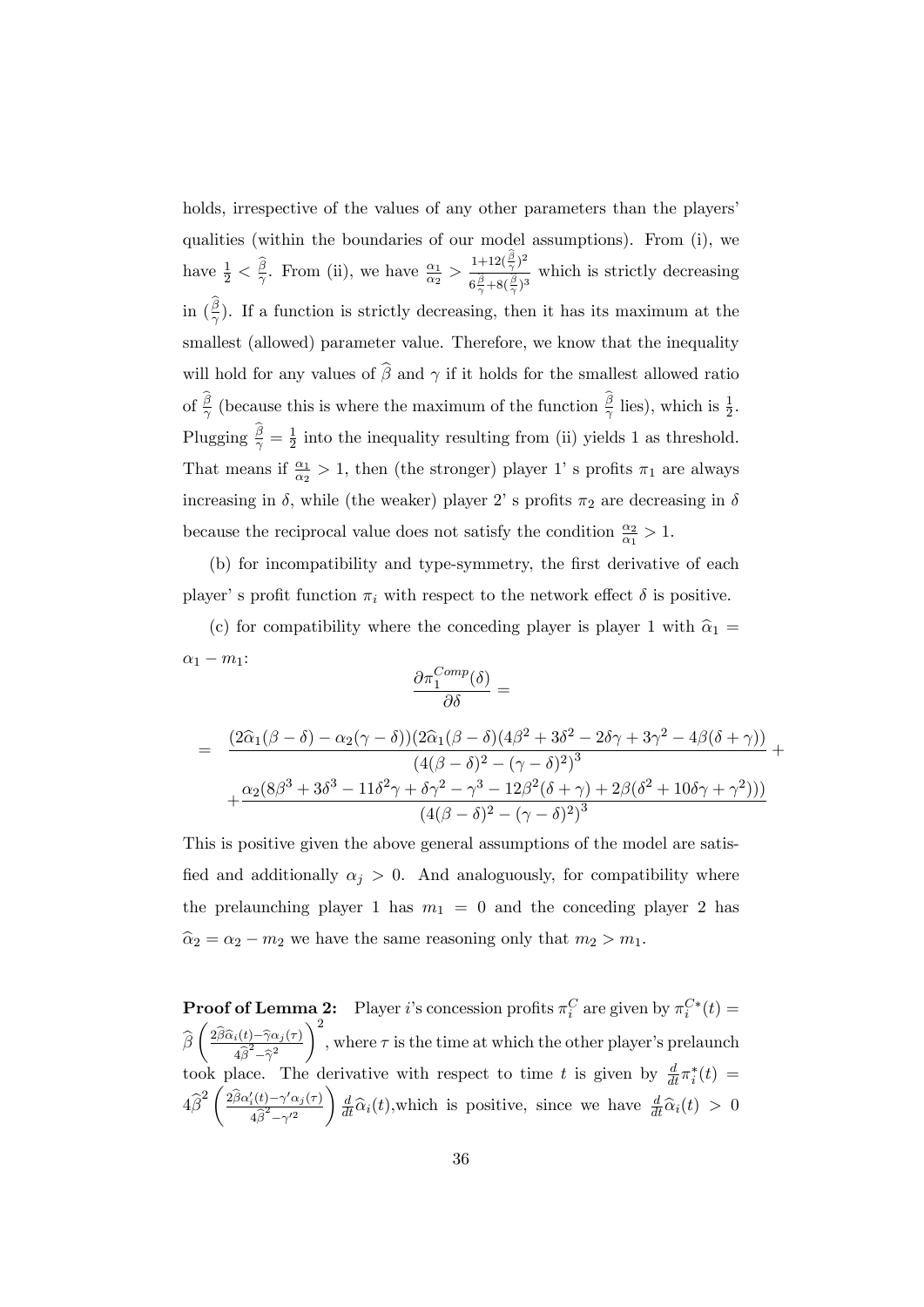holds, irrespective of the values of any other parameters than the players' qualities (within the boundaries of our model assumptions). From (i), we have  $\frac{1}{2} < \frac{\hat{\beta}}{\gamma}$ . From (ii), we have  $\frac{\alpha_1}{\alpha_2} > \frac{1+12(\frac{\beta}{\gamma})^2}{6\hat{\beta}+8(\hat{\beta})^2}$  $\frac{1+2\sqrt{\gamma}}{6\frac{\hat{\beta}}{\gamma}+8(\frac{\hat{\beta}}{\gamma})^3}$  which is strictly decreasing in  $(\frac{\beta}{\gamma})$ . If a function is strictly decreasing, then it has its maximum at the smallest (allowed) parameter value. Therefore, we know that the inequality will hold for any values of  $\widehat{\beta}$  and  $\gamma$  if it holds for the smallest allowed ratio of  $\frac{\beta}{\gamma}$  (because this is where the maximum of the function  $\frac{\beta}{\gamma}$  lies), which is  $\frac{1}{2}$ . Plugging  $\frac{\beta}{\gamma} = \frac{1}{2}$  $\frac{1}{2}$  into the inequality resulting from (ii) yields 1 as threshold. That means if  $\frac{\alpha_1}{\alpha_2} > 1$ , then (the stronger) player 1' s profits  $\pi_1$  are always increasing in  $\delta,$  while (the weaker) player 2' s profits  $\pi_2$  are decreasing in  $\delta$ because the reciprocal value does not satisfy the condition  $\frac{\alpha_2}{\alpha_1} > 1$ .

(b) for incompatibility and type-symmetry, the first derivative of each player's profit function  $\pi_i$  with respect to the network effect  $\delta$  is positive.

(c) for compatibility where the conceding player is player 1 with  $\hat{\alpha}_1 =$  $\alpha_1 - m_1$ :

$$
\frac{\partial \pi_1^{Comp}(\delta)}{\partial \delta} =
$$

$$
= \frac{(2\widehat{\alpha}_{1}(\beta-\delta)-\alpha_{2}(\gamma-\delta))(2\widehat{\alpha}_{1}(\beta-\delta)(4\beta^{2}+3\delta^{2}-2\delta\gamma+3\gamma^{2}-4\beta(\delta+\gamma))}{(4(\beta-\delta)^{2}-(\gamma-\delta)^{2})^{3}} + \frac{\alpha_{2}(8\beta^{3}+3\delta^{3}-11\delta^{2}\gamma+\delta\gamma^{2}-\gamma^{3}-12\beta^{2}(\delta+\gamma)+2\beta(\delta^{2}+10\delta\gamma+\gamma^{2})))}{(4(\beta-\delta)^{2}-(\gamma-\delta)^{2})^{3}}
$$

This is positive given the above general assumptions of the model are satisfied and additionally  $\alpha_j > 0$ . And analoguously, for compatibility where the prelaunching player 1 has  $m_1 = 0$  and the conceding player 2 has  $\hat{\alpha}_2 = \alpha_2 - m_2$  we have the same reasoning only that  $m_2 > m_1$ .

**Proof of Lemma 2:** Player *i*'s concession profits  $\pi_i^C$  are given by  $\pi_i^{C*}(t)$  =  $i$  are given by  $n_i$  $\beta$  $\int \frac{2\widehat{\beta}\widehat{\alpha}_i(t)-\widehat{\gamma}\alpha_j(\tau)}{2\widehat{\beta}^2}$  $4\widehat{\beta}^2-\widehat{\gamma}^2$  $\setminus^2$ , where  $\tau$  is the time at which the other player's prelaunch took place. The derivative with respect to time t is given by  $\frac{d}{dt}\pi_i^*(t) =$  $4\widehat{\beta}^2 \left( \frac{2\widehat{\beta}\alpha_i'(t) - \gamma'\alpha_j(\tau)}{4\widehat{\beta}^2 - \gamma'^2} \right)$  $4\widehat{\beta}^2-\gamma^{\prime 2}$  $\int \frac{d}{dt} \widehat{\alpha}_i(t)$ , which is positive, since we have  $\frac{d}{dt} \widehat{\alpha}_i(t) > 0$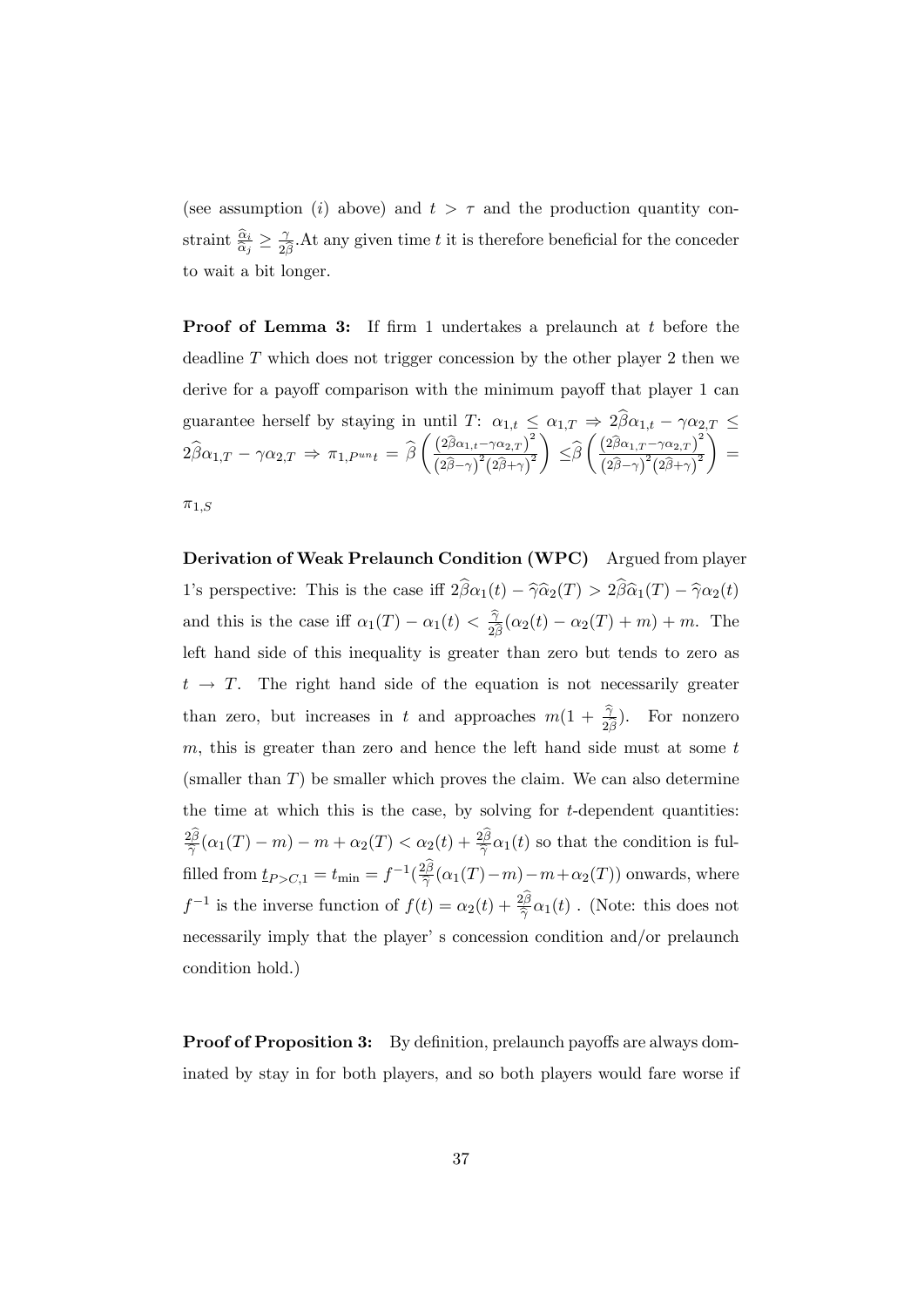(see assumption (i) above) and  $t > \tau$  and the production quantity constraint  $\frac{\hat{\alpha}_i}{\hat{\alpha}_j} \geq \frac{\gamma}{2\hat{\beta}}$  $\frac{\gamma}{2\beta}$ . At any given time t it is therefore beneficial for the conceder to wait a bit longer.

Proof of Lemma 3: If firm 1 undertakes a prelaunch at t before the deadline  $T$  which does not trigger concession by the other player 2 then we derive for a payoff comparison with the minimum payoff that player 1 can guarantee herself by staying in until  $T: \alpha_{1,t} \leq \alpha_{1,T} \Rightarrow 2\beta \alpha_{1,t} - \gamma \alpha_{2,T} \leq$  $2\beta\alpha_{1,T} - \gamma\alpha_{2,T} \Rightarrow \pi_{1,P^{un}t} = \beta$  $\left(\frac{(2\widehat{\beta}\alpha_{1,t}-\gamma\alpha_{2,T})^2}{\widehat{\beta}\alpha_{1,t}-\gamma\alpha_{2,T}}\right)^2$  $\overline{\left(2 \widehat{\beta}-\gamma \right)^2 \left(2 \widehat{\beta}+\gamma \right)^2}$  $\lambda$  $\leq \beta$  $\left(\frac{(2\widehat{\beta}\alpha_{1,T}-\gamma\alpha_{2,T})}{(2\widehat{\beta}\alpha_{1,T}-\gamma\alpha_{2,T})}\right)^2$  $\overline{\left(2 \widehat{\beta}-\gamma \right)^2 \left(2 \widehat{\beta}+\gamma \right)^2}$ Í =  $\pi_{1,S}$ 

Derivation of Weak Prelaunch Condition (WPC) Argued from player 1's perspective: This is the case iff  $2\hat{\beta}\alpha_1(t) - \hat{\gamma}\alpha_2(T) > 2\hat{\beta}\hat{\alpha}_1(T) - \hat{\gamma}\alpha_2(t)$ and this is the case iff  $\alpha_1(T) - \alpha_1(t) < \frac{\hat{\gamma}}{2\hat{\beta}}$  $\frac{\gamma}{2\beta}(\alpha_2(t) - \alpha_2(T) + m) + m$ . The left hand side of this inequality is greater than zero but tends to zero as  $t \rightarrow T$ . The right hand side of the equation is not necessarily greater than zero, but increases in t and approaches  $m(1+\frac{\hat{\gamma}}{2\hat{\beta}})$ . For nonzero  $m$ , this is greater than zero and hence the left hand side must at some  $t$ (smaller than  $T$ ) be smaller which proves the claim. We can also determine the time at which this is the case, by solving for  $t$ -dependent quantities:  $\frac{2\beta}{\epsilon}$  $\frac{\partial \beta}{\partial \hat{\gamma}}(\alpha_1(T)-m)-m+\alpha_2(T)<\alpha_2(t)+\frac{2\beta}{\hat{\gamma}}\alpha_1(t)$  so that the condition is fulfilled from  $\underline{t}_{P > C,1} = t_{\min} = f^{-1}(\frac{2\beta}{\hat{\gamma}})$  $\frac{2B}{\hat{\gamma}}(\alpha_1(T)-m)-m+\alpha_2(T))$  onwards, where  $f^{-1}$  is the inverse function of  $f(t) = \alpha_2(t) + \frac{2\beta}{\hat{\gamma}}\alpha_1(t)$ . (Note: this does not necessarily imply that the player' s concession condition and/or prelaunch condition hold.)

**Proof of Proposition 3:** By definition, prelaunch payoffs are always dominated by stay in for both players, and so both players would fare worse if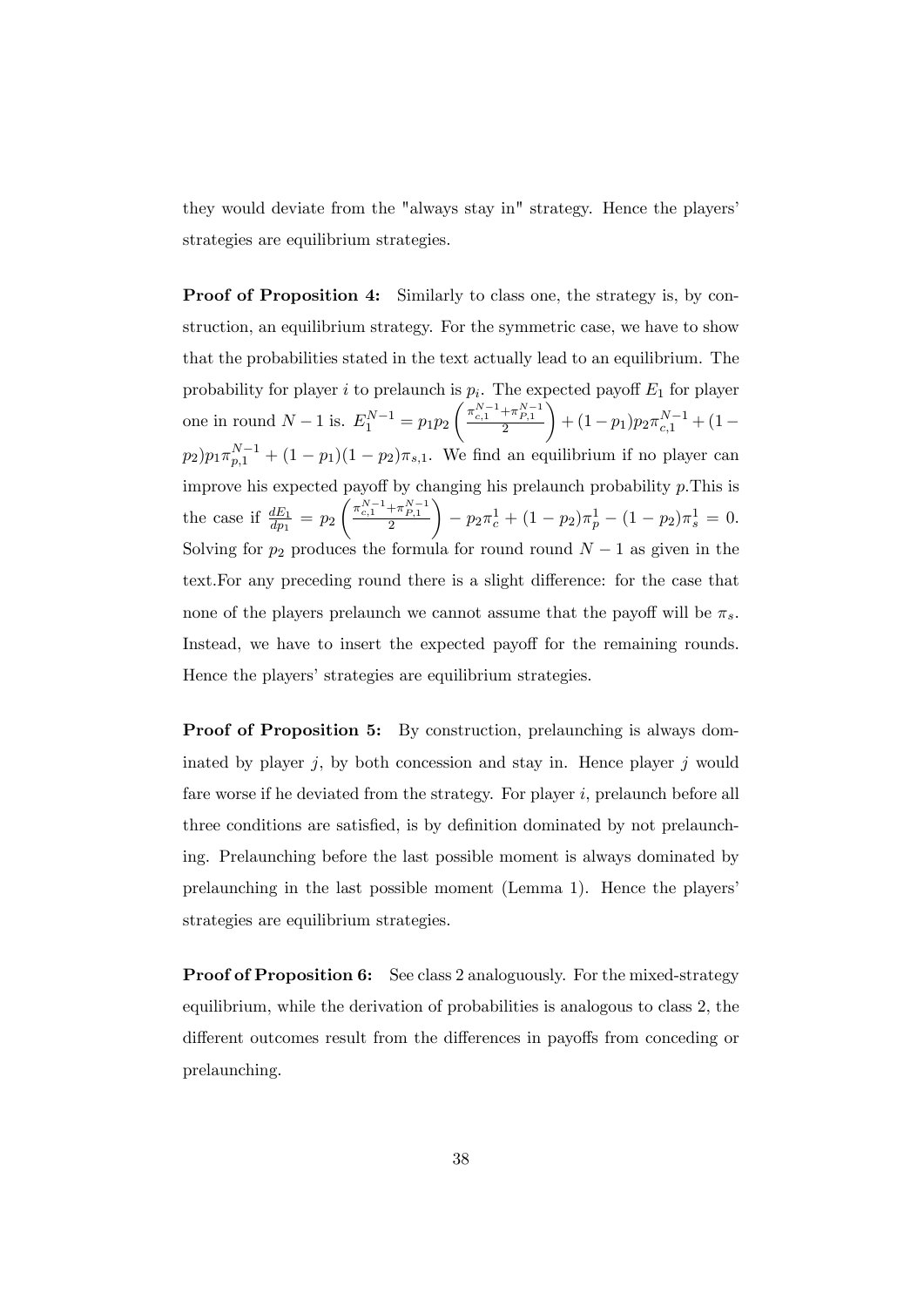they would deviate from the "always stay in" strategy. Hence the players' strategies are equilibrium strategies.

Proof of Proposition 4: Similarly to class one, the strategy is, by construction, an equilibrium strategy. For the symmetric case, we have to show that the probabilities stated in the text actually lead to an equilibrium. The probability for player *i* to prelaunch is  $p_i$ . The expected payoff  $E_1$  for player one in round  $N - 1$  is.  $E_1^{N-1} = p_1 p_2$  $\left( \frac{\pi_{c,1}^{N-1} {+} \pi_{P,1}^{N-1}}{2} \right.$  $\setminus$  $+(1-p_1)p_2\pi_{c,1}^{N-1}+(1-\$  $p_2)p_1\pi_{p,1}^{N-1} + (1-p_1)(1-p_2)\pi_{s,1}$ . We find an equilibrium if no player can improve his expected payoff by changing his prelaunch probability  $p$ . This is the case if  $\frac{dE_1}{dp_1} = p_2$  $\Bigg( \frac{\pi_{c,1}^{N-1} {+} \pi_{P,1}^{N-1}}{2}$  $\setminus$  $-p_2 \pi_c^1 + (1-p_2) \pi_p^1 - (1-p_2) \pi_s^1 = 0.$ Solving for  $p_2$  produces the formula for round round  $N-1$  as given in the text. For any preceding round there is a slight difference: for the case that none of the players prelaunch we cannot assume that the payoff will be  $\pi_s$ . Instead, we have to insert the expected payoff for the remaining rounds. Hence the players' strategies are equilibrium strategies.

**Proof of Proposition 5:** By construction, prelaunching is always dominated by player  $j$ , by both concession and stay in. Hence player  $j$  would fare worse if he deviated from the strategy. For player  $i$ , prelaunch before all three conditions are satisfied, is by definition dominated by not prelaunching. Prelaunching before the last possible moment is always dominated by prelaunching in the last possible moment (Lemma 1). Hence the playersí strategies are equilibrium strategies.

Proof of Proposition 6: See class 2 analoguously. For the mixed-strategy equilibrium, while the derivation of probabilities is analogous to class 2, the different outcomes result from the differences in payoffs from conceding or prelaunching.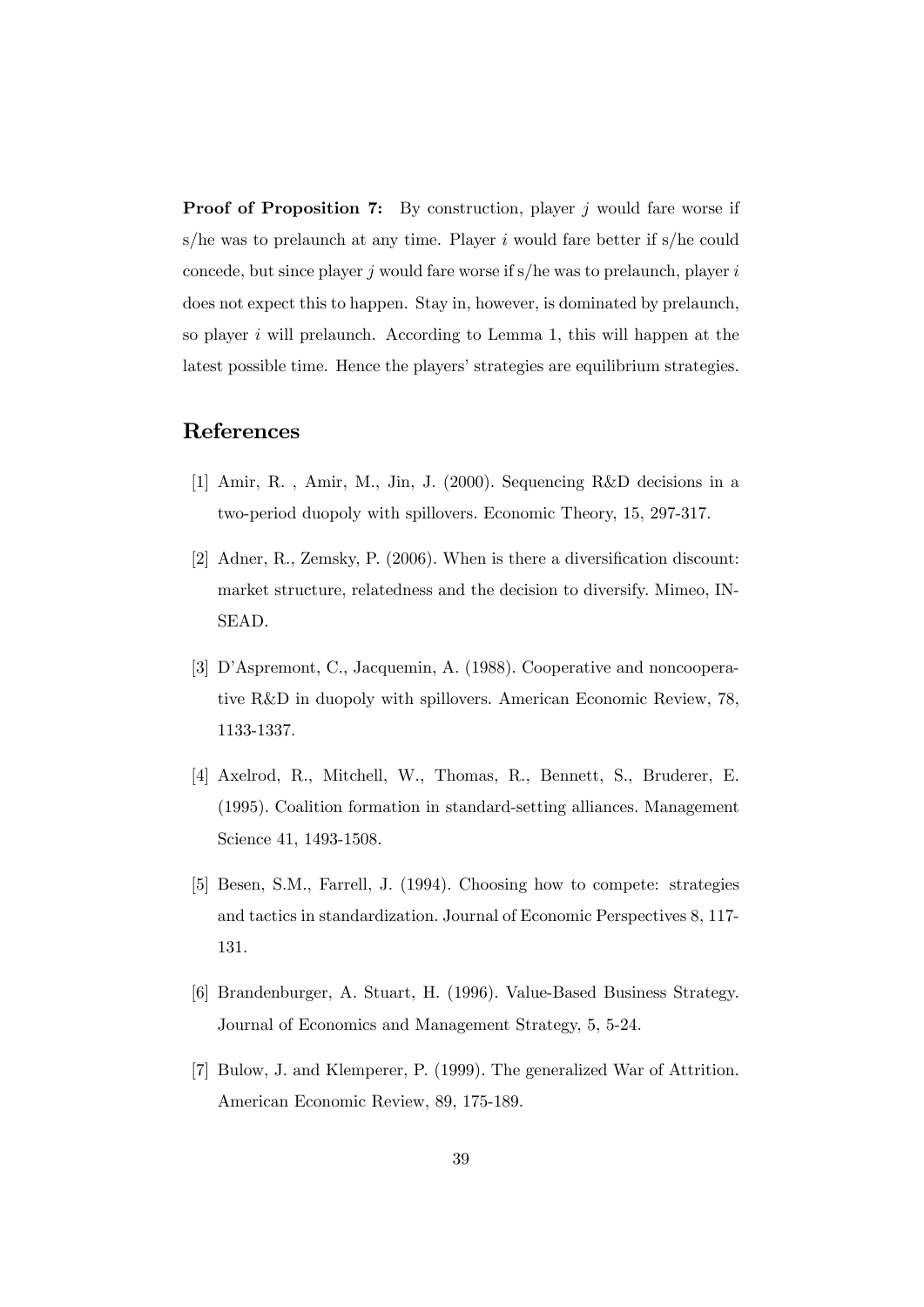**Proof of Proposition 7:** By construction, player j would fare worse if s/he was to prelaunch at any time. Player  $i$  would fare better if s/he could concede, but since player j would fare worse if  $s/h$ e was to prelaunch, player is does not expect this to happen. Stay in, however, is dominated by prelaunch, so player  $i$  will prelaunch. According to Lemma 1, this will happen at the latest possible time. Hence the players' strategies are equilibrium strategies.

## References

- [1] Amir, R. , Amir, M., Jin, J. (2000). Sequencing R&D decisions in a two-period duopoly with spillovers. Economic Theory, 15, 297-317.
- [2] Adner, R., Zemsky, P.  $(2006)$ . When is there a diversification discount: market structure, relatedness and the decision to diversify. Mimeo, IN-SEAD.
- [3] D'Aspremont, C., Jacquemin, A. (1988). Cooperative and noncooperative R&D in duopoly with spillovers. American Economic Review, 78, 1133-1337.
- [4] Axelrod, R., Mitchell, W., Thomas, R., Bennett, S., Bruderer, E. (1995). Coalition formation in standard-setting alliances. Management Science 41, 1493-1508.
- [5] Besen, S.M., Farrell, J. (1994). Choosing how to compete: strategies and tactics in standardization. Journal of Economic Perspectives 8, 117- 131.
- [6] Brandenburger, A. Stuart, H. (1996). Value-Based Business Strategy. Journal of Economics and Management Strategy, 5, 5-24.
- [7] Bulow, J. and Klemperer, P. (1999). The generalized War of Attrition. American Economic Review, 89, 175-189.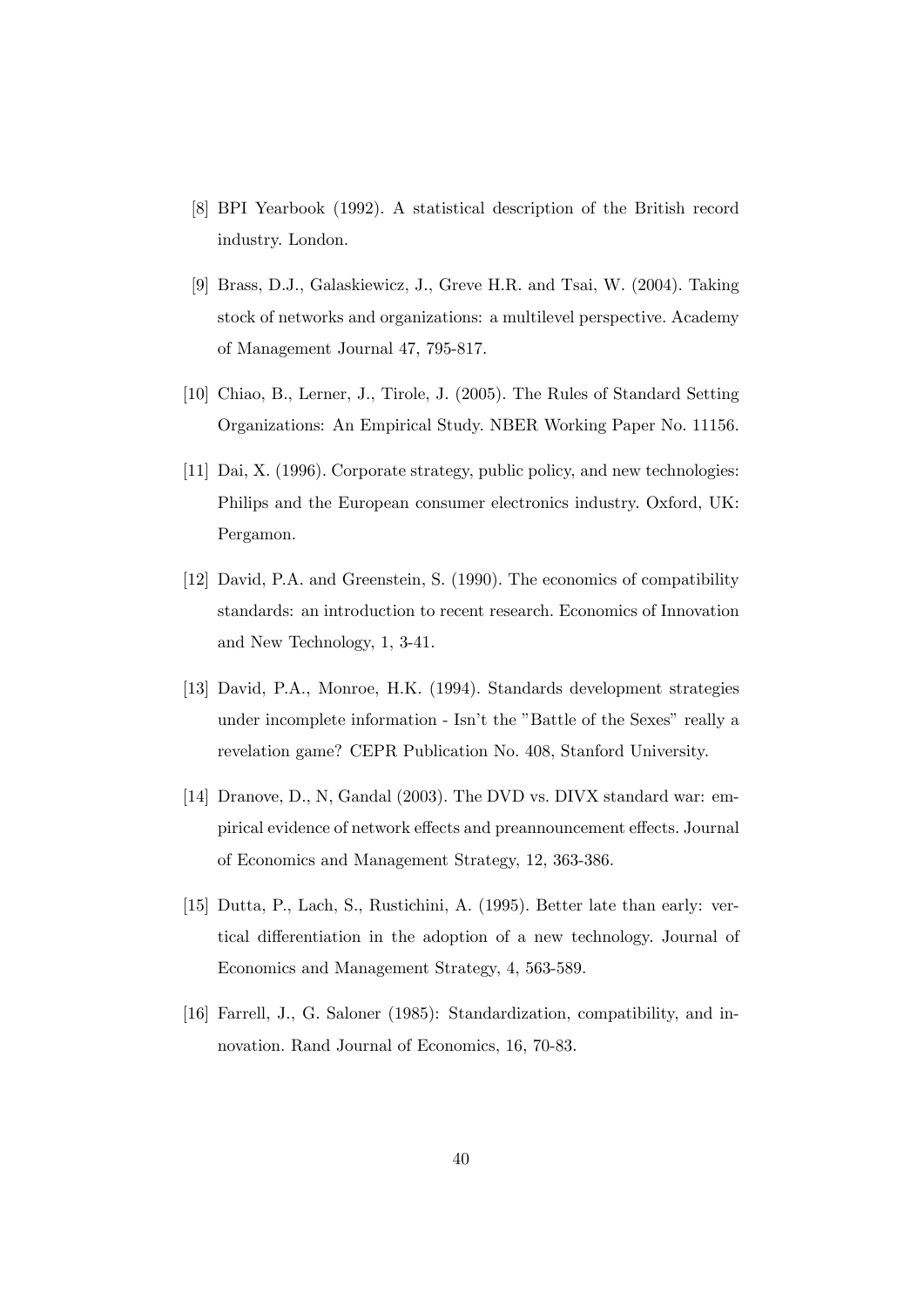- [8] BPI Yearbook (1992). A statistical description of the British record industry. London.
- [9] Brass, D.J., Galaskiewicz, J., Greve H.R. and Tsai, W. (2004). Taking stock of networks and organizations: a multilevel perspective. Academy of Management Journal 47, 795-817.
- [10] Chiao, B., Lerner, J., Tirole, J. (2005). The Rules of Standard Setting Organizations: An Empirical Study. NBER Working Paper No. 11156.
- [11] Dai, X. (1996). Corporate strategy, public policy, and new technologies: Philips and the European consumer electronics industry. Oxford, UK: Pergamon.
- [12] David, P.A. and Greenstein, S. (1990). The economics of compatibility standards: an introduction to recent research. Economics of Innovation and New Technology, 1, 3-41.
- [13] David, P.A., Monroe, H.K. (1994). Standards development strategies under incomplete information - Isn't the "Battle of the Sexes" really a revelation game? CEPR Publication No. 408, Stanford University.
- [14] Dranove, D., N, Gandal (2003). The DVD vs. DIVX standard war: empirical evidence of network effects and preannouncement effects. Journal of Economics and Management Strategy, 12, 363-386.
- [15] Dutta, P., Lach, S., Rustichini, A. (1995). Better late than early: vertical differentiation in the adoption of a new technology. Journal of Economics and Management Strategy, 4, 563-589.
- [16] Farrell, J., G. Saloner (1985): Standardization, compatibility, and innovation. Rand Journal of Economics, 16, 70-83.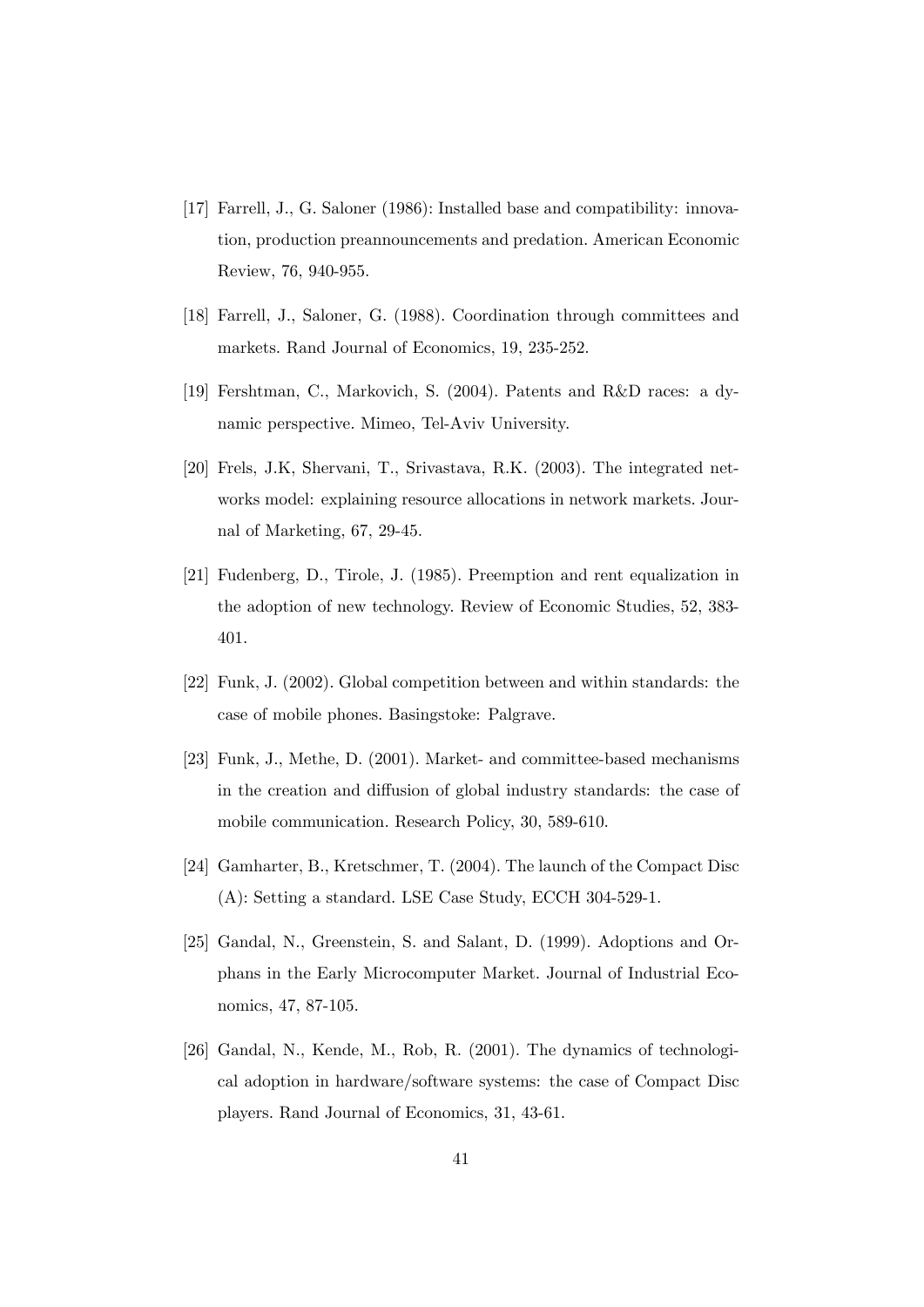- [17] Farrell, J., G. Saloner (1986): Installed base and compatibility: innovation, production preannouncements and predation. American Economic Review, 76, 940-955.
- [18] Farrell, J., Saloner, G. (1988). Coordination through committees and markets. Rand Journal of Economics, 19, 235-252.
- [19] Fershtman, C., Markovich, S. (2004). Patents and R&D races: a dynamic perspective. Mimeo, Tel-Aviv University.
- [20] Frels, J.K, Shervani, T., Srivastava, R.K. (2003). The integrated networks model: explaining resource allocations in network markets. Journal of Marketing, 67, 29-45.
- [21] Fudenberg, D., Tirole, J. (1985). Preemption and rent equalization in the adoption of new technology. Review of Economic Studies, 52, 383- 401.
- [22] Funk, J. (2002). Global competition between and within standards: the case of mobile phones. Basingstoke: Palgrave.
- [23] Funk, J., Methe, D. (2001). Market- and committee-based mechanisms in the creation and diffusion of global industry standards: the case of mobile communication. Research Policy, 30, 589-610.
- [24] Gamharter, B., Kretschmer, T. (2004). The launch of the Compact Disc (A): Setting a standard. LSE Case Study, ECCH 304-529-1.
- [25] Gandal, N., Greenstein, S. and Salant, D. (1999). Adoptions and Orphans in the Early Microcomputer Market. Journal of Industrial Economics, 47, 87-105.
- [26] Gandal, N., Kende, M., Rob, R. (2001). The dynamics of technological adoption in hardware/software systems: the case of Compact Disc players. Rand Journal of Economics, 31, 43-61.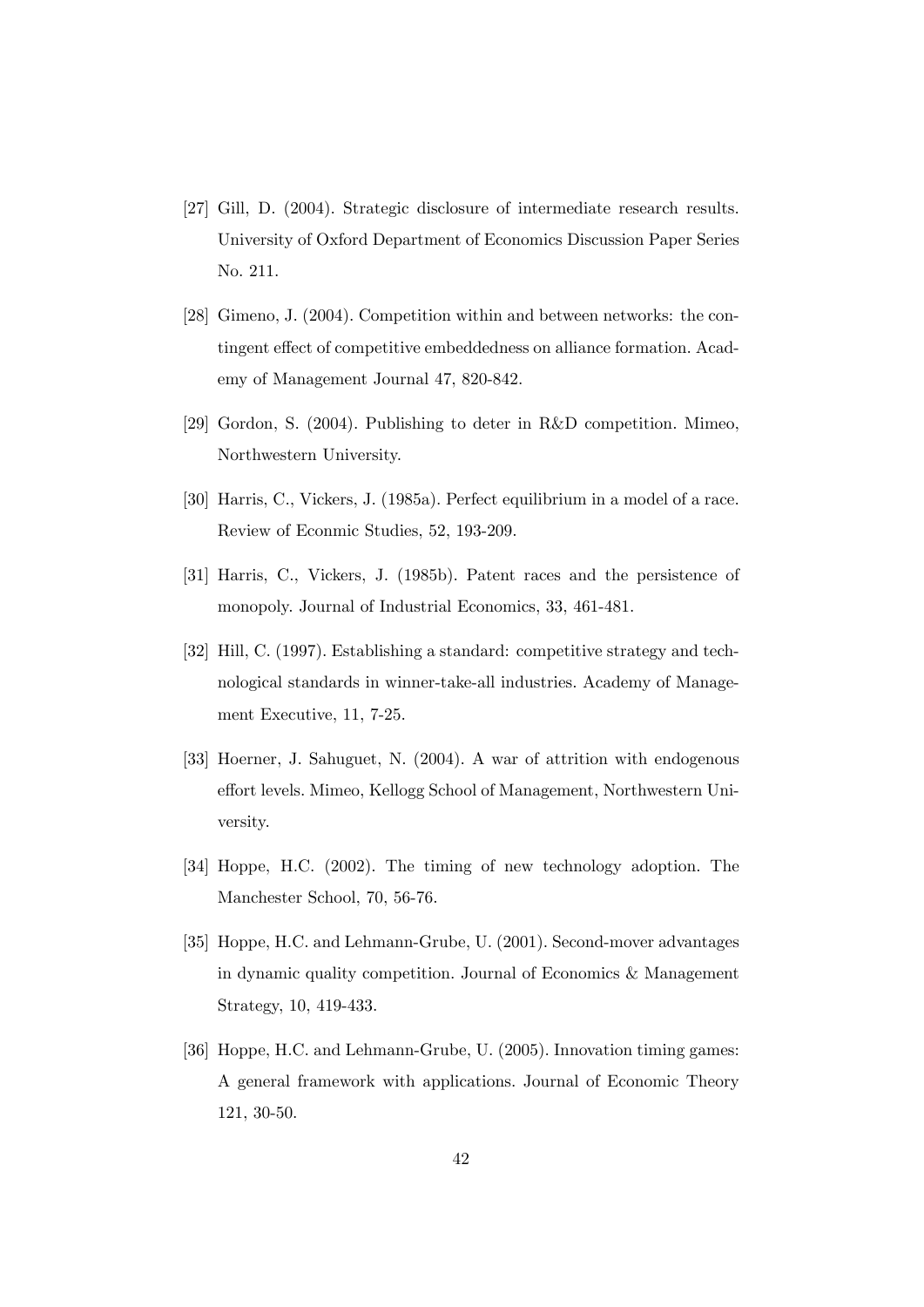- [27] Gill, D. (2004). Strategic disclosure of intermediate research results. University of Oxford Department of Economics Discussion Paper Series No. 211.
- [28] Gimeno, J. (2004). Competition within and between networks: the contingent effect of competitive embeddedness on alliance formation. Academy of Management Journal 47, 820-842.
- [29] Gordon, S. (2004). Publishing to deter in R&D competition. Mimeo, Northwestern University.
- [30] Harris, C., Vickers, J. (1985a). Perfect equilibrium in a model of a race. Review of Econmic Studies, 52, 193-209.
- [31] Harris, C., Vickers, J. (1985b). Patent races and the persistence of monopoly. Journal of Industrial Economics, 33, 461-481.
- [32] Hill, C. (1997). Establishing a standard: competitive strategy and technological standards in winner-take-all industries. Academy of Management Executive, 11, 7-25.
- [33] Hoerner, J. Sahuguet, N. (2004). A war of attrition with endogenous effort levels. Mimeo, Kellogg School of Management, Northwestern University.
- [34] Hoppe, H.C. (2002). The timing of new technology adoption. The Manchester School, 70, 56-76.
- [35] Hoppe, H.C. and Lehmann-Grube, U. (2001). Second-mover advantages in dynamic quality competition. Journal of Economics & Management Strategy, 10, 419-433.
- [36] Hoppe, H.C. and Lehmann-Grube, U. (2005). Innovation timing games: A general framework with applications. Journal of Economic Theory 121, 30-50.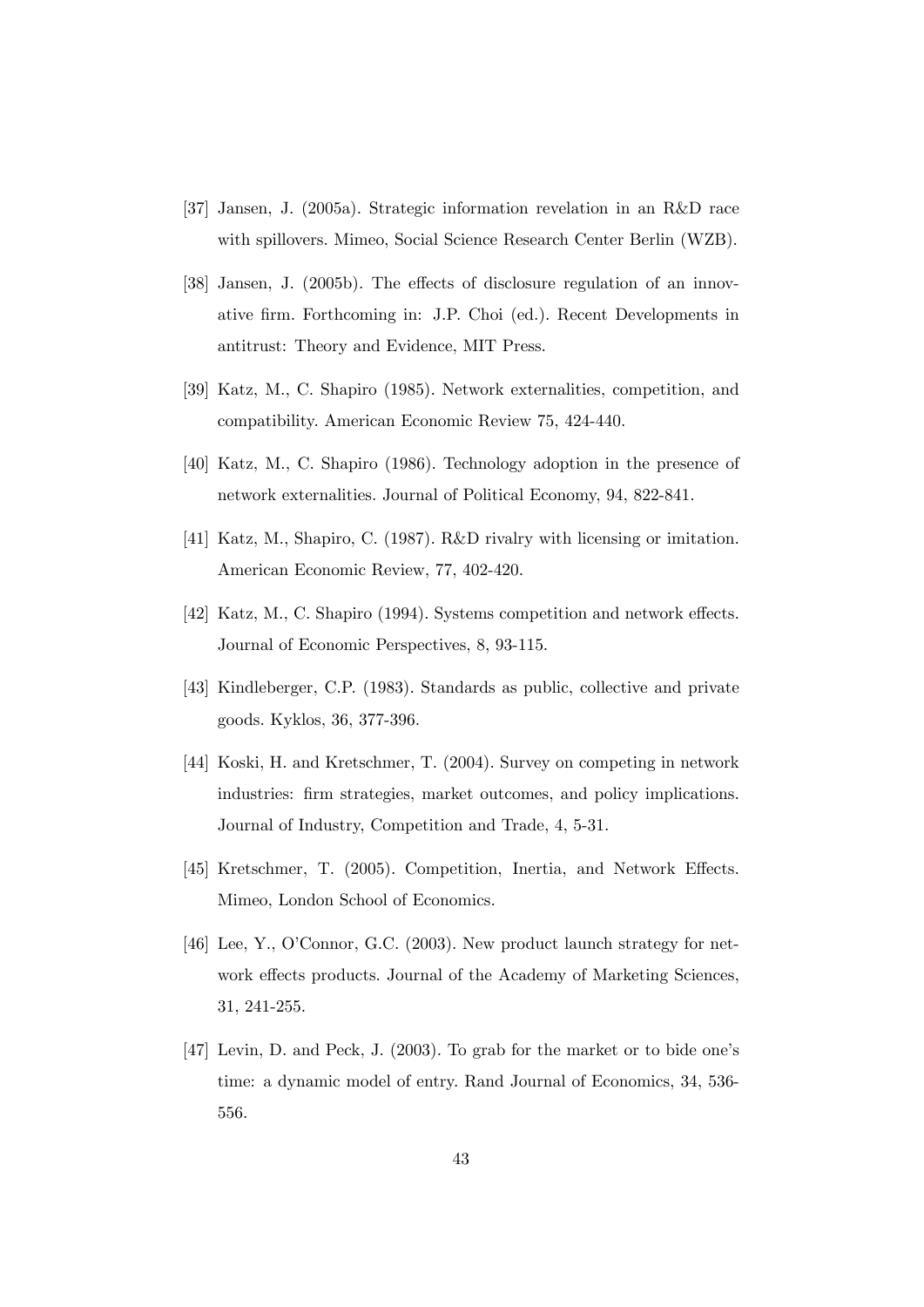- [37] Jansen, J. (2005a). Strategic information revelation in an R&D race with spillovers. Mimeo, Social Science Research Center Berlin (WZB).
- [38] Jansen, J. (2005b). The effects of disclosure regulation of an innovative Örm. Forthcoming in: J.P. Choi (ed.). Recent Developments in antitrust: Theory and Evidence, MIT Press.
- [39] Katz, M., C. Shapiro (1985). Network externalities, competition, and compatibility. American Economic Review 75, 424-440.
- [40] Katz, M., C. Shapiro (1986). Technology adoption in the presence of network externalities. Journal of Political Economy, 94, 822-841.
- [41] Katz, M., Shapiro, C. (1987). R&D rivalry with licensing or imitation. American Economic Review, 77, 402-420.
- [42] Katz, M., C. Shapiro (1994). Systems competition and network effects. Journal of Economic Perspectives, 8, 93-115.
- [43] Kindleberger, C.P. (1983). Standards as public, collective and private goods. Kyklos, 36, 377-396.
- [44] Koski, H. and Kretschmer, T. (2004). Survey on competing in network industries: firm strategies, market outcomes, and policy implications. Journal of Industry, Competition and Trade, 4, 5-31.
- [45] Kretschmer, T. (2005). Competition, Inertia, and Network Effects. Mimeo, London School of Economics.
- [46] Lee, Y., O'Connor, G.C. (2003). New product launch strategy for network effects products. Journal of the Academy of Marketing Sciences, 31, 241-255.
- [47] Levin, D. and Peck, J. (2003). To grab for the market or to bide one's time: a dynamic model of entry. Rand Journal of Economics, 34, 536- 556.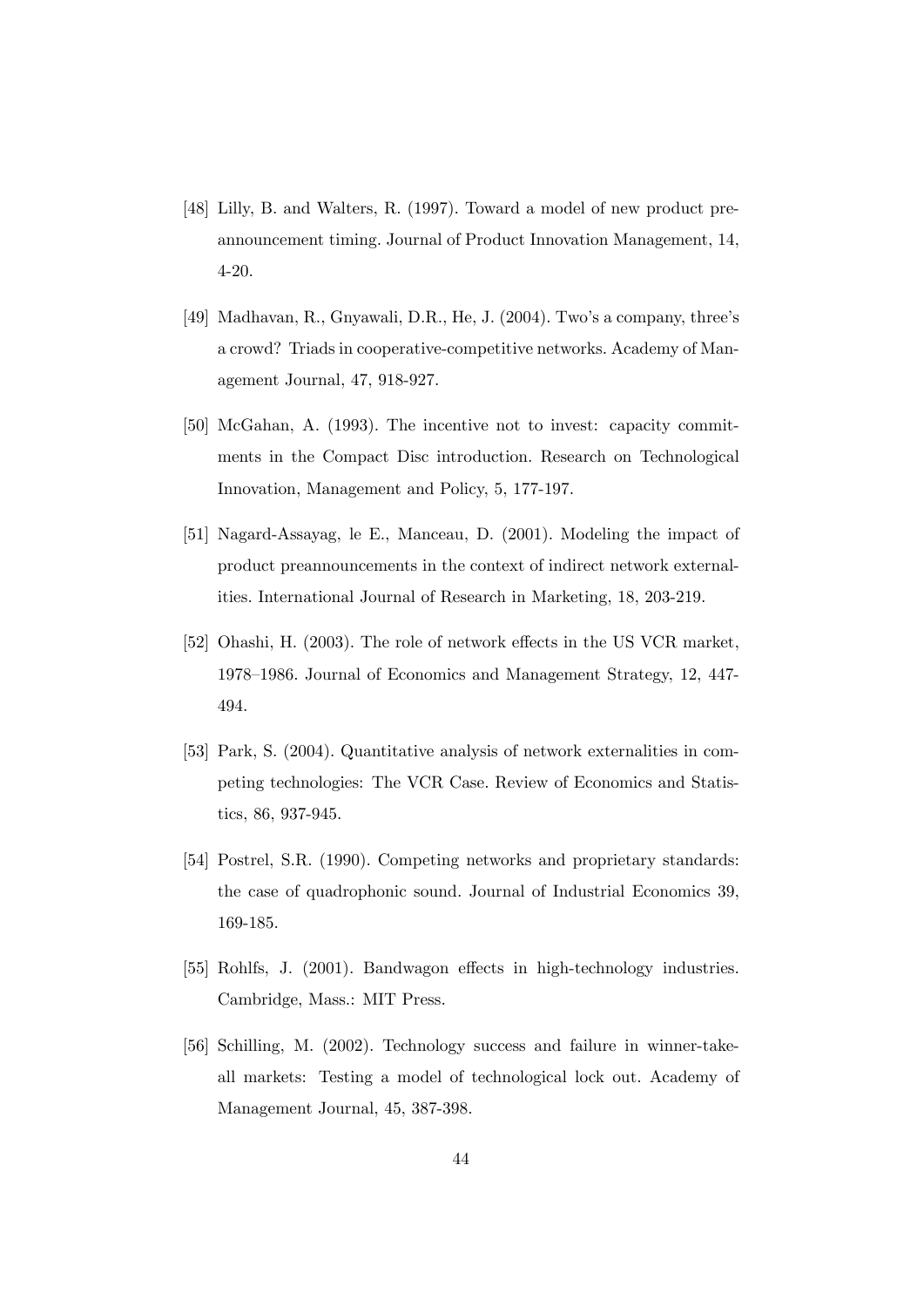- [48] Lilly, B. and Walters, R. (1997). Toward a model of new product preannouncement timing. Journal of Product Innovation Management, 14, 4-20.
- [49] Madhavan, R., Gnyawali, D.R., He, J.  $(2004)$ . Two's a company, three's a crowd? Triads in cooperative-competitive networks. Academy of Management Journal, 47, 918-927.
- [50] McGahan, A. (1993). The incentive not to invest: capacity commitments in the Compact Disc introduction. Research on Technological Innovation, Management and Policy, 5, 177-197.
- [51] Nagard-Assayag, le E., Manceau, D. (2001). Modeling the impact of product preannouncements in the context of indirect network externalities. International Journal of Research in Marketing, 18, 203-219.
- [52] Ohashi, H. (2003). The role of network effects in the US VCR market, 1978–1986. Journal of Economics and Management Strategy, 12, 447-494.
- [53] Park, S. (2004). Quantitative analysis of network externalities in competing technologies: The VCR Case. Review of Economics and Statistics, 86, 937-945.
- [54] Postrel, S.R. (1990). Competing networks and proprietary standards: the case of quadrophonic sound. Journal of Industrial Economics 39, 169-185.
- [55] Rohlfs, J. (2001). Bandwagon effects in high-technology industries. Cambridge, Mass.: MIT Press.
- [56] Schilling, M. (2002). Technology success and failure in winner-takeall markets: Testing a model of technological lock out. Academy of Management Journal, 45, 387-398.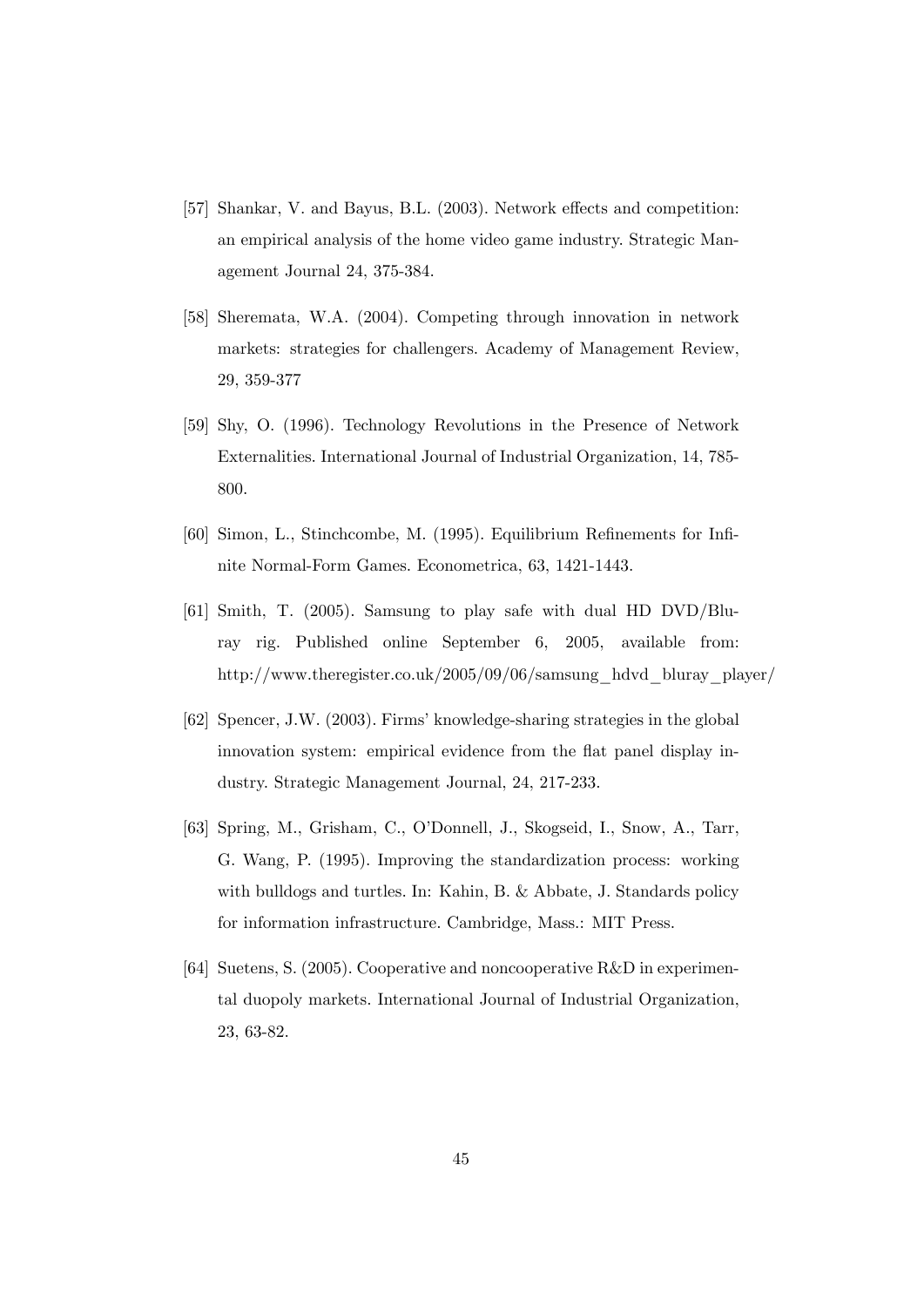- [57] Shankar, V. and Bayus, B.L. (2003). Network effects and competition: an empirical analysis of the home video game industry. Strategic Management Journal 24, 375-384.
- [58] Sheremata, W.A. (2004). Competing through innovation in network markets: strategies for challengers. Academy of Management Review, 29, 359-377
- [59] Shy, O. (1996). Technology Revolutions in the Presence of Network Externalities. International Journal of Industrial Organization, 14, 785- 800.
- [60] Simon, L., Stinchcombe, M. (1995). Equilibrium Refinements for Infinite Normal-Form Games. Econometrica, 63, 1421-1443.
- [61] Smith, T. (2005). Samsung to play safe with dual HD DVD/Bluray rig. Published online September 6, 2005, available from: http://www.theregister.co.uk/2005/09/06/samsung\_hdvd\_bluray\_player/
- [62] Spencer, J.W. (2003). Firmsíknowledge-sharing strategies in the global innovation system: empirical evidence from the flat panel display industry. Strategic Management Journal, 24, 217-233.
- [63] Spring, M., Grisham, C., O'Donnell, J., Skogseid, I., Snow, A., Tarr, G. Wang, P. (1995). Improving the standardization process: working with bulldogs and turtles. In: Kahin, B. & Abbate, J. Standards policy for information infrastructure. Cambridge, Mass.: MIT Press.
- [64] Suetens, S. (2005). Cooperative and noncooperative R&D in experimental duopoly markets. International Journal of Industrial Organization, 23, 63-82.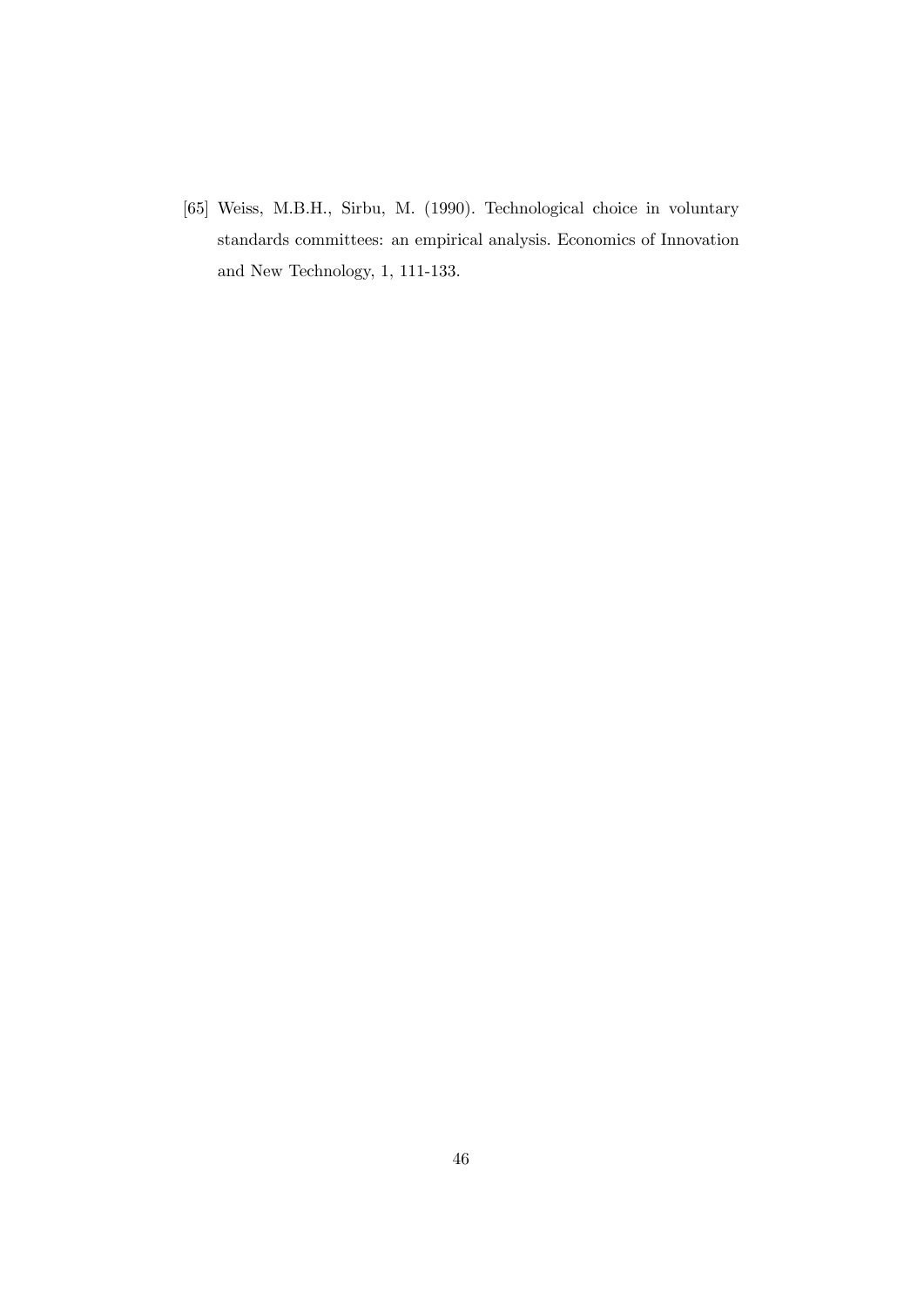[65] Weiss, M.B.H., Sirbu, M. (1990). Technological choice in voluntary standards committees: an empirical analysis. Economics of Innovation and New Technology, 1, 111-133.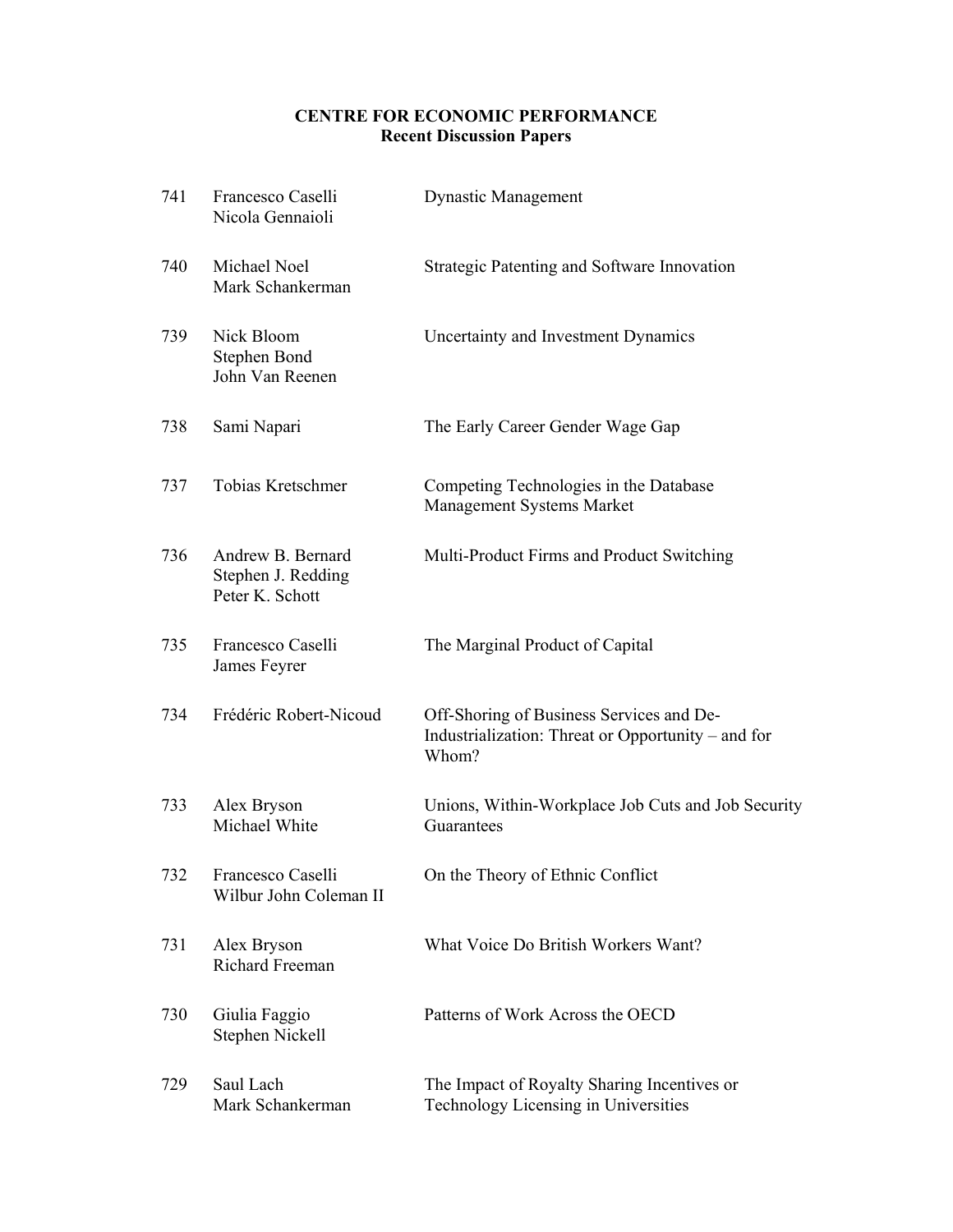## **CENTRE FOR ECONOMIC PERFORMANCE Recent Discussion Papers**

| 741 | Francesco Caselli<br>Nicola Gennaioli                      | <b>Dynastic Management</b>                                                                              |
|-----|------------------------------------------------------------|---------------------------------------------------------------------------------------------------------|
| 740 | Michael Noel<br>Mark Schankerman                           | Strategic Patenting and Software Innovation                                                             |
| 739 | Nick Bloom<br>Stephen Bond<br>John Van Reenen              | Uncertainty and Investment Dynamics                                                                     |
| 738 | Sami Napari                                                | The Early Career Gender Wage Gap                                                                        |
| 737 | Tobias Kretschmer                                          | Competing Technologies in the Database<br>Management Systems Market                                     |
| 736 | Andrew B. Bernard<br>Stephen J. Redding<br>Peter K. Schott | Multi-Product Firms and Product Switching                                                               |
| 735 | Francesco Caselli<br>James Feyrer                          | The Marginal Product of Capital                                                                         |
| 734 | Frédéric Robert-Nicoud                                     | Off-Shoring of Business Services and De-<br>Industrialization: Threat or Opportunity – and for<br>Whom? |
| 733 | Alex Bryson<br>Michael White                               | Unions, Within-Workplace Job Cuts and Job Security<br>Guarantees                                        |
| 732 | Francesco Caselli<br>Wilbur John Coleman II                | On the Theory of Ethnic Conflict                                                                        |
| 731 | Alex Bryson<br>Richard Freeman                             | What Voice Do British Workers Want?                                                                     |
| 730 | Giulia Faggio<br>Stephen Nickell                           | Patterns of Work Across the OECD                                                                        |
| 729 | Saul Lach<br>Mark Schankerman                              | The Impact of Royalty Sharing Incentives or<br>Technology Licensing in Universities                     |